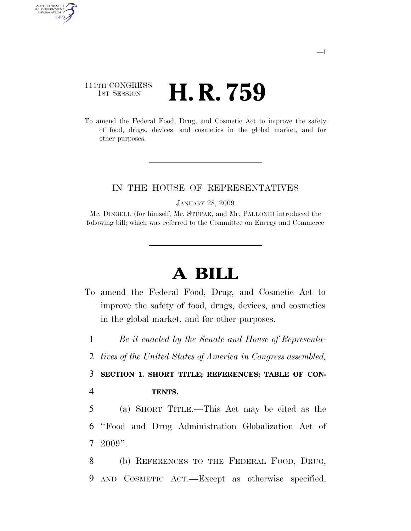# 111TH CONGRESS **HE CONGRESS H. R. 759**

AUTHENTICATED<br>U.S. GOVERNMENT<br>INFORMATION GPO

> To amend the Federal Food, Drug, and Cosmetic Act to improve the safety of food, drugs, devices, and cosmetics in the global market, and for other purposes.

# IN THE HOUSE OF REPRESENTATIVES

JANUARY 28, 2009

Mr. DINGELL (for himself, Mr. STUPAK, and Mr. PALLONE) introduced the following bill; which was referred to the Committee on Energy and Commerce

# **A BILL**

To amend the Federal Food, Drug, and Cosmetic Act to improve the safety of food, drugs, devices, and cosmetics in the global market, and for other purposes.

1 *Be it enacted by the Senate and House of Representa-*

2 *tives of the United States of America in Congress assembled,* 

3 **SECTION 1. SHORT TITLE; REFERENCES; TABLE OF CON-**4 **TENTS.** 

5 (a) SHORT TITLE.—This Act may be cited as the 6 ''Food and Drug Administration Globalization Act of  $7\text{ }2009$ ".

8 (b) REFERENCES TO THE FEDERAL FOOD, DRUG, 9 AND COSMETIC ACT.—Except as otherwise specified,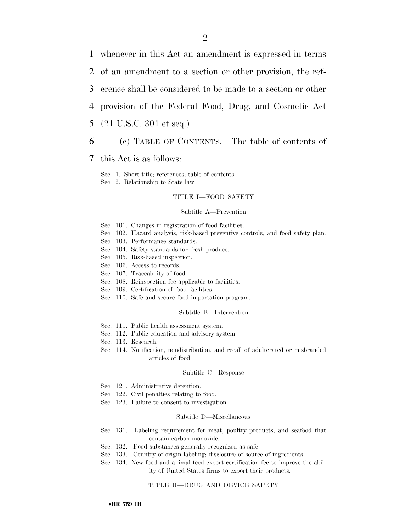whenever in this Act an amendment is expressed in terms of an amendment to a section or other provision, the ref- erence shall be considered to be made to a section or other provision of the Federal Food, Drug, and Cosmetic Act

5 (21 U.S.C. 301 et seq.).

# 6 (c) TABLE OF CONTENTS.—The table of contents of

7 this Act is as follows:

Sec. 1. Short title; references; table of contents.

Sec. 2. Relationship to State law.

#### TITLE I—FOOD SAFETY

#### Subtitle A—Prevention

- Sec. 101. Changes in registration of food facilities.
- Sec. 102. Hazard analysis, risk-based preventive controls, and food safety plan.
- Sec. 103. Performance standards.
- Sec. 104. Safety standards for fresh produce.
- Sec. 105. Risk-based inspection.
- Sec. 106. Access to records.
- Sec. 107. Traceability of food.
- Sec. 108. Reinspection fee applicable to facilities.
- Sec. 109. Certification of food facilities.
- Sec. 110. Safe and secure food importation program.

#### Subtitle B—Intervention

- Sec. 111. Public health assessment system.
- Sec. 112. Public education and advisory system.
- Sec. 113. Research.
- Sec. 114. Notification, nondistribution, and recall of adulterated or misbranded articles of food.

#### Subtitle C—Response

- Sec. 121. Administrative detention.
- Sec. 122. Civil penalties relating to food.
- Sec. 123. Failure to consent to investigation.

#### Subtitle D—Miscellaneous

- Sec. 131. Labeling requirement for meat, poultry products, and seafood that contain carbon monoxide.
- Sec. 132. Food substances generally recognized as safe.
- Sec. 133. Country of origin labeling; disclosure of source of ingredients.
- Sec. 134. New food and animal feed export certification fee to improve the ability of United States firms to export their products.

#### TITLE II—DRUG AND DEVICE SAFETY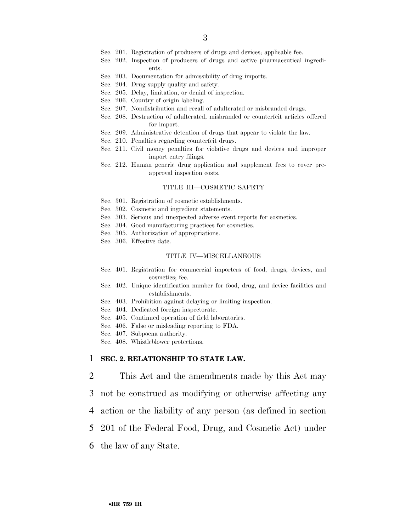- Sec. 201. Registration of producers of drugs and devices; applicable fee.
- Sec. 202. Inspection of producers of drugs and active pharmaceutical ingredients.
- Sec. 203. Documentation for admissibility of drug imports.
- Sec. 204. Drug supply quality and safety.
- Sec. 205. Delay, limitation, or denial of inspection.
- Sec. 206. Country of origin labeling.
- Sec. 207. Nondistribution and recall of adulterated or misbranded drugs.
- Sec. 208. Destruction of adulterated, misbranded or counterfeit articles offered for import.
- Sec. 209. Administrative detention of drugs that appear to violate the law.
- Sec. 210. Penalties regarding counterfeit drugs.
- Sec. 211. Civil money penalties for violative drugs and devices and improper import entry filings.
- Sec. 212. Human generic drug application and supplement fees to cover preapproval inspection costs.

#### TITLE III—COSMETIC SAFETY

- Sec. 301. Registration of cosmetic establishments.
- Sec. 302. Cosmetic and ingredient statements.
- Sec. 303. Serious and unexpected adverse event reports for cosmetics.
- Sec. 304. Good manufacturing practices for cosmetics.
- Sec. 305. Authorization of appropriations.
- Sec. 306. Effective date.

#### TITLE IV—MISCELLANEOUS

- Sec. 401. Registration for commercial importers of food, drugs, devices, and cosmetics; fee.
- Sec. 402. Unique identification number for food, drug, and device facilities and establishments.
- Sec. 403. Prohibition against delaying or limiting inspection.
- Sec. 404. Dedicated foreign inspectorate.
- Sec. 405. Continued operation of field laboratories.
- Sec. 406. False or misleading reporting to FDA.
- Sec. 407. Subpoena authority.
- Sec. 408. Whistleblower protections.

### 1 **SEC. 2. RELATIONSHIP TO STATE LAW.**

- 2 This Act and the amendments made by this Act may
- 3 not be construed as modifying or otherwise affecting any
- 4 action or the liability of any person (as defined in section
- 5 201 of the Federal Food, Drug, and Cosmetic Act) under
- 6 the law of any State.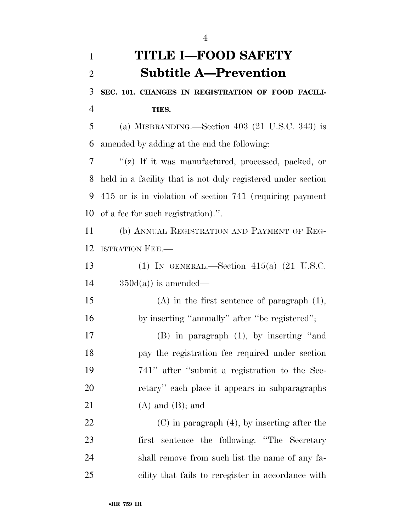# **TITLE I—FOOD SAFETY Subtitle A—Prevention SEC. 101. CHANGES IN REGISTRATION OF FOOD FACILI- TIES.**  (a) MISBRANDING.—Section 403 (21 U.S.C. 343) is amended by adding at the end the following: ''(z) If it was manufactured, processed, packed, or held in a facility that is not duly registered under section 415 or is in violation of section 741 (requiring payment of a fee for such registration).''. (b) ANNUAL REGISTRATION AND PAYMENT OF REG- ISTRATION FEE.— (1) IN GENERAL.—Section 415(a) (21 U.S.C.  $14 \qquad \qquad 350d(a))$  is amended— (A) in the first sentence of paragraph (1), 16 by inserting "annually" after "be registered"; (B) in paragraph (1), by inserting ''and pay the registration fee required under section 741'' after ''submit a registration to the Sec- retary'' each place it appears in subparagraphs 21  $(A)$  and  $(B)$ ; and (C) in paragraph (4), by inserting after the first sentence the following: ''The Secretary shall remove from such list the name of any fa-

cility that fails to reregister in accordance with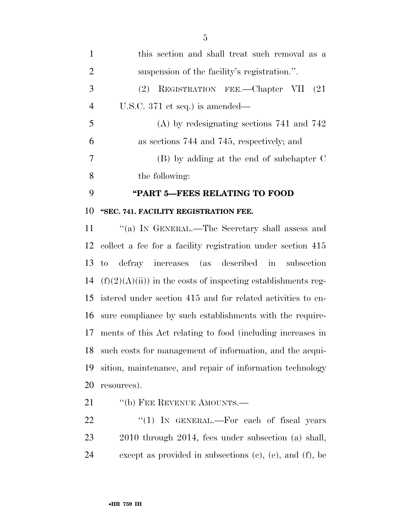| 1              | this section and shall treat such removal as a |
|----------------|------------------------------------------------|
| 2              | suspension of the facility's registration.".   |
| 3              | REGISTRATION FEE.—Chapter VII (21)<br>(2)      |
| $\overline{4}$ | U.S.C. $371$ et seq.) is amended—              |
| 5              | $(A)$ by redesignating sections 741 and 742    |
| 6              | as sections 744 and 745, respectively; and     |
| 7              | $(B)$ by adding at the end of subchapter C     |
| 8              | the following:                                 |
| 9              | "PART 5-FEES RELATING TO FOOD                  |
| 10             | "SEC. 741. FACILITY REGISTRATION FEE.          |

11 ''(a) IN GENERAL.—The Secretary shall assess and collect a fee for a facility registration under section 415 to defray increases (as described in subsection  $(f)(2)(A)(ii)$  in the costs of inspecting establishments reg- istered under section 415 and for related activities to en- sure compliance by such establishments with the require- ments of this Act relating to food (including increases in such costs for management of information, and the acqui- sition, maintenance, and repair of information technology resources).

21 "(b) FEE REVENUE AMOUNTS.—

22 "(1) IN GENERAL.—For each of fiscal years 2010 through 2014, fees under subsection (a) shall, except as provided in subsections (c), (e), and (f), be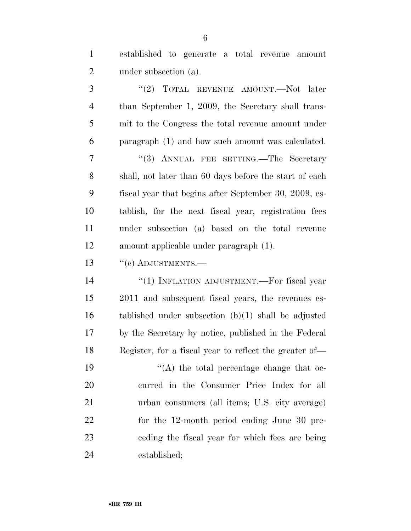| $\mathbf{1}$   | established to generate a total revenue amount         |
|----------------|--------------------------------------------------------|
| $\overline{2}$ | under subsection (a).                                  |
| 3              | "(2) TOTAL REVENUE AMOUNT.—Not later                   |
| $\overline{4}$ | than September 1, 2009, the Secretary shall trans-     |
| 5              | mit to the Congress the total revenue amount under     |
| 6              | paragraph (1) and how such amount was calculated.      |
| 7              | "(3) ANNUAL FEE SETTING.—The Secretary                 |
| 8              | shall, not later than 60 days before the start of each |
| 9              | fiscal year that begins after September 30, 2009, es-  |
| 10             | tablish, for the next fiscal year, registration fees   |
| 11             | under subsection (a) based on the total revenue        |
| 12             | amount applicable under paragraph (1).                 |
| 13             | $``$ (c) ADJUSTMENTS.—                                 |
| 14             | "(1) INFLATION ADJUSTMENT.—For fiscal year             |
|                |                                                        |
| 15             | 2011 and subsequent fiscal years, the revenues es-     |
| 16             | tablished under subsection $(b)(1)$ shall be adjusted  |
| 17             | by the Secretary by notice, published in the Federal   |
| 18             | Register, for a fiscal year to reflect the greater of— |
| 19             | $\lq\lq$ the total percentage change that oc-          |
| 20             | curred in the Consumer Price Index for all             |
| 21             | urban consumers (all items; U.S. city average)         |
| 22             | for the 12-month period ending June 30 pre-            |
| 23             | eeding the fiscal year for which fees are being        |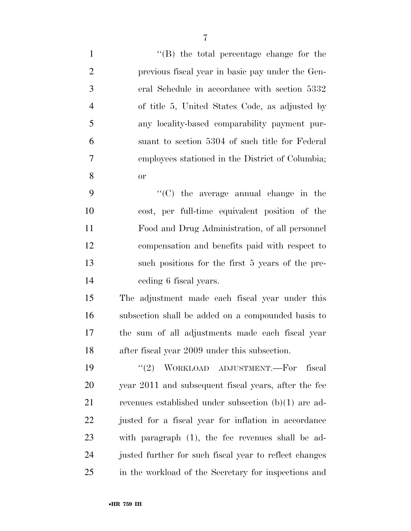| $\mathbf{1}$   | $\lq\lq$ the total percentage change for the           |
|----------------|--------------------------------------------------------|
| $\overline{2}$ | previous fiscal year in basic pay under the Gen-       |
| 3              | eral Schedule in accordance with section 5332          |
| $\overline{4}$ | of title 5, United States Code, as adjusted by         |
| 5              | any locality-based comparability payment pur-          |
| 6              | suant to section 5304 of such title for Federal        |
| $\tau$         | employees stationed in the District of Columbia;       |
| 8              | <b>or</b>                                              |
| 9              | $\cdot$ (C) the average annual change in the           |
| 10             | cost, per full-time equivalent position of the         |
| 11             | Food and Drug Administration, of all personnel         |
| 12             | compensation and benefits paid with respect to         |
| 13             | such positions for the first 5 years of the pre-       |
| 14             | ceding 6 fiscal years.                                 |
| 15             | The adjustment made each fiscal year under this        |
| 16             | subsection shall be added on a compounded basis to     |
| 17             | the sum of all adjustments made each fiscal year       |
| 18             | after fiscal year 2009 under this subsection.          |
| 19             | (2)<br>WORKLOAD ADJUSTMENT.-For<br>fiscal              |
| 20             | year 2011 and subsequent fiscal years, after the fee   |
| 21             | revenues established under subsection $(b)(1)$ are ad- |
| 22             | justed for a fiscal year for inflation in accordance   |
| 23             | with paragraph $(1)$ , the fee revenues shall be ad-   |
| 24             | justed further for such fiscal year to reflect changes |
| 25             | in the workload of the Secretary for inspections and   |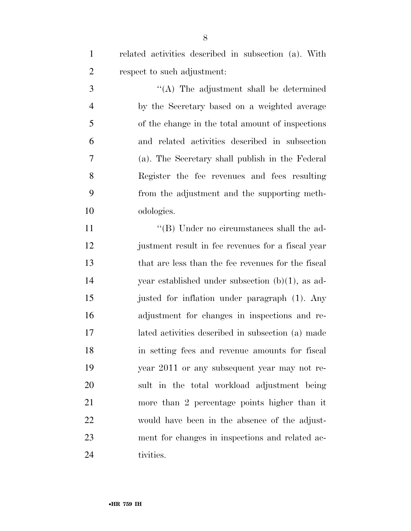related activities described in subsection (a). With respect to such adjustment:

 ''(A) The adjustment shall be determined by the Secretary based on a weighted average of the change in the total amount of inspections and related activities described in subsection (a). The Secretary shall publish in the Federal Register the fee revenues and fees resulting from the adjustment and the supporting meth-odologies.

11 ''(B) Under no circumstances shall the ad- justment result in fee revenues for a fiscal year that are less than the fee revenues for the fiscal year established under subsection (b)(1), as ad- justed for inflation under paragraph (1). Any adjustment for changes in inspections and re- lated activities described in subsection (a) made in setting fees and revenue amounts for fiscal year 2011 or any subsequent year may not re- sult in the total workload adjustment being more than 2 percentage points higher than it would have been in the absence of the adjust- ment for changes in inspections and related ac-tivities.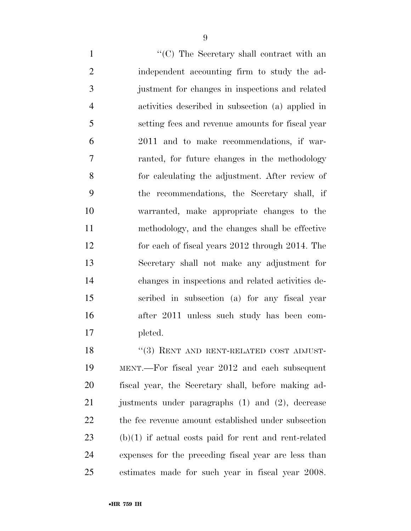1 ''(C) The Secretary shall contract with an independent accounting firm to study the ad- justment for changes in inspections and related activities described in subsection (a) applied in setting fees and revenue amounts for fiscal year 2011 and to make recommendations, if war- ranted, for future changes in the methodology for calculating the adjustment. After review of the recommendations, the Secretary shall, if warranted, make appropriate changes to the methodology, and the changes shall be effective for each of fiscal years 2012 through 2014. The Secretary shall not make any adjustment for changes in inspections and related activities de- scribed in subsection (a) for any fiscal year after 2011 unless such study has been com-pleted.

18 "(3) RENT AND RENT-RELATED COST ADJUST- MENT.—For fiscal year 2012 and each subsequent fiscal year, the Secretary shall, before making ad- justments under paragraphs (1) and (2), decrease the fee revenue amount established under subsection (b)(1) if actual costs paid for rent and rent-related expenses for the preceding fiscal year are less than estimates made for such year in fiscal year 2008.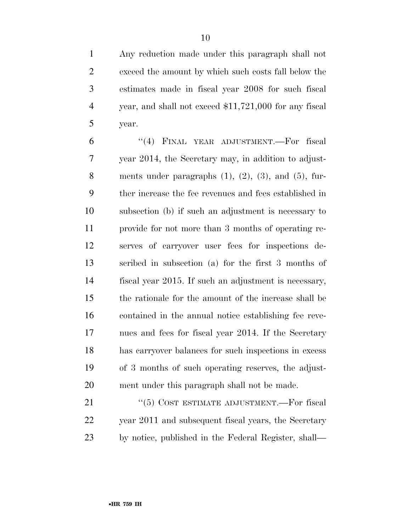Any reduction made under this paragraph shall not exceed the amount by which such costs fall below the estimates made in fiscal year 2008 for such fiscal year, and shall not exceed \$11,721,000 for any fiscal year.

 ''(4) FINAL YEAR ADJUSTMENT.—For fiscal year 2014, the Secretary may, in addition to adjust-8 ments under paragraphs  $(1)$ ,  $(2)$ ,  $(3)$ , and  $(5)$ , fur- ther increase the fee revenues and fees established in subsection (b) if such an adjustment is necessary to provide for not more than 3 months of operating re- serves of carryover user fees for inspections de- scribed in subsection (a) for the first 3 months of fiscal year 2015. If such an adjustment is necessary, the rationale for the amount of the increase shall be contained in the annual notice establishing fee reve- nues and fees for fiscal year 2014. If the Secretary has carryover balances for such inspections in excess of 3 months of such operating reserves, the adjust-ment under this paragraph shall not be made.

21 ''(5) COST ESTIMATE ADJUSTMENT.—For fiscal year 2011 and subsequent fiscal years, the Secretary by notice, published in the Federal Register, shall—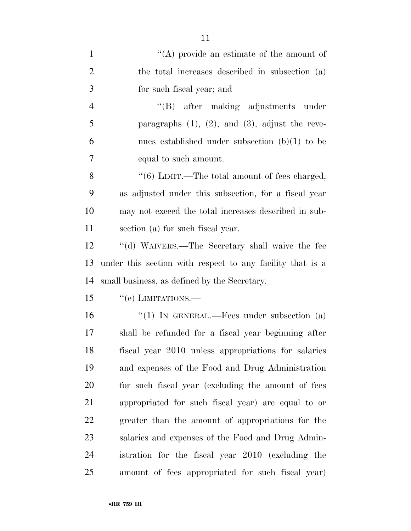| $\mathbf{1}$   | "(A) provide an estimate of the amount of                 |
|----------------|-----------------------------------------------------------|
| $\overline{2}$ | the total increases described in subsection (a)           |
| 3              | for such fiscal year; and                                 |
| $\overline{4}$ | "(B) after making adjustments under                       |
| 5              | paragraphs $(1)$ , $(2)$ , and $(3)$ , adjust the reve-   |
| 6              | nues established under subsection $(b)(1)$ to be          |
| 7              | equal to such amount.                                     |
| 8              | $``(6)$ LIMIT.—The total amount of fees charged,          |
| 9              | as adjusted under this subsection, for a fiscal year      |
| 10             | may not exceed the total increases described in sub-      |
| 11             | section (a) for such fiscal year.                         |
| 12             | "(d) WAIVERS.—The Secretary shall waive the fee           |
| 13             | under this section with respect to any facility that is a |
| 14             | small business, as defined by the Secretary.              |
| 15             | $``(e)$ LIMITATIONS.—                                     |
| 16             | "(1) IN GENERAL.—Fees under subsection (a)                |
| 17             | shall be refunded for a fiscal year beginning after       |
| 18             | fiscal year 2010 unless appropriations for salaries       |
| 19             | and expenses of the Food and Drug Administration          |
| 20             | for such fiscal year (excluding the amount of fees        |
| 21             | appropriated for such fiscal year) are equal to or        |
| 22             | greater than the amount of appropriations for the         |
| 23             | salaries and expenses of the Food and Drug Admin-         |
| 24             | istration for the fiscal year 2010 (excluding the         |
| 25             | amount of fees appropriated for such fiscal year)         |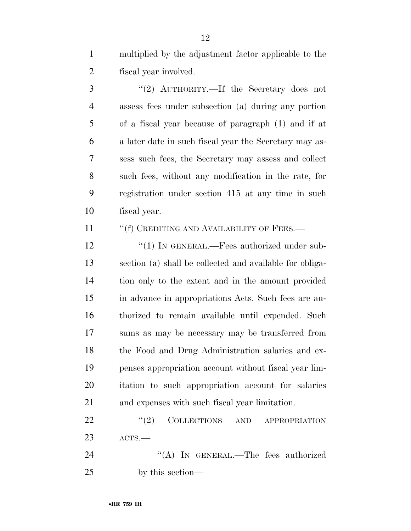multiplied by the adjustment factor applicable to the fiscal year involved.

3 "(2) AUTHORITY.—If the Secretary does not assess fees under subsection (a) during any portion of a fiscal year because of paragraph (1) and if at a later date in such fiscal year the Secretary may as- sess such fees, the Secretary may assess and collect such fees, without any modification in the rate, for registration under section 415 at any time in such fiscal year.

11 ""(f) CREDITING AND AVAILABILITY OF FEES.—

12 "(1) IN GENERAL.—Fees authorized under sub- section (a) shall be collected and available for obliga- tion only to the extent and in the amount provided in advance in appropriations Acts. Such fees are au- thorized to remain available until expended. Such sums as may be necessary may be transferred from the Food and Drug Administration salaries and ex- penses appropriation account without fiscal year lim- itation to such appropriation account for salaries and expenses with such fiscal year limitation.

22 "(2) COLLECTIONS AND APPROPRIATION ACTS.—

24 "(A) In GENERAL.—The fees authorized by this section—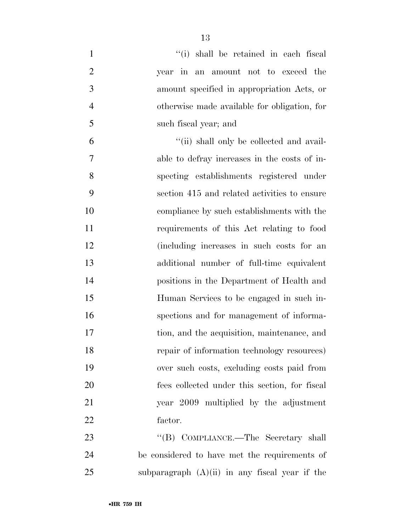| $\mathbf{1}$   | "(i) shall be retained in each fiscal            |
|----------------|--------------------------------------------------|
| $\overline{2}$ | year in an amount not to exceed the              |
| 3              | amount specified in appropriation Acts, or       |
| $\overline{4}$ | otherwise made available for obligation, for     |
| 5              | such fiscal year; and                            |
| 6              | "(ii) shall only be collected and avail-         |
| 7              | able to defray increases in the costs of in-     |
| 8              | specting establishments registered under         |
| 9              | section 415 and related activities to ensure     |
| 10             | compliance by such establishments with the       |
| 11             | requirements of this Act relating to food        |
| 12             | (including increases in such costs for an        |
| 13             | additional number of full-time equivalent        |
| 14             | positions in the Department of Health and        |
| 15             | Human Services to be engaged in such in-         |
| 16             | spections and for management of informa-         |
| 17             | tion, and the acquisition, maintenance, and      |
| 18             | repair of information technology resources)      |
| 19             | over such costs, excluding costs paid from       |
| 20             | fees collected under this section, for fiscal    |
| 21             | year 2009 multiplied by the adjustment           |
| 22             | factor.                                          |
| 23             | "(B) COMPLIANCE.—The Secretary shall             |
| 24             | be considered to have met the requirements of    |
| 25             | subparagraph $(A)(ii)$ in any fiscal year if the |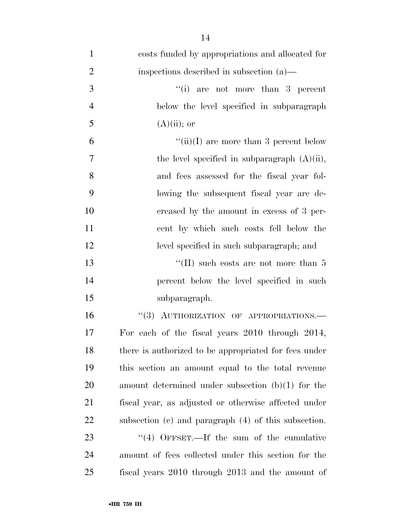| $\mathbf{1}$   | costs funded by appropriations and allocated for       |
|----------------|--------------------------------------------------------|
| $\overline{2}$ | inspections described in subsection (a)—               |
| 3              | $``(i)$ are not more than 3 percent                    |
| $\overline{4}$ | below the level specified in subparagraph              |
| 5              | $(A)(ii)$ ; or                                         |
| 6              | "(ii)(I) are more than 3 percent below                 |
| $\overline{7}$ | the level specified in subparagraph $(A)(ii)$ ,        |
| 8              | and fees assessed for the fiscal year fol-             |
| 9              | lowing the subsequent fiscal year are de-              |
| 10             | creased by the amount in excess of 3 per-              |
| 11             | cent by which such costs fell below the                |
| 12             | level specified in such subparagraph; and              |
| 13             | "(II) such costs are not more than $5$                 |
| 14             | percent below the level specified in such              |
| 15             | subparagraph.                                          |
| 16             | "(3) AUTHORIZATION OF APPROPRIATIONS.-                 |
| 17             | For each of the fiscal years 2010 through 2014,        |
| 18             | there is authorized to be appropriated for fees under  |
| 19             | this section an amount equal to the total revenue      |
| <b>20</b>      | amount determined under subsection $(b)(1)$ for the    |
| 21             | fiscal year, as adjusted or otherwise affected under   |
| 22             | subsection (c) and paragraph $(4)$ of this subsection. |
| 23             | $\cdot$ (4) OFFSET.—If the sum of the cumulative       |
| 24             | amount of fees collected under this section for the    |
| 25             | fiscal years 2010 through 2013 and the amount of       |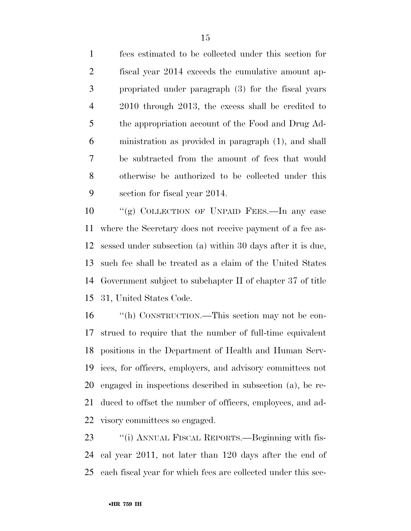fees estimated to be collected under this section for fiscal year 2014 exceeds the cumulative amount ap- propriated under paragraph (3) for the fiscal years 2010 through 2013, the excess shall be credited to the appropriation account of the Food and Drug Ad- ministration as provided in paragraph (1), and shall be subtracted from the amount of fees that would otherwise be authorized to be collected under this section for fiscal year 2014.

 ''(g) COLLECTION OF UNPAID FEES.—In any case where the Secretary does not receive payment of a fee as- sessed under subsection (a) within 30 days after it is due, such fee shall be treated as a claim of the United States Government subject to subchapter II of chapter 37 of title 31, United States Code.

 ''(h) CONSTRUCTION.—This section may not be con- strued to require that the number of full-time equivalent positions in the Department of Health and Human Serv- ices, for officers, employers, and advisory committees not engaged in inspections described in subsection (a), be re- duced to offset the number of officers, employees, and ad-visory committees so engaged.

 ''(i) ANNUAL FISCAL REPORTS.—Beginning with fis- cal year 2011, not later than 120 days after the end of each fiscal year for which fees are collected under this sec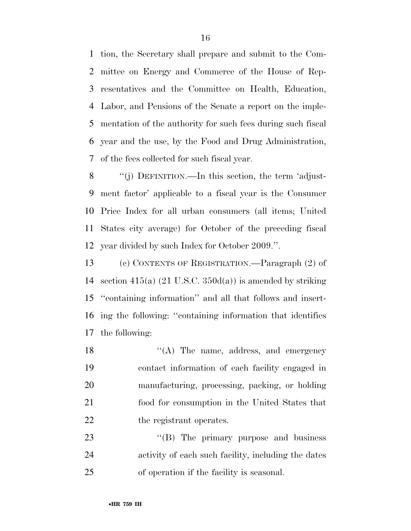tion, the Secretary shall prepare and submit to the Com- mittee on Energy and Commerce of the House of Rep- resentatives and the Committee on Health, Education, Labor, and Pensions of the Senate a report on the imple- mentation of the authority for such fees during such fiscal year and the use, by the Food and Drug Administration, of the fees collected for such fiscal year.

8 "(j) DEFINITION.—In this section, the term 'adjust- ment factor' applicable to a fiscal year is the Consumer Price Index for all urban consumers (all items; United States city average) for October of the preceding fiscal year divided by such Index for October 2009.''.

 (c) CONTENTS OF REGISTRATION.—Paragraph (2) of 14 section 415(a)  $(21 \text{ U.S.C. } 350d(a))$  is amended by striking ''containing information'' and all that follows and insert- ing the following: ''containing information that identifies the following:

18 ''(A) The name, address, and emergency contact information of each facility engaged in manufacturing, processing, packing, or holding food for consumption in the United States that 22 the registrant operates.

23 "'(B) The primary purpose and business activity of each such facility, including the dates of operation if the facility is seasonal.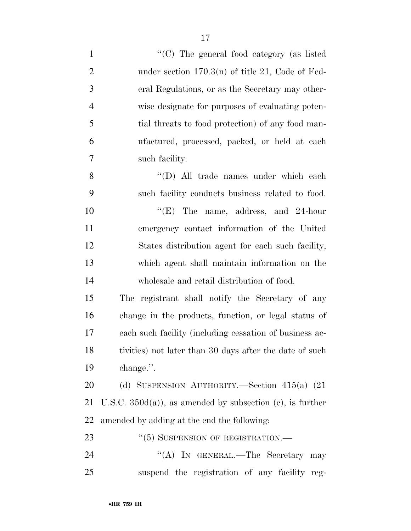| $\mathbf{1}$   | "(C) The general food category (as listed                   |
|----------------|-------------------------------------------------------------|
| $\overline{2}$ | under section $170.3(n)$ of title 21, Code of Fed-          |
| 3              | eral Regulations, or as the Secretary may other-            |
| $\overline{4}$ | wise designate for purposes of evaluating poten-            |
| 5              | tial threats to food protection) of any food man-           |
| 6              | ufactured, processed, packed, or held at each               |
| $\overline{7}$ | such facility.                                              |
| 8              | "(D) All trade names under which each                       |
| 9              | such facility conducts business related to food.            |
| 10             | " $(E)$ The name, address, and 24-hour                      |
| 11             | emergency contact information of the United                 |
| 12             | States distribution agent for each such facility,           |
| 13             | which agent shall maintain information on the               |
| 14             | wholesale and retail distribution of food.                  |
| 15             | The registrant shall notify the Secretary of any            |
| 16             | change in the products, function, or legal status of        |
| 17             | each such facility (including cessation of business ac-     |
| 18             | tivities) not later than 30 days after the date of such     |
| 19             | change.".                                                   |
| 20             | (d) SUSPENSION AUTHORITY.—Section $415(a)$ (21)             |
| 21             | U.S.C. $350d(a)$ , as amended by subsection (c), is further |
| 22             | amended by adding at the end the following:                 |
| 23             | $``(5)$ SUSPENSION OF REGISTRATION.—                        |
| 24             | "(A) IN GENERAL.—The Secretary may                          |
| 25             | suspend the registration of any facility reg-               |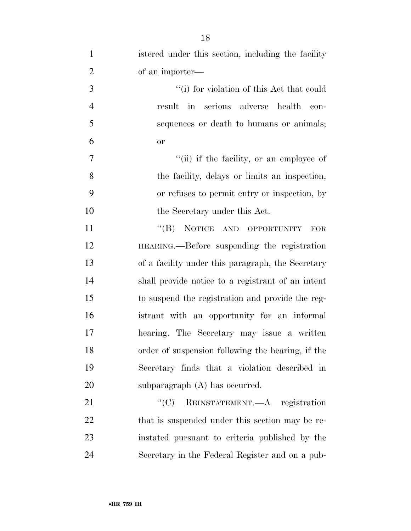| $\mathbf{1}$   | istered under this section, including the facility |
|----------------|----------------------------------------------------|
| $\overline{2}$ | of an importer—                                    |
| 3              | "(i) for violation of this Act that could          |
| $\overline{4}$ | result in serious adverse<br>health<br>con-        |
| 5              | sequences or death to humans or animals;           |
| 6              | <b>or</b>                                          |
| 7              | "(ii) if the facility, or an employee of           |
| 8              | the facility, delays or limits an inspection,      |
| 9              | or refuses to permit entry or inspection, by       |
| 10             | the Secretary under this Act.                      |
| 11             | "(B) NOTICE AND OPPORTUNITY<br><b>FOR</b>          |
| 12             | HEARING.—Before suspending the registration        |
| 13             | of a facility under this paragraph, the Secretary  |
| 14             | shall provide notice to a registrant of an intent  |
| 15             | to suspend the registration and provide the reg-   |
| 16             | istrant with an opportunity for an informal        |
| 17             | hearing. The Secretary may issue a written         |
| 18             | order of suspension following the hearing, if the  |
| 19             | Secretary finds that a violation described in      |
| 20             | subparagraph $(A)$ has occurred.                   |
| 21             | "(C) REINSTATEMENT.—A registration                 |
| 22             | that is suspended under this section may be re-    |
| 23             | instated pursuant to criteria published by the     |
| 24             | Secretary in the Federal Register and on a pub-    |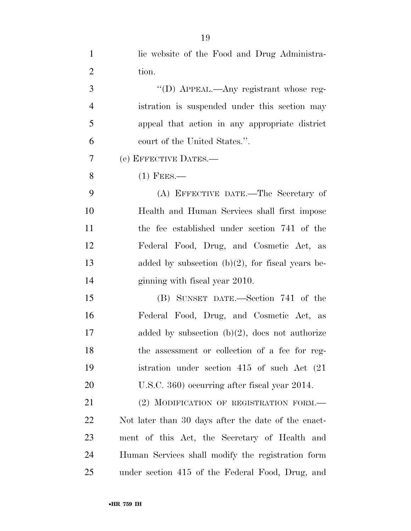| $\mathbf{1}$   | lic website of the Food and Drug Administra-        |
|----------------|-----------------------------------------------------|
| $\overline{2}$ | tion.                                               |
| 3              | "(D) APPEAL.—Any registrant whose reg-              |
| $\overline{4}$ | istration is suspended under this section may       |
| 5              | appeal that action in any appropriate district      |
| 6              | court of the United States.".                       |
| 7              | (e) EFFECTIVE DATES.-                               |
| 8              | $(1)$ Fees.—                                        |
| 9              | (A) EFFECTIVE DATE.—The Secretary of                |
| 10             | Health and Human Services shall first impose        |
| 11             | the fee established under section 741 of the        |
| 12             | Federal Food, Drug, and Cosmetic Act, as            |
| 13             | added by subsection $(b)(2)$ , for fiscal years be- |
| 14             | ginning with fiscal year 2010.                      |
| 15             | (B) SUNSET DATE.—Section 741 of the                 |
| 16             | Federal Food, Drug, and Cosmetic Act, as            |
| 17             | added by subsection $(b)(2)$ , does not authorize   |
| 18             | the assessment or collection of a fee for reg-      |
| 19             | istration under section $415$ of such Act $(21)$    |
| 20             | U.S.C. 360) occurring after fiscal year 2014.       |
| 21             | (2) MODIFICATION OF REGISTRATION FORM.              |
| <u>22</u>      | Not later than 30 days after the date of the enact- |
| 23             | ment of this Act, the Secretary of Health and       |
| 24             | Human Services shall modify the registration form   |
| 25             | under section 415 of the Federal Food, Drug, and    |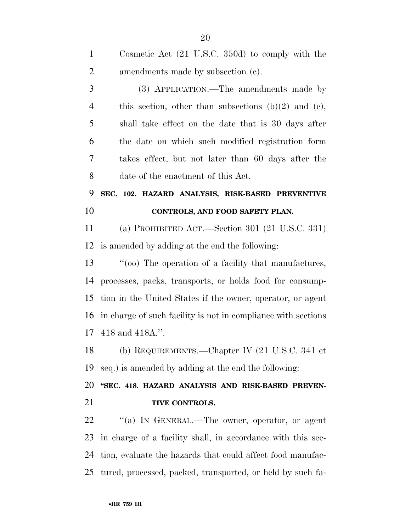| $\mathbf{1}$   | Cosmetic Act $(21 \text{ U.S.C. } 350d)$ to comply with the   |
|----------------|---------------------------------------------------------------|
| $\overline{2}$ | amendments made by subsection (c).                            |
| 3              | (3) APPLICATION.—The amendments made by                       |
| $\overline{4}$ | this section, other than subsections (b)(2) and (c),          |
| 5              | shall take effect on the date that is 30 days after           |
| 6              | the date on which such modified registration form             |
| 7              | takes effect, but not later than 60 days after the            |
| 8              | date of the enactment of this Act.                            |
| 9              | SEC. 102. HAZARD ANALYSIS, RISK-BASED PREVENTIVE              |
| 10             | CONTROLS, AND FOOD SAFETY PLAN.                               |
| 11             | (a) PROHIBITED ACT.—Section 301 (21 U.S.C. 331)               |
| 12             | is amended by adding at the end the following:                |
| 13             | "(00) The operation of a facility that manufactures,          |
| 14             | processes, packs, transports, or holds food for consump-      |
| 15             | tion in the United States if the owner, operator, or agent    |
| 16             | in charge of such facility is not in compliance with sections |
| 17             | 418 and 418A.".                                               |
|                | 18 (b) REQUIREMENTS.—Chapter IV (21 U.S.C. 341 et             |
| 19             | seq.) is amended by adding at the end the following:          |
| 20             | "SEC. 418. HAZARD ANALYSIS AND RISK-BASED PREVEN-             |
| 21             | TIVE CONTROLS.                                                |
| 22             |                                                               |
|                | "(a) IN GENERAL.—The owner, operator, or agent                |

tured, processed, packed, transported, or held by such fa-

tion, evaluate the hazards that could affect food manufac-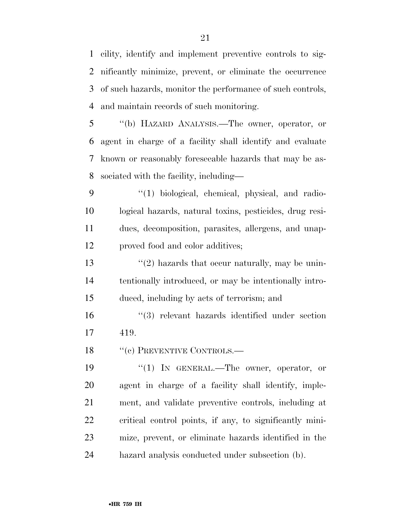cility, identify and implement preventive controls to sig- nificantly minimize, prevent, or eliminate the occurrence of such hazards, monitor the performance of such controls, and maintain records of such monitoring.

 ''(b) HAZARD ANALYSIS.—The owner, operator, or agent in charge of a facility shall identify and evaluate known or reasonably foreseeable hazards that may be as-sociated with the facility, including—

9 "(1) biological, chemical, physical, and radio- logical hazards, natural toxins, pesticides, drug resi- dues, decomposition, parasites, allergens, and unap-proved food and color additives;

13  $\frac{1}{2}$  hazards that occur naturally, may be unin- tentionally introduced, or may be intentionally intro-duced, including by acts of terrorism; and

 ''(3) relevant hazards identified under section 419.

18 "(c) PREVENTIVE CONTROLS.—

 ''(1) IN GENERAL.—The owner, operator, or agent in charge of a facility shall identify, imple- ment, and validate preventive controls, including at critical control points, if any, to significantly mini- mize, prevent, or eliminate hazards identified in the hazard analysis conducted under subsection (b).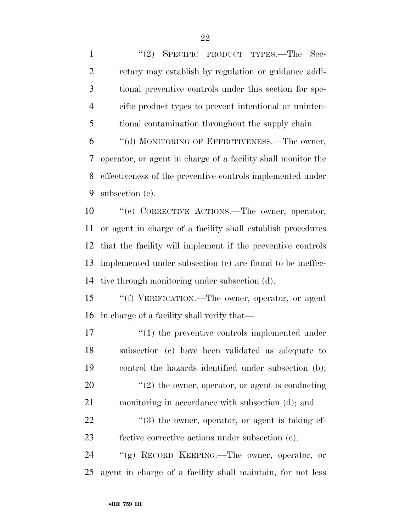1 "(2) SPECIFIC PRODUCT TYPES.—The Sec- retary may establish by regulation or guidance addi- tional preventive controls under this section for spe- cific product types to prevent intentional or uninten-tional contamination throughout the supply chain.

 ''(d) MONITORING OF EFFECTIVENESS.—The owner, operator, or agent in charge of a facility shall monitor the effectiveness of the preventive controls implemented under subsection (c).

 ''(e) CORRECTIVE ACTIONS.—The owner, operator, or agent in charge of a facility shall establish procedures that the facility will implement if the preventive controls implemented under subsection (c) are found to be ineffec-tive through monitoring under subsection (d).

 ''(f) VERIFICATION.—The owner, operator, or agent in charge of a facility shall verify that—

 $\frac{1}{2}$  (1) the preventive controls implemented under subsection (c) have been validated as adequate to control the hazards identified under subsection (b);  $\frac{1}{2}$  the owner, operator, or agent is conducting monitoring in accordance with subsection (d); and "(3) the owner, operator, or agent is taking ef- fective corrective actions under subsection (e). ''(g) RECORD KEEPING.—The owner, operator, or

agent in charge of a facility shall maintain, for not less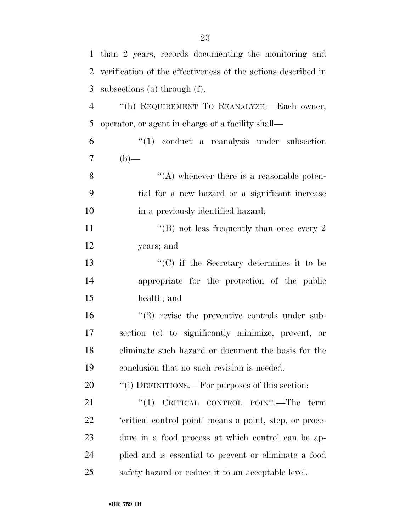|                | 1 than 2 years, records documenting the monitoring and         |
|----------------|----------------------------------------------------------------|
| 2              | verification of the effectiveness of the actions described in  |
| 3              | subsections (a) through $(f)$ .                                |
| $\overline{4}$ | "(h) REQUIREMENT TO REANALYZE.-Each owner,                     |
| 5              | operator, or agent in charge of a facility shall—              |
| 6              | $\lq(1)$ conduct a reanalysis under subsection                 |
| $\overline{7}$ | $(b)$ —                                                        |
| 8              | $\lq\lq$ whenever there is a reasonable poten-                 |
| 9              | tial for a new hazard or a significant increase                |
| 10             | in a previously identified hazard;                             |
| 11             | "(B) not less frequently than once every 2                     |
| 12             | years; and                                                     |
| 13             | $"$ (C) if the Secretary determines it to be                   |
| 14             | appropriate for the protection of the public                   |
| 15             | health; and                                                    |
| 16             | $\cdot\cdot\cdot(2)$ revise the preventive controls under sub- |
| 17             | section (c) to significantly minimize, prevent, or             |
| 18             | eliminate such hazard or document the basis for the            |
| 19             | conclusion that no such revision is needed.                    |
| 20             | "(i) DEFINITIONS.—For purposes of this section:                |
| 21             | CRITICAL CONTROL POINT.—The term<br>``(1)                      |
| 22             | 'critical control point' means a point, step, or proce-        |
| 23             | dure in a food process at which control can be ap-             |
| 24             | plied and is essential to prevent or eliminate a food          |
| 25             | safety hazard or reduce it to an acceptable level.             |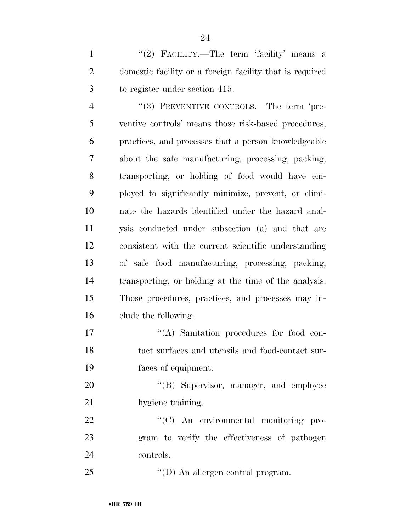1 ''(2) FACILITY.—The term 'facility' means a domestic facility or a foreign facility that is required to register under section 415.

4 "(3) PREVENTIVE CONTROLS.—The term 'pre- ventive controls' means those risk-based procedures, practices, and processes that a person knowledgeable about the safe manufacturing, processing, packing, transporting, or holding of food would have em- ployed to significantly minimize, prevent, or elimi- nate the hazards identified under the hazard anal- ysis conducted under subsection (a) and that are consistent with the current scientific understanding of safe food manufacturing, processing, packing, transporting, or holding at the time of the analysis. Those procedures, practices, and processes may in-clude the following:

17  $\langle (A)$  Sanitation procedures for food con- tact surfaces and utensils and food-contact sur-faces of equipment.

20 "'(B) Supervisor, manager, and employee hygiene training.

22  $\text{``(C)}$  An environmental monitoring pro- gram to verify the effectiveness of pathogen controls.

25  $\text{``(D) An allergen control program.}$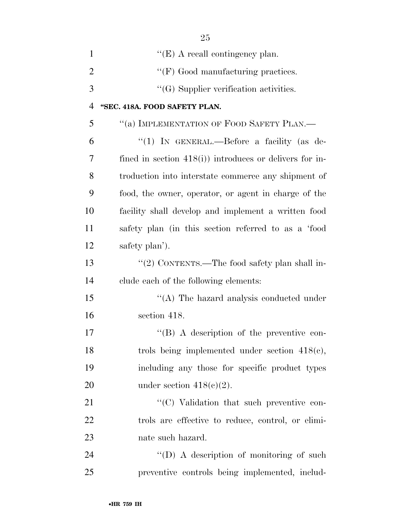| $\mathbf{1}$   | $\lq\lq(E)$ A recall contingency plan.                   |
|----------------|----------------------------------------------------------|
| $\overline{2}$ | "(F) Good manufacturing practices.                       |
| 3              | $\lq\lq(G)$ Supplier verification activities.            |
| $\overline{4}$ | "SEC. 418A. FOOD SAFETY PLAN.                            |
| 5              | "(a) IMPLEMENTATION OF FOOD SAFETY PLAN.—                |
| 6              | "(1) IN GENERAL.—Before a facility (as de-               |
| 7              | fined in section $418(i)$ introduces or delivers for in- |
| 8              | troduction into interstate commerce any shipment of      |
| 9              | food, the owner, operator, or agent in charge of the     |
| 10             | facility shall develop and implement a written food      |
| 11             | safety plan (in this section referred to as a 'food      |
| 12             | safety plan').                                           |
| 13             | "(2) CONTENTS.—The food safety plan shall in-            |
| 14             | clude each of the following elements:                    |
| 15             | $\cdot$ (A) The hazard analysis conducted under          |
| 16             | section 418.                                             |
| 17             | $\lq\lq (B)$ A description of the preventive con-        |
| 18             | trols being implemented under section $418(e)$ ,         |
| 19             | including any those for specific product types           |
| 20             | under section $418(c)(2)$ .                              |
| 21             | "(C) Validation that such preventive con-                |
| 22             | trols are effective to reduce, control, or elimi-        |
| 23             | nate such hazard.                                        |
| 24             | "(D) A description of monitoring of such                 |
| 25             | preventive controls being implemented, includ-           |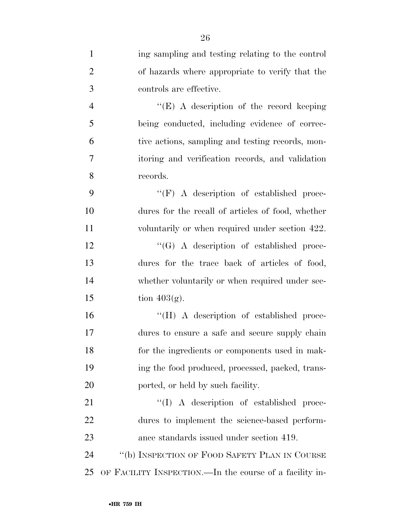| $\mathbf{1}$   | ing sampling and testing relating to the control        |
|----------------|---------------------------------------------------------|
| $\overline{2}$ | of hazards where appropriate to verify that the         |
| 3              | controls are effective.                                 |
| $\overline{4}$ | " $(E)$ A description of the record keeping"            |
| 5              | being conducted, including evidence of correc-          |
| 6              | tive actions, sampling and testing records, mon-        |
| 7              | itoring and verification records, and validation        |
| 8              | records.                                                |
| 9              | $\lq\lq(F)$ A description of established proce-         |
| 10             | dures for the recall of articles of food, whether       |
| 11             | voluntarily or when required under section 422.         |
| 12             | $\lq\lq (G)$ A description of established proce-        |
| 13             | dures for the trace back of articles of food,           |
| 14             | whether voluntarily or when required under sec-         |
| 15             | tion $403(g)$ .                                         |
| 16             | "(H) A description of established proce-                |
| 17             | dures to ensure a safe and secure supply chain          |
| 18             | for the ingredients or components used in mak-          |
| 19             | ing the food produced, processed, packed, trans-        |
| 20             | ported, or held by such facility.                       |
| 21             | "(I) A description of established proce-                |
| 22             | dures to implement the science-based perform-           |
| 23             | ance standards issued under section 419.                |
| 24             | "(b) INSPECTION OF FOOD SAFETY PLAN IN COURSE           |
| 25             | OF FACILITY INSPECTION.—In the course of a facility in- |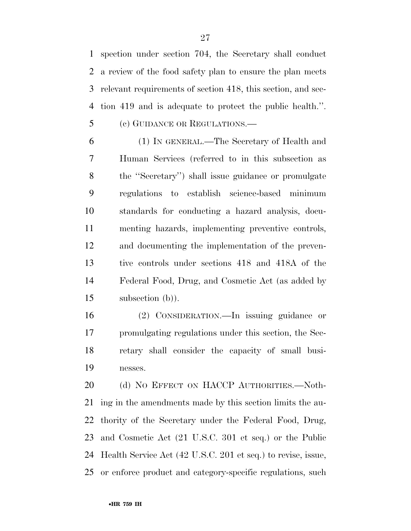spection under section 704, the Secretary shall conduct a review of the food safety plan to ensure the plan meets relevant requirements of section 418, this section, and sec- tion 419 and is adequate to protect the public health.''. (c) GUIDANCE OR REGULATIONS.—

 (1) IN GENERAL.—The Secretary of Health and Human Services (referred to in this subsection as the ''Secretary'') shall issue guidance or promulgate regulations to establish science-based minimum standards for conducting a hazard analysis, docu- menting hazards, implementing preventive controls, and documenting the implementation of the preven- tive controls under sections 418 and 418A of the Federal Food, Drug, and Cosmetic Act (as added by subsection (b)).

 (2) CONSIDERATION.—In issuing guidance or promulgating regulations under this section, the Sec- retary shall consider the capacity of small busi-nesses.

20 (d) NO EFFECT ON HACCP AUTHORITIES. Noth- ing in the amendments made by this section limits the au- thority of the Secretary under the Federal Food, Drug, and Cosmetic Act (21 U.S.C. 301 et seq.) or the Public Health Service Act (42 U.S.C. 201 et seq.) to revise, issue, or enforce product and category-specific regulations, such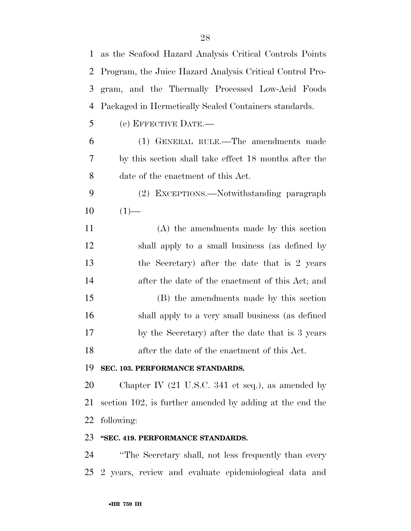| $\mathbf 1$ | as the Seafood Hazard Analysis Critical Controls Points              |
|-------------|----------------------------------------------------------------------|
| 2           | Program, the Juice Hazard Analysis Critical Control Pro-             |
| 3           | gram, and the Thermally Processed Low-Acid Foods                     |
| 4           | Packaged in Hermetically Sealed Containers standards.                |
| 5           | (e) EFFECTIVE DATE.—                                                 |
| 6           | (1) GENERAL RULE.—The amendments made                                |
| 7           | by this section shall take effect 18 months after the                |
| 8           | date of the enactment of this Act.                                   |
| 9           | (2) EXCEPTIONS.—Notwithstanding paragraph                            |
| 10          | $(1)$ —                                                              |
| 11          | (A) the amendments made by this section                              |
| 12          | shall apply to a small business (as defined by                       |
| 13          | the Secretary) after the date that is 2 years                        |
| 14          | after the date of the enactment of this Act; and                     |
| 15          | (B) the amendments made by this section                              |
| 16          | shall apply to a very small business (as defined                     |
| 17          | by the Secretary) after the date that is 3 years                     |
| 18          | after the date of the enactment of this Act.                         |
| 19          | SEC. 103. PERFORMANCE STANDARDS.                                     |
| 20          | Chapter IV $(21 \text{ U.S.C. } 341 \text{ et seq.}),$ as amended by |
| 21          | section 102, is further amended by adding at the end the             |
| 22          | following:                                                           |

# **''SEC. 419. PERFORMANCE STANDARDS.**

 ''The Secretary shall, not less frequently than every 2 years, review and evaluate epidemiological data and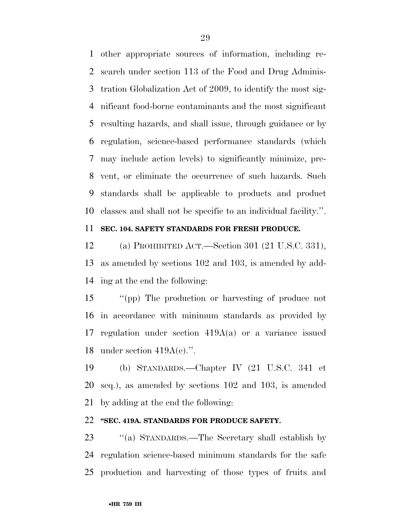other appropriate sources of information, including re- search under section 113 of the Food and Drug Adminis- tration Globalization Act of 2009, to identify the most sig- nificant food-borne contaminants and the most significant resulting hazards, and shall issue, through guidance or by regulation, science-based performance standards (which may include action levels) to significantly minimize, pre- vent, or eliminate the occurrence of such hazards. Such standards shall be applicable to products and product classes and shall not be specific to an individual facility.''.

## **SEC. 104. SAFETY STANDARDS FOR FRESH PRODUCE.**

 (a) PROHIBITED ACT.—Section 301 (21 U.S.C. 331), as amended by sections 102 and 103, is amended by add-ing at the end the following:

 ''(pp) The production or harvesting of produce not in accordance with minimum standards as provided by regulation under section 419A(a) or a variance issued under section 419A(e).''.

 (b) STANDARDS.—Chapter IV (21 U.S.C. 341 et seq.), as amended by sections 102 and 103, is amended by adding at the end the following:

## **''SEC. 419A. STANDARDS FOR PRODUCE SAFETY.**

 ''(a) STANDARDS.—The Secretary shall establish by regulation science-based minimum standards for the safe production and harvesting of those types of fruits and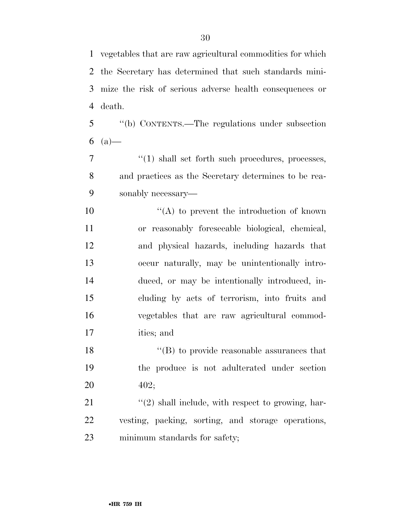vegetables that are raw agricultural commodities for which

 the Secretary has determined that such standards mini- mize the risk of serious adverse health consequences or death. ''(b) CONTENTS.—The regulations under subsection 6  $(a)$ — ''(1) shall set forth such procedures, processes, and practices as the Secretary determines to be rea- sonably necessary—  $"({\rm A})$  to prevent the introduction of known or reasonably foreseeable biological, chemical, and physical hazards, including hazards that occur naturally, may be unintentionally intro- duced, or may be intentionally introduced, in- cluding by acts of terrorism, into fruits and vegetables that are raw agricultural commod- ities; and 18 ''(B) to provide reasonable assurances that the produce is not adulterated under section 402;  $\frac{1}{21}$  ''(2) shall include, with respect to growing, har- vesting, packing, sorting, and storage operations, minimum standards for safety;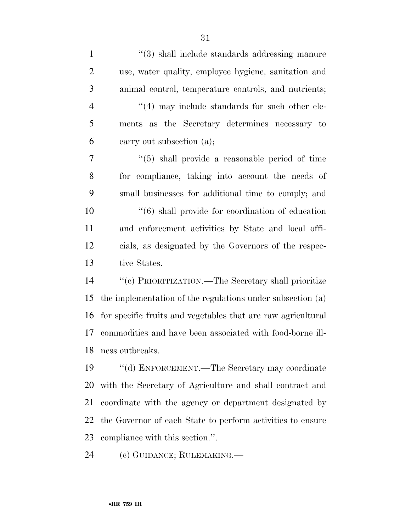| $\mathbf{1}$   | "(3) shall include standards addressing manure                    |
|----------------|-------------------------------------------------------------------|
| $\overline{2}$ | use, water quality, employee hygiene, sanitation and              |
| 3              | animal control, temperature controls, and nutrients;              |
| $\overline{4}$ | $\cdot$ (4) may include standards for such other ele-             |
| 5              | ments as the Secretary determines necessary to                    |
| 6              | carry out subsection (a);                                         |
| 7              | $\cdot\cdot\cdot(5)$ shall provide a reasonable period of time    |
| 8              | for compliance, taking into account the needs of                  |
| 9              | small businesses for additional time to comply; and               |
| 10             | $\cdot\cdot\cdot$ (6) shall provide for coordination of education |
| 11             | and enforcement activities by State and local offi-               |
| 12             | cials, as designated by the Governors of the respec-              |
| 13             | tive States.                                                      |
| 14             | "(c) PRIORITIZATION.—The Secretary shall prioritize               |
| 15             | the implementation of the regulations under subsection (a)        |
| 16             | for specific fruits and vegetables that are raw agricultural      |
| 17             | commodities and have been associated with food-borne ill-         |
| 18             | ness outbreaks.                                                   |
| 19             | "(d) ENFORCEMENT.—The Secretary may coordinate                    |
| 20             | with the Secretary of Agriculture and shall contract and          |
| 21             | coordinate with the agency or department designated by            |
| 22             | the Governor of each State to perform activities to ensure        |
| 23             | compliance with this section.".                                   |
|                |                                                                   |

(c) GUIDANCE; RULEMAKING.—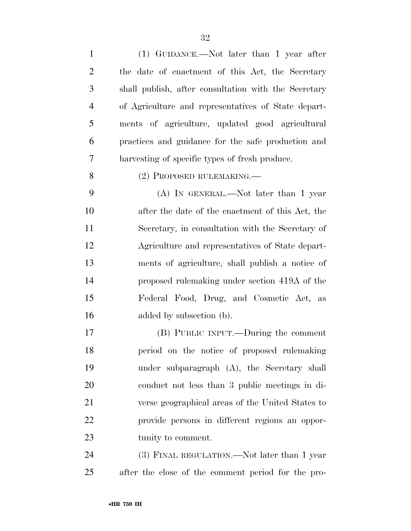| $\mathbf{1}$   | (1) GUIDANCE.—Not later than 1 year after            |
|----------------|------------------------------------------------------|
| $\overline{2}$ | the date of enactment of this Act, the Secretary     |
| 3              | shall publish, after consultation with the Secretary |
| $\overline{4}$ | of Agriculture and representatives of State depart-  |
| 5              | ments of agriculture, updated good agricultural      |
| 6              | practices and guidance for the safe production and   |
| 7              | harvesting of specific types of fresh produce.       |
| 8              | (2) PROPOSED RULEMAKING.—                            |
| 9              | $(A)$ In GENERAL.—Not later than 1 year              |
| 10             | after the date of the enactment of this Act, the     |
| 11             | Secretary, in consultation with the Secretary of     |
| 12             | Agriculture and representatives of State depart-     |
| 13             | ments of agriculture, shall publish a notice of      |
| 14             | proposed rulemaking under section 419A of the        |
| 15             | Federal Food, Drug, and Cosmetic Act, as             |
| 16             | added by subsection (b).                             |
| 17             | (B) PUBLIC INPUT.—During the comment                 |
| 18             | period on the notice of proposed rulemaking          |
| 19             | under subparagraph (A), the Secretary shall          |
| 20             | conduct not less than 3 public meetings in di-       |
| 21             | verse geographical areas of the United States to     |
| 22             | provide persons in different regions an oppor-       |
| 23             | tunity to comment.                                   |
| 24             | (3) FINAL REGULATION.—Not later than 1 year          |
| 25             | after the close of the comment period for the pro-   |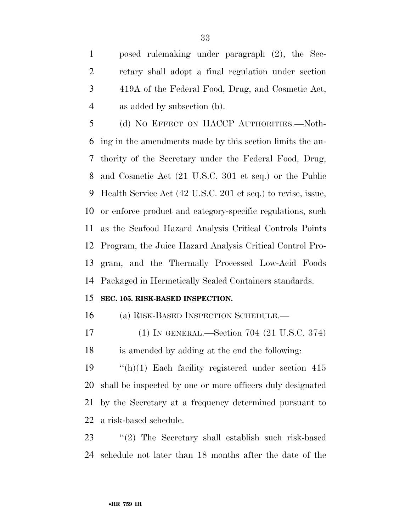posed rulemaking under paragraph (2), the Sec- retary shall adopt a final regulation under section 419A of the Federal Food, Drug, and Cosmetic Act, as added by subsection (b).

 (d) NO EFFECT ON HACCP AUTHORITIES.—Noth- ing in the amendments made by this section limits the au- thority of the Secretary under the Federal Food, Drug, and Cosmetic Act (21 U.S.C. 301 et seq.) or the Public Health Service Act (42 U.S.C. 201 et seq.) to revise, issue, or enforce product and category-specific regulations, such as the Seafood Hazard Analysis Critical Controls Points Program, the Juice Hazard Analysis Critical Control Pro- gram, and the Thermally Processed Low-Acid Foods Packaged in Hermetically Sealed Containers standards.

## **SEC. 105. RISK-BASED INSPECTION.**

(a) RISK-BASED INSPECTION SCHEDULE.—

(1) IN GENERAL.—Section 704 (21 U.S.C. 374)

is amended by adding at the end the following:

 ''(h)(1) Each facility registered under section 415 shall be inspected by one or more officers duly designated by the Secretary at a frequency determined pursuant to a risk-based schedule.

 ''(2) The Secretary shall establish such risk-based schedule not later than 18 months after the date of the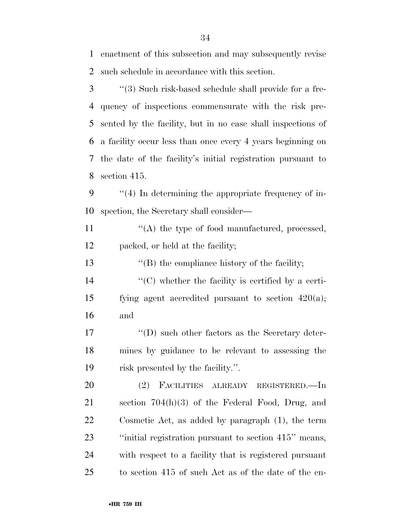enactment of this subsection and may subsequently revise such schedule in accordance with this section.

 ''(3) Such risk-based schedule shall provide for a fre- quency of inspections commensurate with the risk pre- sented by the facility, but in no case shall inspections of a facility occur less than once every 4 years beginning on the date of the facility's initial registration pursuant to section 415.

 ''(4) In determining the appropriate frequency of in-spection, the Secretary shall consider—

11  $\langle (A)$  the type of food manufactured, processed, packed, or held at the facility;

13 ''(B) the compliance history of the facility;

 ''(C) whether the facility is certified by a certi- fying agent accredited pursuant to section 420(a); and

17 ''(D) such other factors as the Secretary deter- mines by guidance to be relevant to assessing the risk presented by the facility.''.

 (2) FACILITIES ALREADY REGISTERED.—In section 704(h)(3) of the Federal Food, Drug, and Cosmetic Act, as added by paragraph (1), the term ''initial registration pursuant to section 415'' means, with respect to a facility that is registered pursuant to section 415 of such Act as of the date of the en-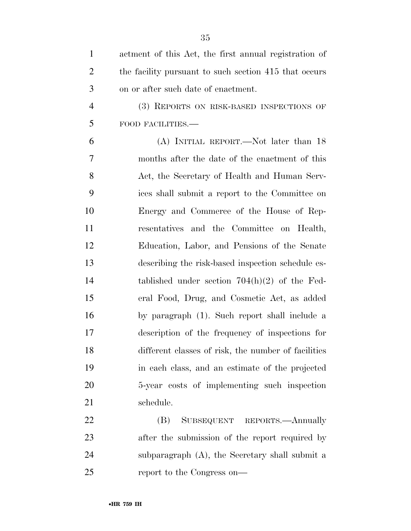| $\mathbf{1}$   | actment of this Act, the first annual registration of |
|----------------|-------------------------------------------------------|
| $\overline{2}$ | the facility pursuant to such section 415 that occurs |
| 3              | on or after such date of enactment.                   |
| $\overline{4}$ | (3) REPORTS ON RISK-BASED INSPECTIONS OF              |
| 5              | FOOD FACILITIES.-                                     |
| 6              | (A) INITIAL REPORT.—Not later than 18                 |
| 7              | months after the date of the enactment of this        |
| 8              | Act, the Secretary of Health and Human Serv-          |
| 9              | ices shall submit a report to the Committee on        |
| 10             | Energy and Commerce of the House of Rep-              |
| 11             | resentatives and the Committee on Health,             |
| 12             | Education, Labor, and Pensions of the Senate          |
| 13             | describing the risk-based inspection schedule es-     |
| 14             | tablished under section $704(h)(2)$ of the Fed-       |
| 15             | eral Food, Drug, and Cosmetic Act, as added           |
| 16             | by paragraph (1). Such report shall include a         |
| 17             | description of the frequency of inspections for       |
| 18             | different classes of risk, the number of facilities   |
| 19             | in each class, and an estimate of the projected       |
| 20             | 5-year costs of implementing such inspection          |
| 21             | schedule.                                             |
| 22             | SUBSEQUENT REPORTS.—Annually<br>(B)                   |
| 23             | after the submission of the report required by        |
| 24             | subparagraph (A), the Secretary shall submit a        |
| 25             | report to the Congress on—                            |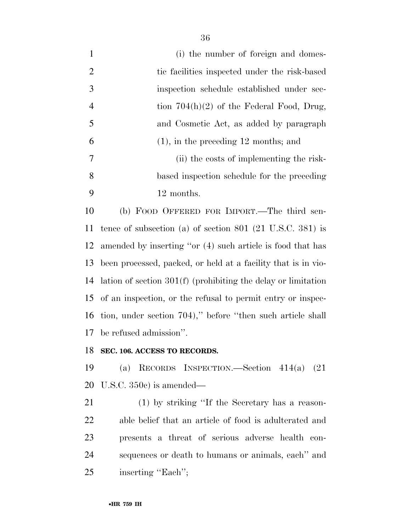1 (i) the number of foreign and domes-2 tic facilities inspected under the risk-based inspection schedule established under sec-4 tion 704(h)(2) of the Federal Food, Drug, and Cosmetic Act, as added by paragraph (1), in the preceding 12 months; and (ii) the costs of implementing the risk- based inspection schedule for the preceding 12 months.

 (b) FOOD OFFERED FOR IMPORT.—The third sen- tence of subsection (a) of section 801 (21 U.S.C. 381) is amended by inserting ''or (4) such article is food that has been processed, packed, or held at a facility that is in vio- lation of section 301(f) (prohibiting the delay or limitation of an inspection, or the refusal to permit entry or inspec- tion, under section 704),'' before ''then such article shall be refused admission''.

### **SEC. 106. ACCESS TO RECORDS.**

 (a) RECORDS INSPECTION.—Section 414(a) (21 U.S.C. 350c) is amended—

 (1) by striking ''If the Secretary has a reason- able belief that an article of food is adulterated and presents a threat of serious adverse health con- sequences or death to humans or animals, each'' and 25 inserting "Each";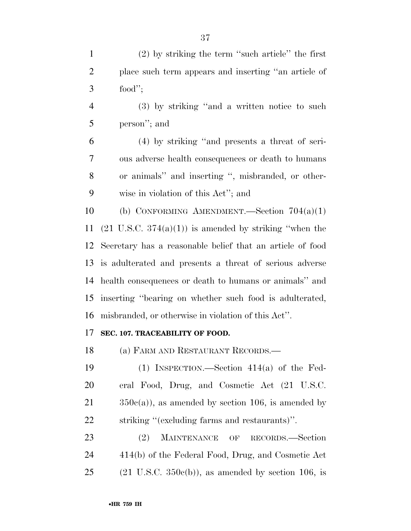|           | $(2)$ by striking the term "such article" the first  |
|-----------|------------------------------------------------------|
|           | place such term appears and inserting "an article of |
| $3 \quad$ | food";                                               |

 (3) by striking ''and a written notice to such person''; and

 (4) by striking ''and presents a threat of seri- ous adverse health consequences or death to humans or animals'' and inserting '', misbranded, or other-wise in violation of this Act''; and

 (b) CONFORMING AMENDMENT.—Section 704(a)(1)  $(21 \text{ U.S.C. } 374(a)(1))$  is amended by striking "when the Secretary has a reasonable belief that an article of food is adulterated and presents a threat of serious adverse health consequences or death to humans or animals'' and inserting ''bearing on whether such food is adulterated, misbranded, or otherwise in violation of this Act''.

## **SEC. 107. TRACEABILITY OF FOOD.**

(a) FARM AND RESTAURANT RECORDS.—

 (1) INSPECTION.—Section 414(a) of the Fed- eral Food, Drug, and Cosmetic Act (21 U.S.C.  $350c(a)$ , as amended by section 106, is amended by striking ''(excluding farms and restaurants)''.

 (2) MAINTENANCE OF RECORDS.—Section 414(b) of the Federal Food, Drug, and Cosmetic Act 25 (21 U.S.C.  $350c(b)$ ), as amended by section 106, is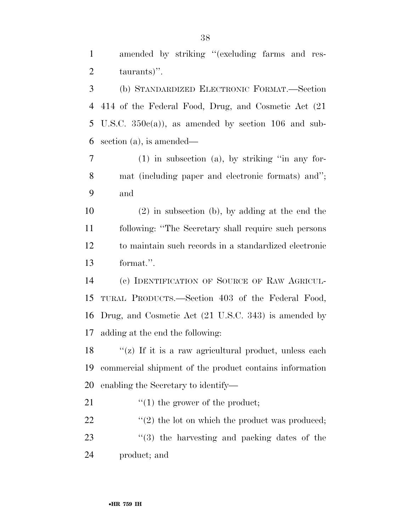1 amended by striking "(excluding farms and res-taurants)''.

 (b) STANDARDIZED ELECTRONIC FORMAT.—Section 414 of the Federal Food, Drug, and Cosmetic Act (21 5 U.S.C.  $350c(a)$ , as amended by section 106 and sub-section (a), is amended—

 (1) in subsection (a), by striking ''in any for- mat (including paper and electronic formats) and''; and

 (2) in subsection (b), by adding at the end the following: ''The Secretary shall require such persons to maintain such records in a standardized electronic format.''.

 (c) IDENTIFICATION OF SOURCE OF RAW AGRICUL- TURAL PRODUCTS.—Section 403 of the Federal Food, Drug, and Cosmetic Act (21 U.S.C. 343) is amended by adding at the end the following:

18  $\langle \mathbf{r}(z) \rangle$  If it is a raw agricultural product, unless each commercial shipment of the product contains information enabling the Secretary to identify—

21  $\frac{1}{2}$   $\frac{1}{2}$  the grower of the product;

22  $\langle \cdot (2) \rangle$  the lot on which the product was produced; 23 ''(3) the harvesting and packing dates of the

product; and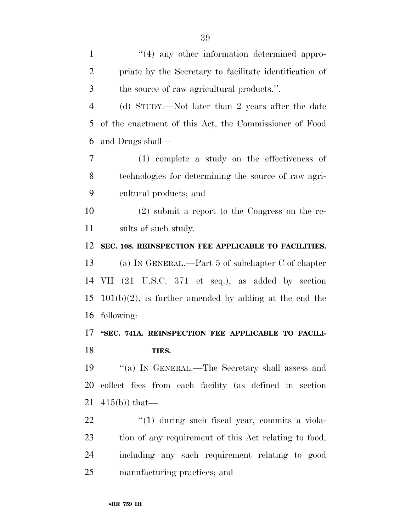| $\mathbf{1}$   | "(4) any other information determined appro-              |
|----------------|-----------------------------------------------------------|
| $\overline{2}$ | priate by the Secretary to facilitate identification of   |
| 3              | the source of raw agricultural products.".                |
| $\overline{4}$ | (d) STUDY.—Not later than 2 years after the date          |
| 5              | of the enactment of this Act, the Commissioner of Food    |
| 6              | and Drugs shall—                                          |
| 7              | $(1)$ complete a study on the effectiveness of            |
| 8              | technologies for determining the source of raw agri-      |
| 9              | cultural products; and                                    |
| 10             | $(2)$ submit a report to the Congress on the re-          |
| 11             | sults of such study.                                      |
| 12             | SEC. 108. REINSPECTION FEE APPLICABLE TO FACILITIES.      |
| 13             | (a) IN GENERAL.—Part 5 of subchapter $C$ of chapter       |
| 14             | VII (21 U.S.C. 371 et seq.), as added by section          |
| 15             | $101(b)(2)$ , is further amended by adding at the end the |
| 16             | following:                                                |
| 17             | "SEC. 741A. REINSPECTION FEE APPLICABLE TO FACILI-        |
| 18             | TIES.                                                     |
| 19             | "(a) IN GENERAL.—The Secretary shall assess and           |
| 20             | collect fees from each facility (as defined in section    |
| 21             | $415(b)$ that—                                            |
|                |                                                           |

22 ''(1) during such fiscal year, commits a viola- tion of any requirement of this Act relating to food, including any such requirement relating to good manufacturing practices; and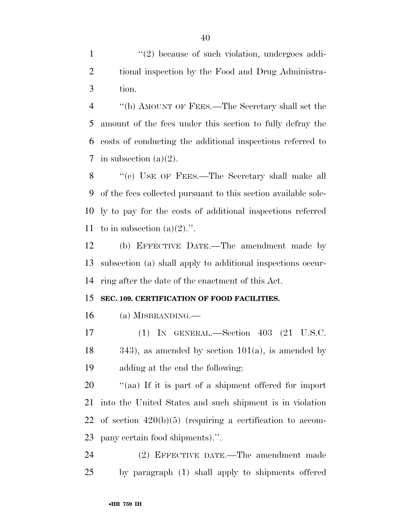1  $\frac{1}{2}$  because of such violation, undergoes addi- tional inspection by the Food and Drug Administra-tion.

 ''(b) AMOUNT OF FEES.—The Secretary shall set the amount of the fees under this section to fully defray the costs of conducting the additional inspections referred to 7 in subsection  $(a)(2)$ .

8 "(c) USE OF FEES.—The Secretary shall make all of the fees collected pursuant to this section available sole- ly to pay for the costs of additional inspections referred 11 to in subsection  $(a)(2)$ .".

 (b) EFFECTIVE DATE.—The amendment made by subsection (a) shall apply to additional inspections occur-ring after the date of the enactment of this Act.

### **SEC. 109. CERTIFICATION OF FOOD FACILITIES.**

(a) MISBRANDING.—

 (1) IN GENERAL.—Section 403 (21 U.S.C.  $18 \qquad \qquad 343$ , as amended by section  $101(a)$ , is amended by adding at the end the following:

 $\frac{1}{20}$  (aa) If it is part of a shipment offered for import into the United States and such shipment is in violation of section 420(b)(5) (requiring a certification to accom-pany certain food shipments).''.

 (2) EFFECTIVE DATE.—The amendment made by paragraph (1) shall apply to shipments offered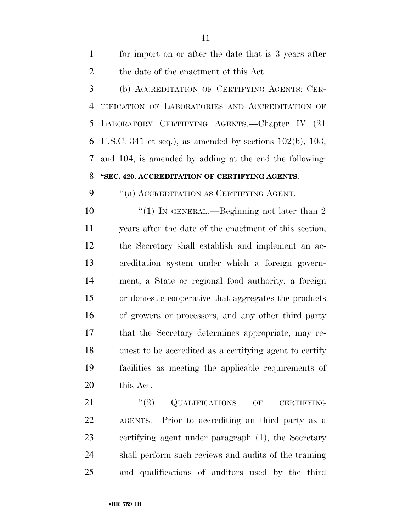for import on or after the date that is 3 years after the date of the enactment of this Act. (b) ACCREDITATION OF CERTIFYING AGENTS; CER- TIFICATION OF LABORATORIES AND ACCREDITATION OF LABORATORY CERTIFYING AGENTS.—Chapter IV (21 6 U.S.C. 341 et seq.), as amended by sections  $102(b)$ ,  $103$ , and 104, is amended by adding at the end the following: **''SEC. 420. ACCREDITATION OF CERTIFYING AGENTS.**  9 "(a) ACCREDITATION AS CERTIFYING AGENT.—  $\frac{1}{2}$  (1) In GENERAL.—Beginning not later than 2 years after the date of the enactment of this section, the Secretary shall establish and implement an ac- creditation system under which a foreign govern- ment, a State or regional food authority, a foreign or domestic cooperative that aggregates the products of growers or processors, and any other third party that the Secretary determines appropriate, may re- quest to be accredited as a certifying agent to certify facilities as meeting the applicable requirements of

this Act.

21 ''(2) QUALIFICATIONS OF CERTIFYING AGENTS.—Prior to accrediting an third party as a certifying agent under paragraph (1), the Secretary shall perform such reviews and audits of the training and qualifications of auditors used by the third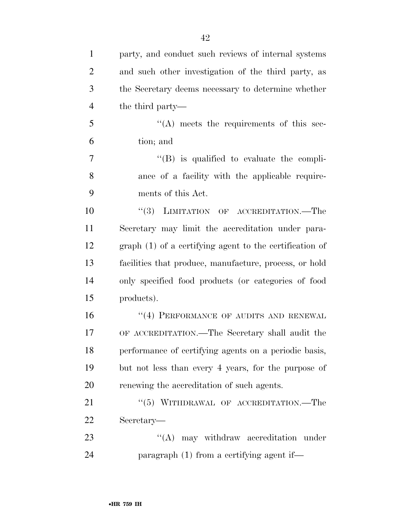| $\mathbf{1}$   | party, and conduct such reviews of internal systems      |
|----------------|----------------------------------------------------------|
| $\overline{2}$ | and such other investigation of the third party, as      |
| 3              | the Secretary deems necessary to determine whether       |
| $\overline{4}$ | the third party—                                         |
| 5              | $\lq\lq$ meets the requirements of this sec-             |
| 6              | tion; and                                                |
| 7              | $\lq\lq$ is qualified to evaluate the compli-            |
| 8              | ance of a facility with the applicable require-          |
| 9              | ments of this Act.                                       |
| 10             | "(3) LIMITATION OF ACCREDITATION.—The                    |
| 11             | Secretary may limit the accreditation under para-        |
| 12             | $graph(1)$ of a certifying agent to the certification of |
| 13             | facilities that produce, manufacture, process, or hold   |
| 14             | only specified food products (or categories of food      |
| 15             | products).                                               |
| 16             | "(4) PERFORMANCE OF AUDITS AND RENEWAL                   |
| 17             | OF ACCREDITATION.—The Secretary shall audit the          |
| 18             | performance of certifying agents on a periodic basis,    |
| 19             | but not less than every 4 years, for the purpose of      |
| 20             | renewing the accreditation of such agents.               |
| 21             | $``(5)$ WITHDRAWAL OF ACCREDITATION.—The                 |
| 22             | Secretary—                                               |
| 23             | $\lq\lq$ may withdraw accreditation under                |
| 24             | paragraph $(1)$ from a certifying agent if—              |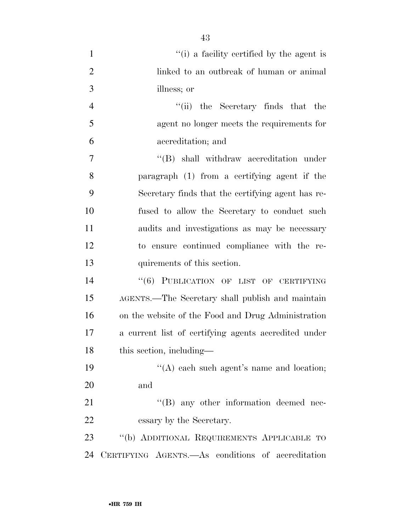| $\mathbf{1}$   | "(i) a facility certified by the agent is            |
|----------------|------------------------------------------------------|
| $\overline{2}$ | linked to an outbreak of human or animal             |
| 3              | illness; or                                          |
| $\overline{4}$ | "(ii) the Secretary finds that the                   |
| 5              | agent no longer meets the requirements for           |
| 6              | accreditation; and                                   |
| 7              | "(B) shall withdraw accreditation under              |
| 8              | paragraph (1) from a certifying agent if the         |
| 9              | Secretary finds that the certifying agent has re-    |
| 10             | fused to allow the Secretary to conduct such         |
| 11             | audits and investigations as may be necessary        |
| 12             | to ensure continued compliance with the re-          |
| 13             | quirements of this section.                          |
| 14             | "(6) PUBLICATION OF LIST OF CERTIFYING               |
| 15             | AGENTS.—The Secretary shall publish and maintain     |
| 16             | on the website of the Food and Drug Administration   |
| 17             | a current list of certifying agents accredited under |
| 18             | this section, including—                             |
| 19             | "(A) each such agent's name and location;            |
| 20             | and                                                  |
| 21             | "(B) any other information deemed nec-               |
| 22             | essary by the Secretary.                             |
| 23             | "(b) ADDITIONAL REQUIREMENTS APPLICABLE TO           |
| 24             | CERTIFYING AGENTS. As conditions of accreditation    |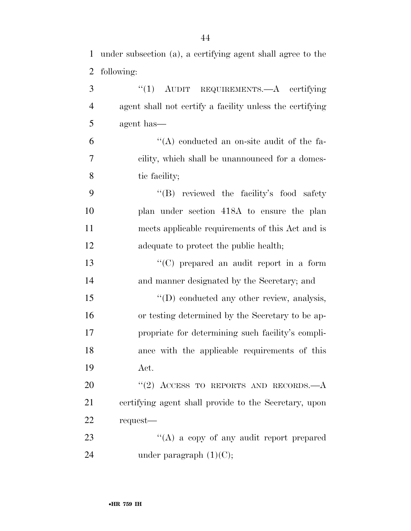under subsection (a), a certifying agent shall agree to the following:

| 3              | " $(1)$ AUDIT REQUIREMENTS.—A certifying                 |
|----------------|----------------------------------------------------------|
| $\overline{4}$ | agent shall not certify a facility unless the certifying |
| 5              | agent has—                                               |
| 6              | "(A) conducted an on-site audit of the fa-               |
| 7              | cility, which shall be unannounced for a domes-          |
| 8              | tic facility;                                            |
| 9              | "(B) reviewed the facility's food safety                 |
| 10             | plan under section 418A to ensure the plan               |
| 11             | meets applicable requirements of this Act and is         |
| 12             | adequate to protect the public health;                   |
| 13             | "(C) prepared an audit report in a form                  |
| 14             | and manner designated by the Secretary; and              |
| 15             | $\lq\lq$ conducted any other review, analysis,           |
| 16             | or testing determined by the Secretary to be ap-         |
| 17             | propriate for determining such facility's compli-        |
| 18             | ance with the applicable requirements of this            |
| 19             | Act.                                                     |
| 20             | "(2) ACCESS TO REPORTS AND RECORDS. $-A$                 |
| 21             | certifying agent shall provide to the Secretary, upon    |
| 22             | request—                                                 |
| 23             | "(A) a copy of any audit report prepared                 |
| 24             | under paragraph $(1)(C)$ ;                               |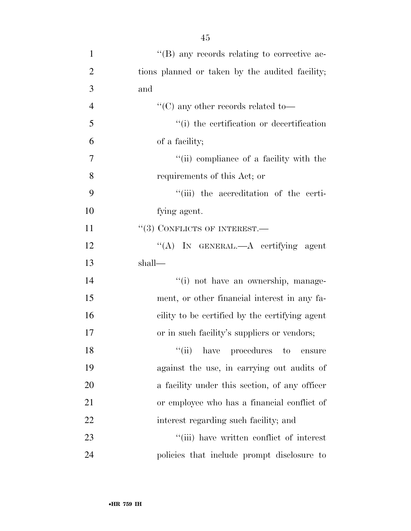| $\mathbf{1}$   | $\lq\lq (B)$ any records relating to corrective ac- |
|----------------|-----------------------------------------------------|
| $\overline{2}$ | tions planned or taken by the audited facility;     |
| 3              | and                                                 |
| $\overline{4}$ | "(C) any other records related to—                  |
| 5              | "(i) the certification or decertification           |
| 6              | of a facility;                                      |
| 7              | "(ii) compliance of a facility with the             |
| 8              | requirements of this Act; or                        |
| 9              | "(iii) the accreditation of the certi-              |
| 10             | fying agent.                                        |
| 11             | $``(3)$ CONFLICTS OF INTEREST.—                     |
| 12             | "(A) IN GENERAL.—A certifying agent                 |
| 13             | shall—                                              |
| 14             | "(i) not have an ownership, manage-                 |
| 15             | ment, or other financial interest in any fa-        |
| 16             | cility to be certified by the certifying agent      |
| 17             | or in such facility's suppliers or vendors;         |
| 18             | $``(ii)$ have procedures to<br>ensure               |
| 19             | against the use, in carrying out audits of          |
| 20             | a facility under this section, of any officer       |
| 21             | or employee who has a financial conflict of         |
| 22             | interest regarding such facility; and               |
| 23             | "(iii) have written conflict of interest            |
| 24             | policies that include prompt disclosure to          |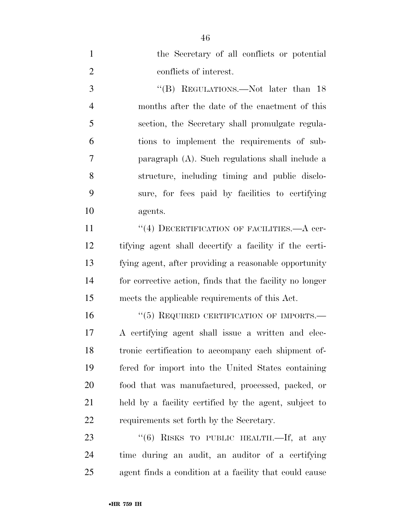| $\mathbf{1}$   | the Secretary of all conflicts or potential              |
|----------------|----------------------------------------------------------|
| $\overline{2}$ | conflicts of interest.                                   |
| 3              | "(B) REGULATIONS.—Not later than 18                      |
| $\overline{4}$ | months after the date of the enactment of this           |
| 5              | section, the Secretary shall promulgate regula-          |
| 6              | tions to implement the requirements of sub-              |
| 7              | paragraph (A). Such regulations shall include a          |
| 8              | structure, including timing and public disclo-           |
| 9              | sure, for fees paid by facilities to certifying          |
| 10             | agents.                                                  |
| 11             | "(4) DECERTIFICATION OF FACILITIES.—A cer-               |
| 12             | tifying agent shall decertify a facility if the certi-   |
| 13             | fying agent, after providing a reasonable opportunity    |
| 14             | for corrective action, finds that the facility no longer |
| 15             | meets the applicable requirements of this Act.           |
| 16             | $``(5)$ REQUIRED CERTIFICATION OF IMPORTS.—              |
| 17             | A certifying agent shall issue a written and elec-       |
| 18             | tronic certification to accompany each shipment of-      |
| 19             | fered for import into the United States containing       |
| 20             | food that was manufactured, processed, packed, or        |
| 21             | held by a facility certified by the agent, subject to    |
| 22             | requirements set forth by the Secretary.                 |
| 23             | "(6) RISKS TO PUBLIC HEALTH.—If, at any                  |
| 24             | time during an audit, an auditor of a certifying         |

agent finds a condition at a facility that could cause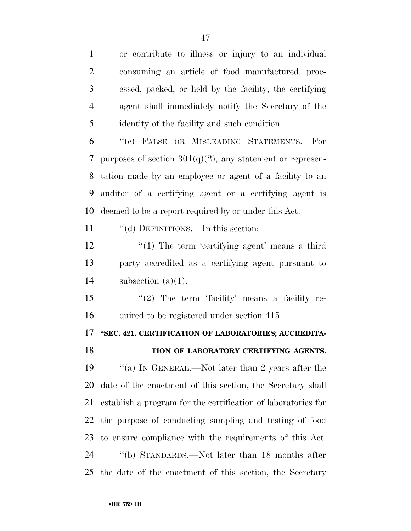or contribute to illness or injury to an individual consuming an article of food manufactured, proc- essed, packed, or held by the facility, the certifying agent shall immediately notify the Secretary of the identity of the facility and such condition.

 ''(c) FALSE OR MISLEADING STATEMENTS.—For 7 purposes of section  $301(q)(2)$ , any statement or represen- tation made by an employee or agent of a facility to an auditor of a certifying agent or a certifying agent is deemed to be a report required by or under this Act.

11 "(d) DEFINITIONS.—In this section:

12 ''(1) The term 'certifying agent' means a third party accredited as a certifying agent pursuant to 14 subsection  $(a)(1)$ .

15 "(2) The term 'facility' means a facility re-quired to be registered under section 415.

**''SEC. 421. CERTIFICATION OF LABORATORIES; ACCREDITA-**

### **TION OF LABORATORY CERTIFYING AGENTS.**

 ''(a) IN GENERAL.—Not later than 2 years after the date of the enactment of this section, the Secretary shall establish a program for the certification of laboratories for the purpose of conducting sampling and testing of food to ensure compliance with the requirements of this Act. ''(b) STANDARDS.—Not later than 18 months after the date of the enactment of this section, the Secretary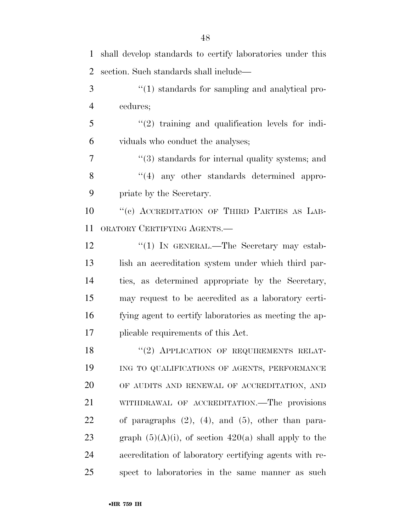| $\mathbf{1}$   | shall develop standards to certify laboratories under this   |
|----------------|--------------------------------------------------------------|
| $\overline{2}$ | section. Such standards shall include—                       |
| 3              | $\lq(1)$ standards for sampling and analytical pro-          |
| $\overline{4}$ | cedures;                                                     |
| 5              | $\lq(2)$ training and qualification levels for indi-         |
| 6              | viduals who conduct the analyses;                            |
| $\overline{7}$ | $\cdot\cdot$ (3) standards for internal quality systems; and |
| 8              | "(4) any other standards determined appro-                   |
| 9              | priate by the Secretary.                                     |
| 10             | "(c) ACCREDITATION OF THIRD PARTIES AS LAB-                  |
| 11             | ORATORY CERTIFYING AGENTS.—                                  |
| 12             | "(1) IN GENERAL.—The Secretary may estab-                    |
| 13             | lish an accreditation system under which third par-          |
| 14             | ties, as determined appropriate by the Secretary,            |
| 15             | may request to be accredited as a laboratory certi-          |
| 16             | fying agent to certify laboratories as meeting the ap-       |
| 17             | plicable requirements of this Act.                           |
| 18             | "(2) APPLICATION OF REQUIREMENTS RELAT-                      |
| 19             | ING TO QUALIFICATIONS OF AGENTS, PERFORMANCE                 |
| 20             | OF AUDITS AND RENEWAL OF ACCREDITATION, AND                  |
| 21             | WITHDRAWAL OF ACCREDITATION.—The provisions                  |
| 22             | of paragraphs $(2)$ , $(4)$ , and $(5)$ , other than para-   |
| 23             | graph $(5)(A)(i)$ , of section 420(a) shall apply to the     |
| 24             | accreditation of laboratory certifying agents with re-       |
| 25             | spect to laboratories in the same manner as such             |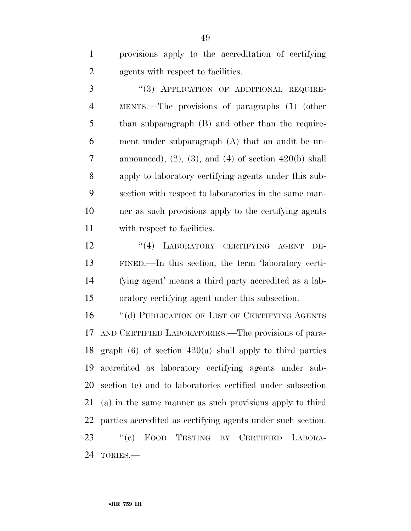provisions apply to the accreditation of certifying agents with respect to facilities.

3 "(3) APPLICATION OF ADDITIONAL REQUIRE- MENTS.—The provisions of paragraphs (1) (other 5 than subparagraph (B) and other than the require- ment under subparagraph (A) that an audit be un-7 announced), (2), (3), and (4) of section  $420(b)$  shall apply to laboratory certifying agents under this sub- section with respect to laboratories in the same man- ner as such provisions apply to the certifying agents with respect to facilities.

12 "(4) LABORATORY CERTIFYING AGENT DE- FINED.—In this section, the term 'laboratory certi- fying agent' means a third party accredited as a lab-oratory certifying agent under this subsection.

16 "(d) PUBLICATION OF LIST OF CERTIFYING AGENTS AND CERTIFIED LABORATORIES.—The provisions of para- graph (6) of section 420(a) shall apply to third parties accredited as laboratory certifying agents under sub- section (c) and to laboratories certified under subsection (a) in the same manner as such provisions apply to third parties accredited as certifying agents under such section. ''(e) FOOD TESTING BY CERTIFIED LABORA-TORIES.—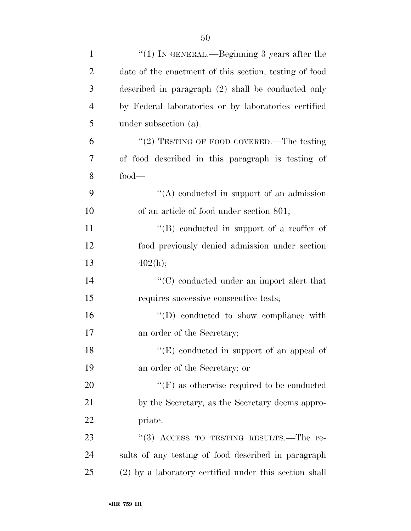| $\mathbf{1}$   | "(1) IN GENERAL.—Beginning 3 years after the           |
|----------------|--------------------------------------------------------|
| $\overline{2}$ | date of the enactment of this section, testing of food |
| 3              | described in paragraph (2) shall be conducted only     |
| $\overline{4}$ | by Federal laboratories or by laboratories certified   |
| 5              | under subsection (a).                                  |
| 6              | "(2) TESTING OF FOOD COVERED.—The testing              |
| $\overline{7}$ | of food described in this paragraph is testing of      |
| 8              | $food-$                                                |
| 9              | $\lq\lq$ conducted in support of an admission          |
| 10             | of an article of food under section 801;               |
| 11             | "(B) conducted in support of a reoffer of              |
| 12             | food previously denied admission under section         |
| 13             | 402(h);                                                |
| 14             | $\cdot$ (C) conducted under an import alert that       |
| 15             | requires successive consecutive tests;                 |
| 16             | $\lq\lq$ (D) conducted to show compliance with         |
| 17             | an order of the Secretary;                             |
| 18             | $"$ (E) conducted in support of an appeal of           |
| 19             | an order of the Secretary; or                          |
| 20             | $\lq\lq(F)$ as otherwise required to be conducted      |
| 21             | by the Secretary, as the Secretary deems appro-        |
| 22             | priate.                                                |
| 23             | "(3) ACCESS TO TESTING RESULTS.—The re-                |
| 24             | sults of any testing of food described in paragraph    |
| 25             | (2) by a laboratory certified under this section shall |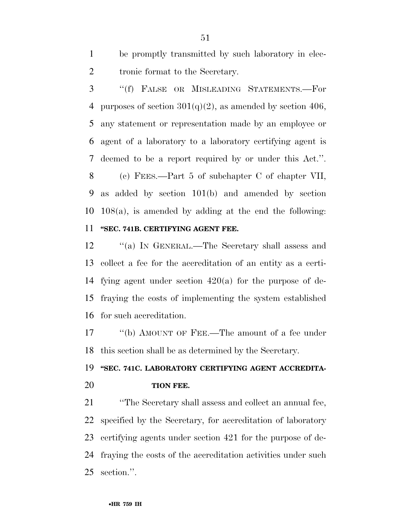be promptly transmitted by such laboratory in elec-tronic format to the Secretary.

 ''(f) FALSE OR MISLEADING STATEMENTS.—For 4 purposes of section  $301(q)(2)$ , as amended by section 406, any statement or representation made by an employee or agent of a laboratory to a laboratory certifying agent is deemed to be a report required by or under this Act.''. (c) FEES.—Part 5 of subchapter C of chapter VII, as added by section 101(b) and amended by section 108(a), is amended by adding at the end the following: **''SEC. 741B. CERTIFYING AGENT FEE.** 

12 "(a) IN GENERAL.—The Secretary shall assess and collect a fee for the accreditation of an entity as a certi- fying agent under section 420(a) for the purpose of de- fraying the costs of implementing the system established for such accreditation.

17 "(b) AMOUNT OF FEE.—The amount of a fee under this section shall be as determined by the Secretary.

# **''SEC. 741C. LABORATORY CERTIFYING AGENT ACCREDITA-TION FEE.**

 ''The Secretary shall assess and collect an annual fee, specified by the Secretary, for accreditation of laboratory certifying agents under section 421 for the purpose of de- fraying the costs of the accreditation activities under such section.''.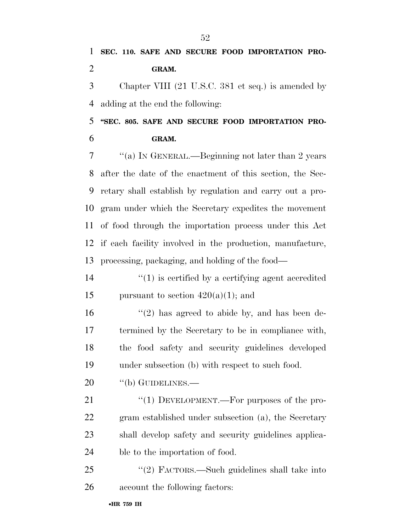**SEC. 110. SAFE AND SECURE FOOD IMPORTATION PRO-GRAM.** 

 Chapter VIII (21 U.S.C. 381 et seq.) is amended by adding at the end the following:

 **''SEC. 805. SAFE AND SECURE FOOD IMPORTATION PRO-GRAM.** 

 ''(a) IN GENERAL.—Beginning not later than 2 years after the date of the enactment of this section, the Sec- retary shall establish by regulation and carry out a pro- gram under which the Secretary expedites the movement of food through the importation process under this Act if each facility involved in the production, manufacture, processing, packaging, and holding of the food—

14  $\qquad$  (1) is certified by a certifying agent accredited 15 pursuant to section  $420(a)(1)$ ; and

16 ''(2) has agreed to abide by, and has been de- termined by the Secretary to be in compliance with, the food safety and security guidelines developed under subsection (b) with respect to such food.

20 "(b) GUIDELINES.—

21 "(1) DEVELOPMENT.—For purposes of the pro- gram established under subsection (a), the Secretary shall develop safety and security guidelines applica-ble to the importation of food.

 ''(2) FACTORS.—Such guidelines shall take into account the following factors: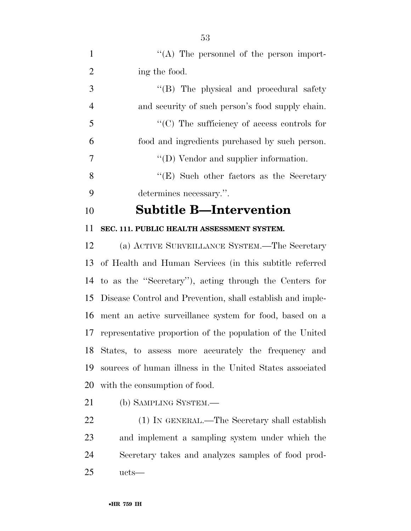| $\mathbf{1}$   | $\lq\lq$ . The personnel of the person import-             |
|----------------|------------------------------------------------------------|
| $\overline{2}$ | ing the food.                                              |
| 3              | "(B) The physical and procedural safety                    |
| $\overline{4}$ | and security of such person's food supply chain.           |
| 5              | $\lq\lq$ (C) The sufficiency of access controls for        |
| 6              | food and ingredients purchased by such person.             |
| $\overline{7}$ | $\lq\lq$ (D) Vendor and supplier information.              |
| 8              | " $(E)$ Such other factors as the Secretary"               |
| 9              | determines necessary.".                                    |
|                |                                                            |
| 10             | <b>Subtitle B—Intervention</b>                             |
| 11             | SEC. 111. PUBLIC HEALTH ASSESSMENT SYSTEM.                 |
| 12             | (a) ACTIVE SURVEILLANCE SYSTEM.—The Secretary              |
| 13             | of Health and Human Services (in this subtitle referred    |
| 14             | to as the "Secretary"), acting through the Centers for     |
| 15             | Disease Control and Prevention, shall establish and imple- |
| 16             | ment an active surveillance system for food, based on a    |
| 17             | representative proportion of the population of the United  |

- with the consumption of food.
- (b) SAMPLING SYSTEM.—

 (1) IN GENERAL.—The Secretary shall establish and implement a sampling system under which the Secretary takes and analyzes samples of food prod-ucts—

sources of human illness in the United States associated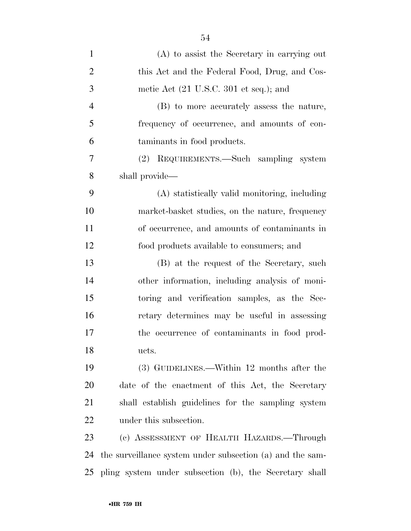| $\mathbf{1}$   | $(A)$ to assist the Secretary in carrying out             |
|----------------|-----------------------------------------------------------|
| $\overline{2}$ | this Act and the Federal Food, Drug, and Cos-             |
| 3              | metic Act $(21 \text{ U.S.C. } 301 \text{ et seq.});$ and |
| $\overline{4}$ | (B) to more accurately assess the nature,                 |
| 5              | frequency of occurrence, and amounts of con-              |
| 6              | taminants in food products.                               |
| 7              | REQUIREMENTS.—Such sampling system<br>(2)                 |
| 8              | shall provide—                                            |
| 9              | (A) statistically valid monitoring, including             |
| 10             | market-basket studies, on the nature, frequency           |
| 11             | of occurrence, and amounts of contaminants in             |
| 12             | food products available to consumers; and                 |
| 13             | (B) at the request of the Secretary, such                 |
| 14             | other information, including analysis of moni-            |
| 15             | toring and verification samples, as the Sec-              |
| 16             | retary determines may be useful in assessing              |
| 17             | the occurrence of contaminants in food prod-              |
| 18             | ucts.                                                     |
| 19             | (3) GUIDELINES.—Within 12 months after the                |
| 20             | date of the enactment of this Act, the Secretary          |
| 21             | shall establish guidelines for the sampling system        |
| <u>22</u>      | under this subsection.                                    |
| 23             | (c) ASSESSMENT OF HEALTH HAZARDS.—Through                 |
| 24             | the surveillance system under subsection (a) and the sam- |
|                | 25 pling system under subsection (b), the Secretary shall |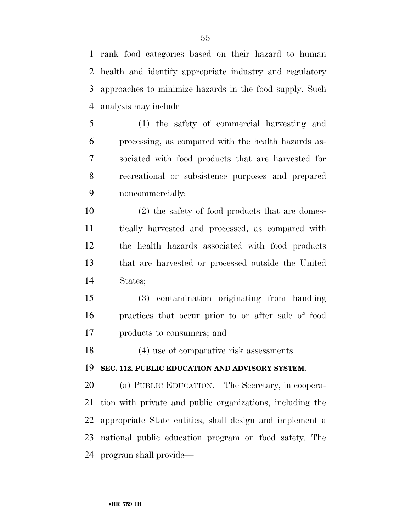rank food categories based on their hazard to human health and identify appropriate industry and regulatory approaches to minimize hazards in the food supply. Such analysis may include—

 (1) the safety of commercial harvesting and processing, as compared with the health hazards as- sociated with food products that are harvested for recreational or subsistence purposes and prepared noncommercially;

 (2) the safety of food products that are domes- tically harvested and processed, as compared with the health hazards associated with food products that are harvested or processed outside the United States;

 (3) contamination originating from handling practices that occur prior to or after sale of food products to consumers; and

(4) use of comparative risk assessments.

**SEC. 112. PUBLIC EDUCATION AND ADVISORY SYSTEM.** 

 (a) PUBLIC EDUCATION.—The Secretary, in coopera- tion with private and public organizations, including the appropriate State entities, shall design and implement a national public education program on food safety. The program shall provide—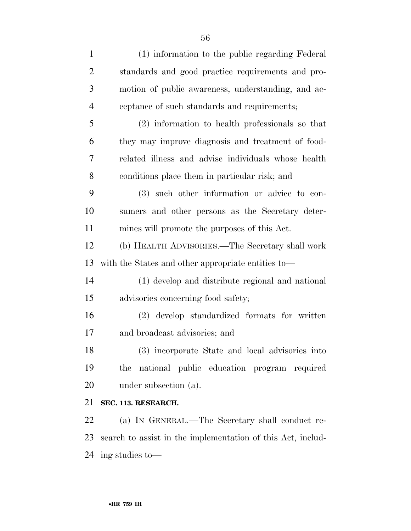| $\mathbf{1}$   | (1) information to the public regarding Federal             |
|----------------|-------------------------------------------------------------|
| $\overline{2}$ | standards and good practice requirements and pro-           |
| 3              | motion of public awareness, understanding, and ac-          |
| $\overline{4}$ | ceptance of such standards and requirements;                |
| 5              | (2) information to health professionals so that             |
| 6              | they may improve diagnosis and treatment of food-           |
| 7              | related illness and advise individuals whose health         |
| 8              | conditions place them in particular risk; and               |
| 9              | (3) such other information or advice to con-                |
| 10             | sumers and other persons as the Secretary deter-            |
| 11             | mines will promote the purposes of this Act.                |
| 12             | (b) HEALTH ADVISORIES.—The Secretary shall work             |
| 13             | with the States and other appropriate entities to—          |
| 14             | (1) develop and distribute regional and national            |
| 15             | advisories concerning food safety;                          |
| 16             | (2) develop standardized formats for written                |
| 17             | and broadcast advisories; and                               |
| 18             | (3) incorporate State and local advisories into             |
| 19             | national public education program required<br>the           |
| 20             | under subsection (a).                                       |
| 21             | SEC. 113. RESEARCH.                                         |
| 22             | (a) IN GENERAL.—The Secretary shall conduct re-             |
| 23             | search to assist in the implementation of this Act, includ- |
|                |                                                             |

ing studies to—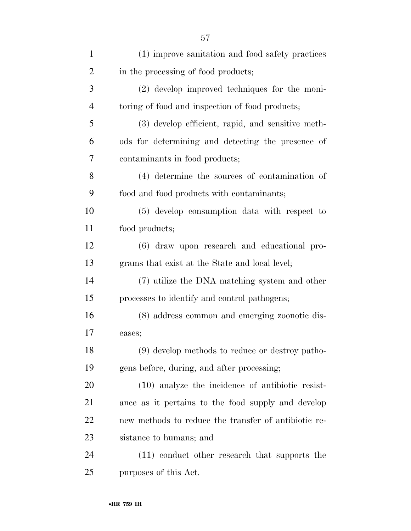| $\mathbf{1}$   | (1) improve sanitation and food safety practices     |
|----------------|------------------------------------------------------|
| $\overline{2}$ | in the processing of food products;                  |
| 3              | $(2)$ develop improved techniques for the moni-      |
| $\overline{4}$ | toring of food and inspection of food products;      |
| 5              | (3) develop efficient, rapid, and sensitive meth-    |
| 6              | ods for determining and detecting the presence of    |
| 7              | contaminants in food products;                       |
| 8              | (4) determine the sources of contamination of        |
| 9              | food and food products with contaminants;            |
| 10             | (5) develop consumption data with respect to         |
| 11             | food products;                                       |
| 12             | (6) draw upon research and educational pro-          |
| 13             | grams that exist at the State and local level;       |
| 14             | (7) utilize the DNA matching system and other        |
| 15             | processes to identify and control pathogens;         |
| 16             | (8) address common and emerging zoonotic dis-        |
| 17             | eases;                                               |
| 18             | (9) develop methods to reduce or destroy patho-      |
| 19             | gens before, during, and after processing;           |
| 20             | $(10)$ analyze the incidence of antibiotic resist-   |
| 21             | ance as it pertains to the food supply and develop   |
| 22             | new methods to reduce the transfer of antibiotic re- |
| 23             | sistance to humans; and                              |
| 24             | (11) conduct other research that supports the        |
| 25             | purposes of this Act.                                |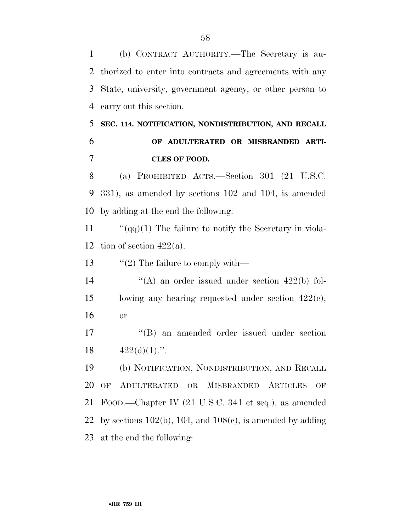(b) CONTRACT AUTHORITY.—The Secretary is au- thorized to enter into contracts and agreements with any State, university, government agency, or other person to carry out this section.

# **SEC. 114. NOTIFICATION, NONDISTRIBUTION, AND RECALL OF ADULTERATED OR MISBRANDED ARTI-CLES OF FOOD.**

 (a) PROHIBITED ACTS.—Section 301 (21 U.S.C. 331), as amended by sections 102 and 104, is amended by adding at the end the following:

11  $\frac{1}{q}$  (qq)(1) The failure to notify the Secretary in viola-12 tion of section  $422(a)$ .

13  $\frac{1}{2}$  The failure to comply with—

14  $\langle A \rangle$  an order issued under section 422(b) fol- lowing any hearing requested under section 422(c); or

 ''(B) an amended order issued under section 18  $422(d)(1)$ .".

 (b) NOTIFICATION, NONDISTRIBUTION, AND RECALL OF ADULTERATED OR MISBRANDED ARTICLES OF FOOD.—Chapter IV (21 U.S.C. 341 et seq.), as amended 22 by sections  $102(b)$ , 104, and  $108(c)$ , is amended by adding at the end the following: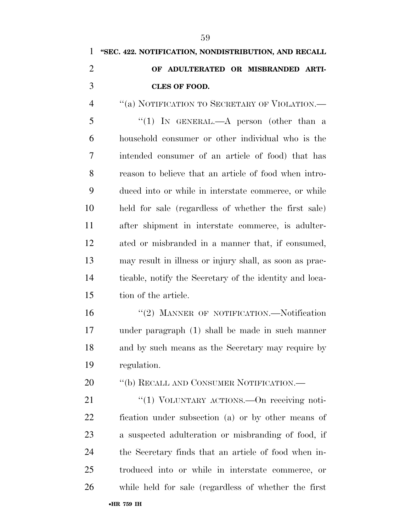# **''SEC. 422. NOTIFICATION, NONDISTRIBUTION, AND RECALL OF ADULTERATED OR MISBRANDED ARTI- CLES OF FOOD.**  ''(a) NOTIFICATION TO SECRETARY OF VIOLATION.—

5 "(1) In GENERAL.—A person (other than a household consumer or other individual who is the intended consumer of an article of food) that has reason to believe that an article of food when intro- duced into or while in interstate commerce, or while held for sale (regardless of whether the first sale) after shipment in interstate commerce, is adulter- ated or misbranded in a manner that, if consumed, may result in illness or injury shall, as soon as prac- ticable, notify the Secretary of the identity and loca-tion of the article.

16 "(2) MANNER OF NOTIFICATION.—Notification under paragraph (1) shall be made in such manner and by such means as the Secretary may require by regulation.

20 "(b) RECALL AND CONSUMER NOTIFICATION.—

21 "(1) VOLUNTARY ACTIONS.—On receiving noti- fication under subsection (a) or by other means of a suspected adulteration or misbranding of food, if the Secretary finds that an article of food when in- troduced into or while in interstate commerce, or while held for sale (regardless of whether the first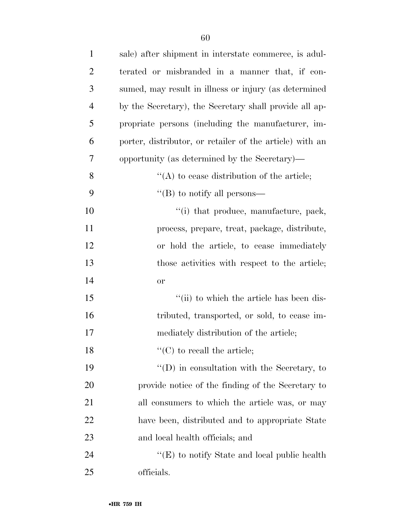| $\mathbf{1}$   | sale) after shipment in interstate commerce, is adul-    |
|----------------|----------------------------------------------------------|
| $\overline{2}$ | terated or misbranded in a manner that, if con-          |
| 3              | sumed, may result in illness or injury (as determined    |
| $\overline{4}$ | by the Secretary), the Secretary shall provide all ap-   |
| 5              | propriate persons (including the manufacturer, im-       |
| 6              | porter, distributor, or retailer of the article) with an |
| 7              | opportunity (as determined by the Secretary)—            |
| 8              | $\lq\lq$ to cease distribution of the article;           |
| 9              | "(B) to notify all persons—                              |
| 10             | "(i) that produce, manufacture, pack,                    |
| 11             | process, prepare, treat, package, distribute,            |
| 12             | or hold the article, to cease immediately                |
| 13             | those activities with respect to the article;            |
| 14             | <b>or</b>                                                |
| 15             | "(ii) to which the article has been dis-                 |
| 16             | tributed, transported, or sold, to cease im-             |
| 17             | mediately distribution of the article;                   |
| 18             | $\lq\lq$ (C) to recall the article;                      |
| 19             | $\lq\lq$ (D) in consultation with the Secretary, to      |
| 20             | provide notice of the finding of the Secretary to        |
| 21             | all consumers to which the article was, or may           |
| 22             | have been, distributed and to appropriate State          |
| 23             | and local health officials; and                          |
| 24             | " $(E)$ to notify State and local public health          |
| 25             | officials.                                               |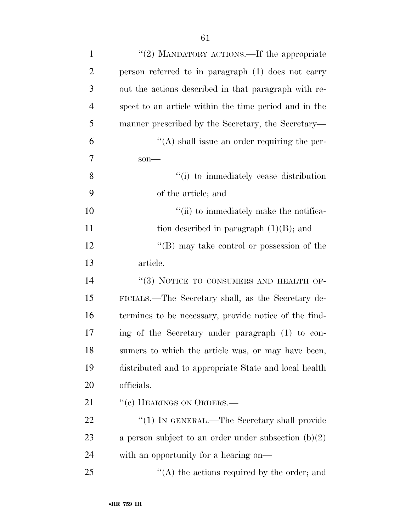| "(2) MANDATORY ACTIONS.—If the appropriate             |
|--------------------------------------------------------|
| person referred to in paragraph (1) does not carry     |
| out the actions described in that paragraph with re-   |
| spect to an article within the time period and in the  |
| manner prescribed by the Secretary, the Secretary—     |
| $\lq\lq$ shall issue an order requiring the per-       |
| $son$ —                                                |
| "(i) to immediately cease distribution                 |
| of the article; and                                    |
| "(ii) to immediately make the notifica-                |
| tion described in paragraph $(1)(B)$ ; and             |
| $\lq\lq (B)$ may take control or possession of the     |
| article.                                               |
| "(3) NOTICE TO CONSUMERS AND HEALTH OF-                |
| FICIALS.—The Secretary shall, as the Secretary de-     |
| termines to be necessary, provide notice of the find-  |
|                                                        |
| ing of the Secretary under paragraph (1) to con-       |
| sumers to which the article was, or may have been,     |
| distributed and to appropriate State and local health  |
| officials.                                             |
| "(c) HEARINGS ON ORDERS.—                              |
| "(1) IN GENERAL.—The Secretary shall provide           |
| a person subject to an order under subsection $(b)(2)$ |
| with an opportunity for a hearing on—                  |
|                                                        |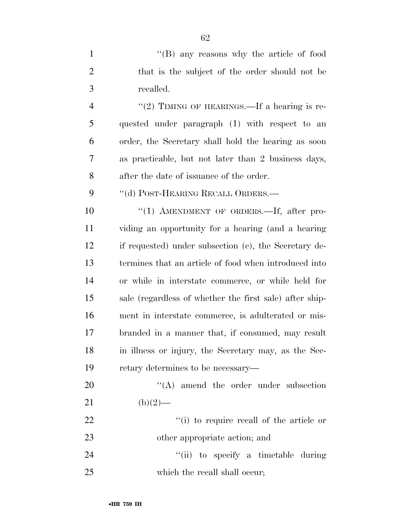1 ''(B) any reasons why the article of food that is the subject of the order should not be recalled.

4 "(2) TIMING OF HEARINGS.—If a hearing is re- quested under paragraph (1) with respect to an order, the Secretary shall hold the hearing as soon as practicable, but not later than 2 business days, after the date of issuance of the order.

9 "(d) POST-HEARING RECALL ORDERS.—

10 "(1) AMENDMENT OF ORDERS.—If, after pro- viding an opportunity for a hearing (and a hearing if requested) under subsection (c), the Secretary de- termines that an article of food when introduced into or while in interstate commerce, or while held for sale (regardless of whether the first sale) after ship- ment in interstate commerce, is adulterated or mis- branded in a manner that, if consumed, may result in illness or injury, the Secretary may, as the Sec-retary determines to be necessary—

20  $\langle (A) \rangle$  amend the order under subsection 21 (b)(2)— 22 ''(i) to require recall of the article or other appropriate action; and

24 ''(ii) to specify a timetable during 25 which the recall shall occur;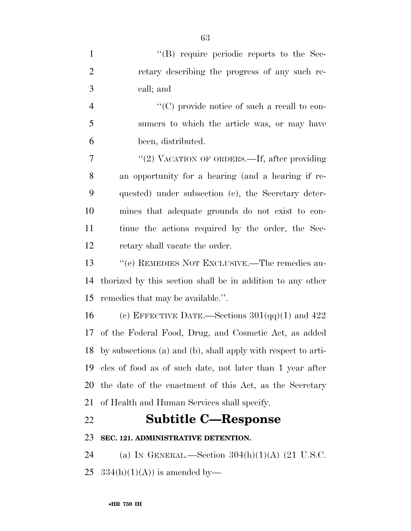| $\mathbf{1}$   | $\lq\lq$ require periodic reports to the Sec-                    |
|----------------|------------------------------------------------------------------|
| $\overline{2}$ | retary describing the progress of any such re-                   |
| 3              | call; and                                                        |
| $\overline{4}$ | "(C) provide notice of such a recall to con-                     |
| 5              | sumers to which the article was, or may have                     |
| 6              | been, distributed.                                               |
| $\overline{7}$ | "(2) VACATION OF ORDERS.—If, after providing                     |
| 8              | an opportunity for a hearing (and a hearing if re-               |
| 9              | quested) under subsection (c), the Secretary deter-              |
| 10             | mines that adequate grounds do not exist to con-                 |
| 11             | tinue the actions required by the order, the Sec-                |
| 12             | retary shall vacate the order.                                   |
| 13             | "(e) REMEDIES NOT EXCLUSIVE.—The remedies au-                    |
| 14             | thorized by this section shall be in addition to any other       |
| 15             | remedies that may be available.".                                |
| 16             | (c) EFFECTIVE DATE.—Sections $301(qq)(1)$ and $422$              |
|                | 17 of the Federal Food, Drug, and Cosmetic Act, as added         |
|                | 18 by subsections (a) and (b), shall apply with respect to arti- |
| 19             | cles of food as of such date, not later than 1 year after        |
| 20             | the date of the enactment of this Act, as the Secretary          |
| 21             | of Health and Human Services shall specify.                      |
| 22             | <b>Subtitle C-Response</b>                                       |
| 23             | SEC. 121. ADMINISTRATIVE DETENTION.                              |
| 24             | (a) IN GENERAL.—Section $304(h)(1)(A)$ (21 U.S.C.                |

25 334(h)(1)(A)) is amended by—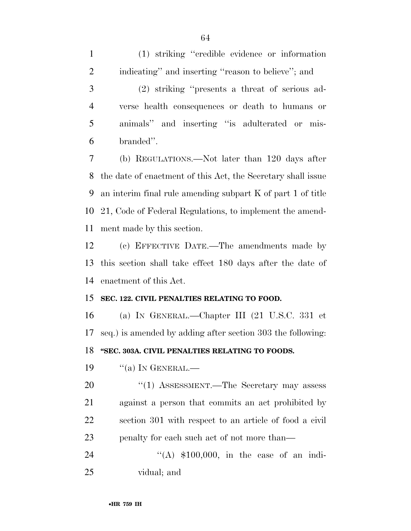(1) striking ''credible evidence or information indicating'' and inserting ''reason to believe''; and

 (2) striking ''presents a threat of serious ad- verse health consequences or death to humans or animals'' and inserting ''is adulterated or mis-branded''.

 (b) REGULATIONS.—Not later than 120 days after the date of enactment of this Act, the Secretary shall issue an interim final rule amending subpart K of part 1 of title 21, Code of Federal Regulations, to implement the amend-ment made by this section.

 (c) EFFECTIVE DATE.—The amendments made by this section shall take effect 180 days after the date of enactment of this Act.

### **SEC. 122. CIVIL PENALTIES RELATING TO FOOD.**

 (a) IN GENERAL.—Chapter III (21 U.S.C. 331 et seq.) is amended by adding after section 303 the following: **''SEC. 303A. CIVIL PENALTIES RELATING TO FOODS.** 

19  $\frac{1}{2}$  (a) In GENERAL.—

20 "(1) ASSESSMENT.—The Secretary may assess against a person that commits an act prohibited by section 301 with respect to an article of food a civil 23 penalty for each such act of not more than—

24 ''(A) \$100,000, in the case of an indi-vidual; and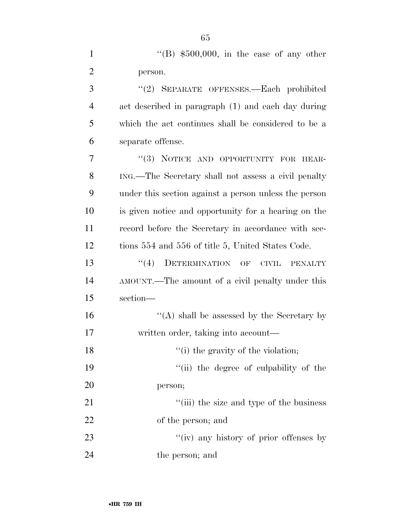|   | "(B) $$500,000$ , in the case of any other          |
|---|-----------------------------------------------------|
| 2 | person.                                             |
| 3 | "(2) SEPARATE OFFENSES.—Each prohibited             |
| 4 | act described in paragraph (1) and each day during  |
| 5 | which the act continues shall be considered to be a |
| 6 | separate offense.                                   |
| 7 | "(3) NOTICE AND OPPORTUNITY FOR HEAR-               |
| 8 | ING.—The Secretary shall not assess a civil penalty |

 under this section against a person unless the person is given notice and opportunity for a hearing on the record before the Secretary in accordance with sec-tions 554 and 556 of title 5, United States Code.

13 "(4) DETERMINATION OF CIVIL PENALTY AMOUNT.—The amount of a civil penalty under this section—

16  $\langle (A) \rangle$  shall be assessed by the Secretary by written order, taking into account—

18 ''(i) the gravity of the violation;

19  $"$ (ii) the degree of culpability of the person;

21 ''(iii) the size and type of the business of the person; and

23 ''(iv) any history of prior offenses by 24 the person; and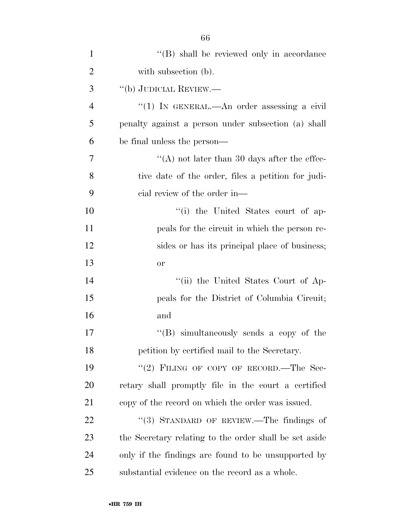| $\mathbf{1}$   | "(B) shall be reviewed only in accordance              |
|----------------|--------------------------------------------------------|
| $\overline{2}$ | with subsection (b).                                   |
| 3              | "(b) JUDICIAL REVIEW.—                                 |
| $\overline{4}$ | "(1) IN GENERAL.—An order assessing a civil            |
| 5              | penalty against a person under subsection (a) shall    |
| 6              | be final unless the person—                            |
| 7              | "(A) not later than 30 days after the effec-           |
| 8              | tive date of the order, files a petition for judi-     |
| 9              | cial review of the order in—                           |
| 10             | "(i) the United States court of ap-                    |
| 11             | peals for the circuit in which the person re-          |
| 12             | sides or has its principal place of business;          |
| 13             | <b>or</b>                                              |
| 14             | "(ii) the United States Court of Ap-                   |
| 15             | peals for the District of Columbia Circuit;            |
| 16             | and                                                    |
| 17             | "(B) simultaneously sends a copy of the                |
| 18             | petition by certified mail to the Secretary.           |
| 19             | "(2) FILING OF COPY OF RECORD.—The Sec-                |
| 20             | retary shall promptly file in the court a certified    |
| 21             | copy of the record on which the order was issued.      |
| 22             | "(3) STANDARD OF REVIEW.—The findings of               |
| 23             | the Secretary relating to the order shall be set aside |
| 24             | only if the findings are found to be unsupported by    |
| 25             | substantial evidence on the record as a whole.         |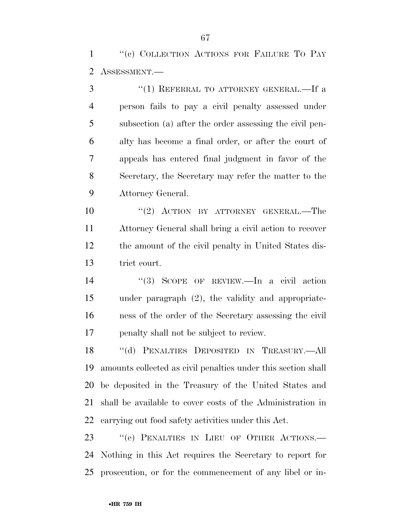1 "(c) COLLECTION ACTIONS FOR FAILURE TO PAY ASSESSMENT.—

3 "(1) REFERRAL TO ATTORNEY GENERAL.—If a person fails to pay a civil penalty assessed under subsection (a) after the order assessing the civil pen- alty has become a final order, or after the court of appeals has entered final judgment in favor of the Secretary, the Secretary may refer the matter to the Attorney General.

10 "(2) ACTION BY ATTORNEY GENERAL.—The Attorney General shall bring a civil action to recover the amount of the civil penalty in United States dis-trict court.

 ''(3) SCOPE OF REVIEW.—In a civil action under paragraph (2), the validity and appropriate- ness of the order of the Secretary assessing the civil penalty shall not be subject to review.

 ''(d) PENALTIES DEPOSITED IN TREASURY.—All amounts collected as civil penalties under this section shall be deposited in the Treasury of the United States and shall be available to cover costs of the Administration in carrying out food safety activities under this Act.

23 "(e) PENALTIES IN LIEU OF OTHER ACTIONS.— Nothing in this Act requires the Secretary to report for prosecution, or for the commencement of any libel or in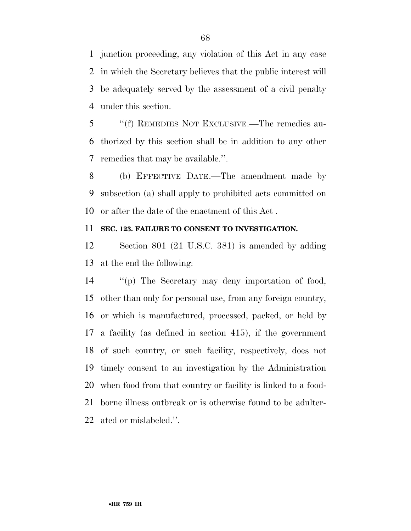junction proceeding, any violation of this Act in any case in which the Secretary believes that the public interest will be adequately served by the assessment of a civil penalty under this section.

 ''(f) REMEDIES NOT EXCLUSIVE.—The remedies au- thorized by this section shall be in addition to any other remedies that may be available.''.

 (b) EFFECTIVE DATE.—The amendment made by subsection (a) shall apply to prohibited acts committed on or after the date of the enactment of this Act .

### **SEC. 123. FAILURE TO CONSENT TO INVESTIGATION.**

 Section 801 (21 U.S.C. 381) is amended by adding at the end the following:

 ''(p) The Secretary may deny importation of food, other than only for personal use, from any foreign country, or which is manufactured, processed, packed, or held by a facility (as defined in section 415), if the government of such country, or such facility, respectively, does not timely consent to an investigation by the Administration when food from that country or facility is linked to a food- borne illness outbreak or is otherwise found to be adulter-ated or mislabeled.''.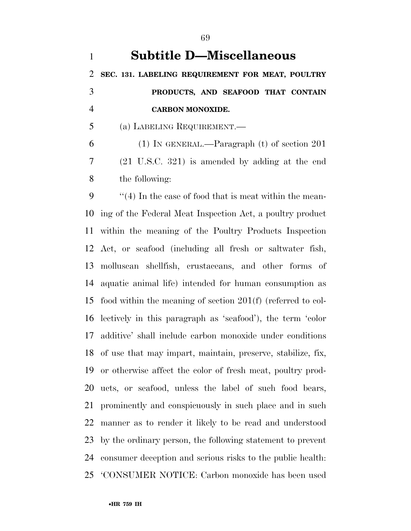**Subtitle D—Miscellaneous SEC. 131. LABELING REQUIREMENT FOR MEAT, POULTRY PRODUCTS, AND SEAFOOD THAT CONTAIN CARBON MONOXIDE.**  (a) LABELING REQUIREMENT.— (1) IN GENERAL.—Paragraph (t) of section 201 (21 U.S.C. 321) is amended by adding at the end the following: ''(4) In the case of food that is meat within the mean- ing of the Federal Meat Inspection Act, a poultry product within the meaning of the Poultry Products Inspection Act, or seafood (including all fresh or saltwater fish, molluscan shellfish, crustaceans, and other forms of aquatic animal life) intended for human consumption as food within the meaning of section 201(f) (referred to col- lectively in this paragraph as 'seafood'), the term 'color additive' shall include carbon monoxide under conditions of use that may impart, maintain, preserve, stabilize, fix, or otherwise affect the color of fresh meat, poultry prod- ucts, or seafood, unless the label of such food bears, prominently and conspicuously in such place and in such

manner as to render it likely to be read and understood

by the ordinary person, the following statement to prevent

consumer deception and serious risks to the public health:

'CONSUMER NOTICE: Carbon monoxide has been used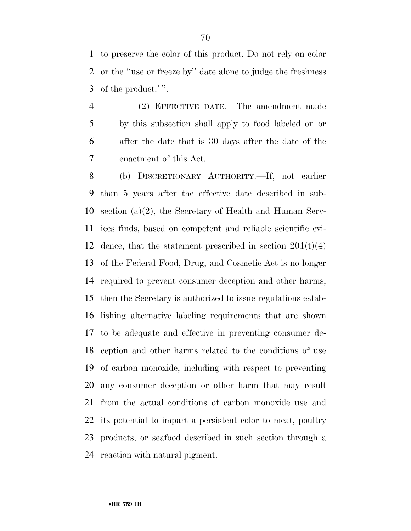to preserve the color of this product. Do not rely on color or the ''use or freeze by'' date alone to judge the freshness of the product.' ''.

 (2) EFFECTIVE DATE.—The amendment made by this subsection shall apply to food labeled on or after the date that is 30 days after the date of the enactment of this Act.

 (b) DISCRETIONARY AUTHORITY.—If, not earlier than 5 years after the effective date described in sub- section (a)(2), the Secretary of Health and Human Serv- ices finds, based on competent and reliable scientific evi-12 dence, that the statement prescribed in section  $201(t)(4)$  of the Federal Food, Drug, and Cosmetic Act is no longer required to prevent consumer deception and other harms, then the Secretary is authorized to issue regulations estab- lishing alternative labeling requirements that are shown to be adequate and effective in preventing consumer de- ception and other harms related to the conditions of use of carbon monoxide, including with respect to preventing any consumer deception or other harm that may result from the actual conditions of carbon monoxide use and its potential to impart a persistent color to meat, poultry products, or seafood described in such section through a reaction with natural pigment.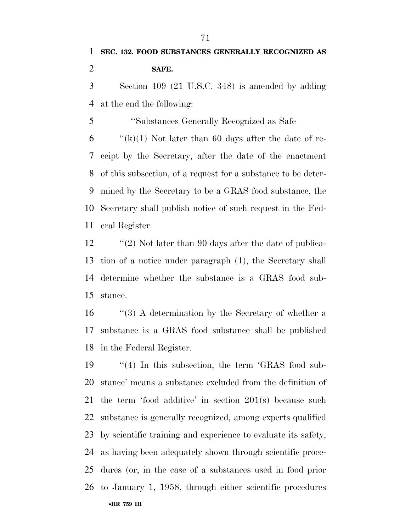at the end the following:

 ''Substances Generally Recognized as Safe  $\langle k\rangle$ (k)(1) Not later than 60 days after the date of re- ceipt by the Secretary, after the date of the enactment of this subsection, of a request for a substance to be deter- mined by the Secretary to be a GRAS food substance, the Secretary shall publish notice of such request in the Fed-eral Register.

12 ''(2) Not later than 90 days after the date of publica- tion of a notice under paragraph (1), the Secretary shall determine whether the substance is a GRAS food sub-stance.

16 ''(3) A determination by the Secretary of whether a substance is a GRAS food substance shall be published in the Federal Register.

•**HR 759 IH** 19 ''(4) In this subsection, the term 'GRAS food sub- stance' means a substance excluded from the definition of the term 'food additive' in section 201(s) because such substance is generally recognized, among experts qualified by scientific training and experience to evaluate its safety, as having been adequately shown through scientific proce- dures (or, in the case of a substances used in food prior to January 1, 1958, through either scientific procedures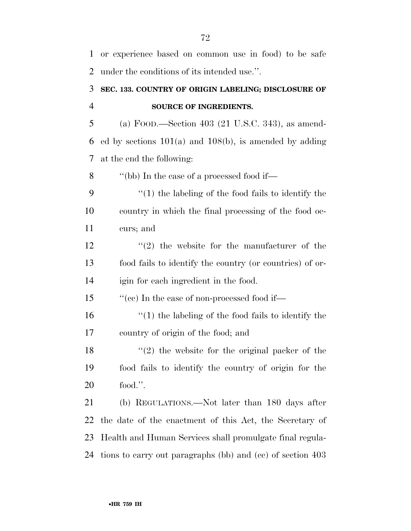| 1              | or experience based on common use in food) to be safe       |
|----------------|-------------------------------------------------------------|
| $\overline{2}$ | under the conditions of its intended use.".                 |
| 3              | SEC. 133. COUNTRY OF ORIGIN LABELING; DISCLOSURE OF         |
| $\overline{4}$ | <b>SOURCE OF INGREDIENTS.</b>                               |
| 5              | (a) FOOD.—Section 403 (21 U.S.C. 343), as amend-            |
| 6              | ed by sections $101(a)$ and $108(b)$ , is amended by adding |
| 7              | at the end the following:                                   |
| 8              | "(bb) In the case of a processed food if—                   |
| 9              | $\lq(1)$ the labeling of the food fails to identify the     |
| 10             | country in which the final processing of the food oc-       |
| 11             | curs; and                                                   |
| 12             | $(2)$ the website for the manufacturer of the               |
| 13             | food fails to identify the country (or countries) of or-    |
| 14             | igin for each ingredient in the food.                       |
| 15             | "(cc) In the case of non-processed food if—                 |
| 16             | $\lq(1)$ the labeling of the food fails to identify the     |
| 17             | country of origin of the food; and                          |
| 18             | $f'(2)$ the website for the original packer of the          |
| 19             | food fails to identify the country of origin for the        |
| 20             | food.".                                                     |
| 21             | (b) REGULATIONS.—Not later than 180 days after              |
| 22             | the date of the enactment of this Act, the Secretary of     |
| 23             | Health and Human Services shall promulgate final regula-    |
| 24             | tions to carry out paragraphs (bb) and (cc) of section 403  |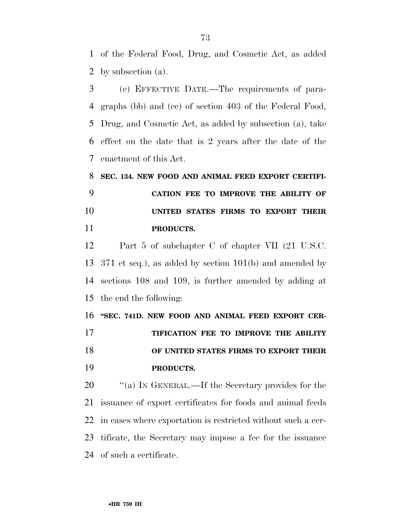of the Federal Food, Drug, and Cosmetic Act, as added by subsection (a).

 (c) EFFECTIVE DATE.—The requirements of para- graphs (bb) and (cc) of section 403 of the Federal Food, Drug, and Cosmetic Act, as added by subsection (a), take effect on the date that is 2 years after the date of the enactment of this Act.

 **SEC. 134. NEW FOOD AND ANIMAL FEED EXPORT CERTIFI- CATION FEE TO IMPROVE THE ABILITY OF UNITED STATES FIRMS TO EXPORT THEIR PRODUCTS.** 

 Part 5 of subchapter C of chapter VII (21 U.S.C. 371 et seq.), as added by section 101(b) and amended by sections 108 and 109, is further amended by adding at the end the following:

16 "SEC. 741D. NEW FOOD AND ANIMAL FEED EXPORT CER- **TIFICATION FEE TO IMPROVE THE ABILITY OF UNITED STATES FIRMS TO EXPORT THEIR PRODUCTS.** 

20 "(a) IN GENERAL.—If the Secretary provides for the issuance of export certificates for foods and animal feeds in cases where exportation is restricted without such a cer- tificate, the Secretary may impose a fee for the issuance of such a certificate.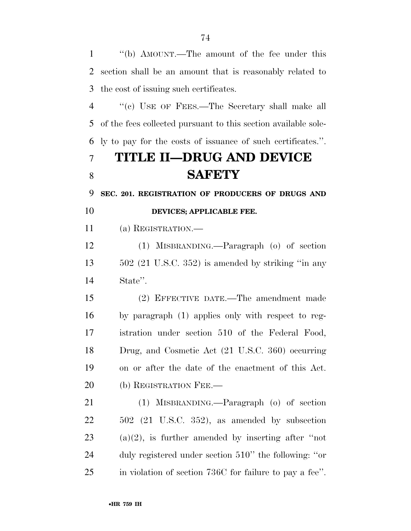''(b) AMOUNT.—The amount of the fee under this section shall be an amount that is reasonably related to the cost of issuing such certificates. ''(c) USE OF FEES.—The Secretary shall make all of the fees collected pursuant to this section available sole- ly to pay for the costs of issuance of such certificates.''. **TITLE II—DRUG AND DEVICE SAFETY SEC. 201. REGISTRATION OF PRODUCERS OF DRUGS AND DEVICES; APPLICABLE FEE.**  (a) REGISTRATION.— (1) MISBRANDING.—Paragraph (o) of section 502 (21 U.S.C. 352) is amended by striking ''in any State''. (2) EFFECTIVE DATE.—The amendment made by paragraph (1) applies only with respect to reg- istration under section 510 of the Federal Food, Drug, and Cosmetic Act (21 U.S.C. 360) occurring on or after the date of the enactment of this Act. 20 (b) REGISTRATION FEE. (1) MISBRANDING.—Paragraph (o) of section 502 (21 U.S.C. 352), as amended by subsection 23 (a)(2), is further amended by inserting after "not duly registered under section 510'' the following: ''or in violation of section 736C for failure to pay a fee''.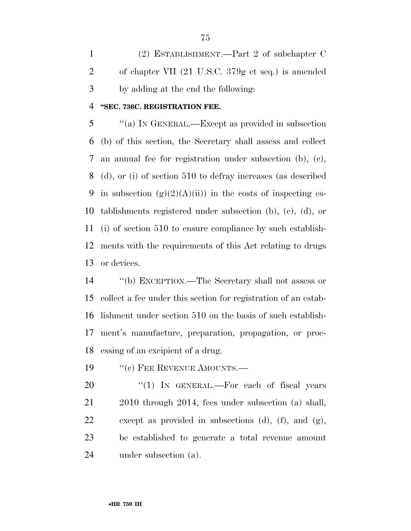(2) ESTABLISHMENT.—Part 2 of subchapter C of chapter VII (21 U.S.C. 379g et seq.) is amended by adding at the end the following:

### **''SEC. 736C. REGISTRATION FEE.**

 ''(a) IN GENERAL.—Except as provided in subsection (b) of this section, the Secretary shall assess and collect an annual fee for registration under subsection (b), (c), (d), or (i) of section 510 to defray increases (as described 9 in subsection  $(g)(2)(A)(ii)$  in the costs of inspecting es- tablishments registered under subsection (b), (c), (d), or (i) of section 510 to ensure compliance by such establish- ments with the requirements of this Act relating to drugs or devices.

 ''(b) EXCEPTION.—The Secretary shall not assess or collect a fee under this section for registration of an estab- lishment under section 510 on the basis of such establish- ment's manufacture, preparation, propagation, or proc-essing of an excipient of a drug.

19 "(c) FEE REVENUE AMOUNTS.—

 $\text{``(1)}$  IN GENERAL.—For each of fiscal years 2010 through 2014, fees under subsection (a) shall, except as provided in subsections (d), (f), and (g), be established to generate a total revenue amount under subsection (a).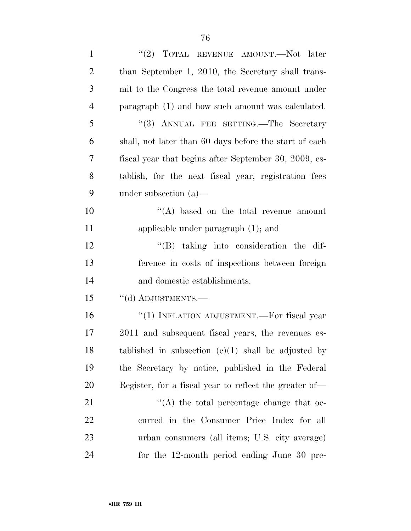| $\mathbf{1}$   | "(2) TOTAL REVENUE AMOUNT.—Not later                   |
|----------------|--------------------------------------------------------|
| $\overline{2}$ | than September 1, 2010, the Secretary shall trans-     |
| 3              | mit to the Congress the total revenue amount under     |
| $\overline{4}$ | paragraph (1) and how such amount was calculated.      |
| 5              | "(3) ANNUAL FEE SETTING.—The Secretary                 |
| 6              | shall, not later than 60 days before the start of each |
| 7              | fiscal year that begins after September 30, 2009, es-  |
| 8              | tablish, for the next fiscal year, registration fees   |
| 9              | under subsection $(a)$ —                               |
| 10             | $\lq\lq$ based on the total revenue amount             |
| 11             | applicable under paragraph $(1)$ ; and                 |
| 12             | $\lq\lq (B)$ taking into consideration the dif-        |
| 13             | ference in costs of inspections between foreign        |
| 14             | and domestic establishments.                           |
| 15             | "(d) ADJUSTMENTS.-                                     |
| 16             | "(1) INFLATION ADJUSTMENT.—For fiscal year             |
| 17             | 2011 and subsequent fiscal years, the revenues es-     |
| 18             | tablished in subsection $(c)(1)$ shall be adjusted by  |
| 19             | the Secretary by notice, published in the Federal      |
| 20             | Register, for a fiscal year to reflect the greater of— |
| 21             | $\lq\lq$ the total percentage change that oc-          |
| 22             | curred in the Consumer Price Index for all             |
| 23             | urban consumers (all items; U.S. city average)         |
| 24             | for the 12-month period ending June 30 pre-            |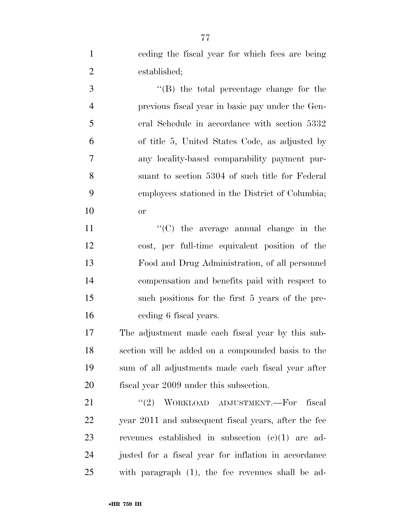ceding the fiscal year for which fees are being established;

 ''(B) the total percentage change for the previous fiscal year in basic pay under the Gen- eral Schedule in accordance with section 5332 of title 5, United States Code, as adjusted by any locality-based comparability payment pur- suant to section 5304 of such title for Federal employees stationed in the District of Columbia; or

 $\langle ^{\prime}(C) \rangle$  the average annual change in the cost, per full-time equivalent position of the Food and Drug Administration, of all personnel compensation and benefits paid with respect to such positions for the first 5 years of the pre-ceding 6 fiscal years.

 The adjustment made each fiscal year by this sub- section will be added on a compounded basis to the sum of all adjustments made each fiscal year after fiscal year 2009 under this subsection.

21 "(2) WORKLOAD ADJUSTMENT.—For fiscal year 2011 and subsequent fiscal years, after the fee revenues established in subsection (c)(1) are ad- justed for a fiscal year for inflation in accordance with paragraph (1), the fee revenues shall be ad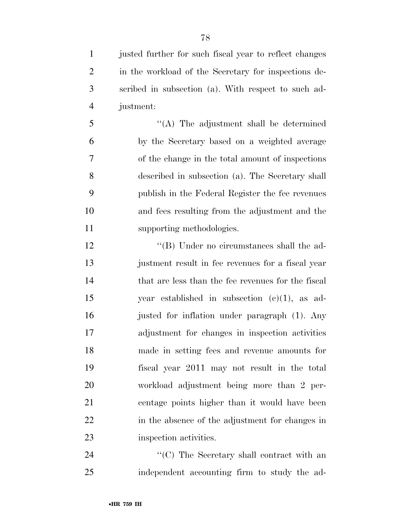justed further for such fiscal year to reflect changes in the workload of the Secretary for inspections de- scribed in subsection (a). With respect to such ad-justment:

 ''(A) The adjustment shall be determined by the Secretary based on a weighted average of the change in the total amount of inspections described in subsection (a). The Secretary shall publish in the Federal Register the fee revenues and fees resulting from the adjustment and the supporting methodologies.

12 ''(B) Under no circumstances shall the ad- justment result in fee revenues for a fiscal year 14 that are less than the fee revenues for the fiscal year established in subsection (c)(1), as ad- justed for inflation under paragraph (1). Any adjustment for changes in inspection activities made in setting fees and revenue amounts for fiscal year 2011 may not result in the total workload adjustment being more than 2 per- centage points higher than it would have been in the absence of the adjustment for changes in inspection activities.

24 ''(C) The Secretary shall contract with an independent accounting firm to study the ad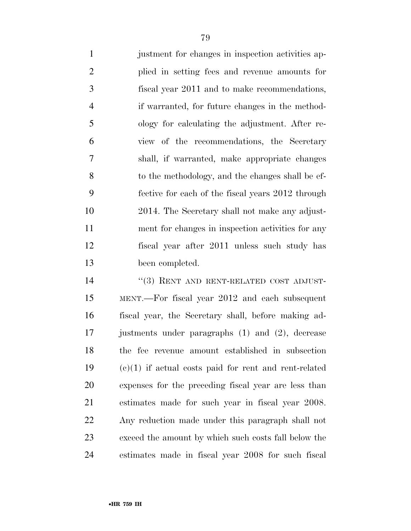justment for changes in inspection activities ap- plied in setting fees and revenue amounts for fiscal year 2011 and to make recommendations, if warranted, for future changes in the method- ology for calculating the adjustment. After re- view of the recommendations, the Secretary shall, if warranted, make appropriate changes to the methodology, and the changes shall be ef- fective for each of the fiscal years 2012 through 2014. The Secretary shall not make any adjust- ment for changes in inspection activities for any fiscal year after 2011 unless such study has been completed.

14 "(3) RENT AND RENT-RELATED COST ADJUST- MENT.—For fiscal year 2012 and each subsequent fiscal year, the Secretary shall, before making ad-17 justments under paragraphs (1) and (2), decrease the fee revenue amount established in subsection (c)(1) if actual costs paid for rent and rent-related expenses for the preceding fiscal year are less than estimates made for such year in fiscal year 2008. Any reduction made under this paragraph shall not exceed the amount by which such costs fall below the estimates made in fiscal year 2008 for such fiscal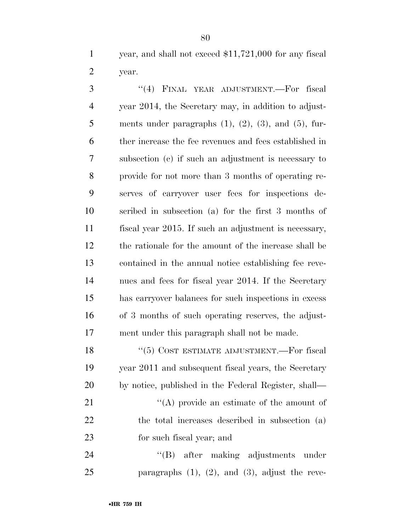year, and shall not exceed \$11,721,000 for any fiscal year.

 ''(4) FINAL YEAR ADJUSTMENT.—For fiscal year 2014, the Secretary may, in addition to adjust-5 ments under paragraphs  $(1)$ ,  $(2)$ ,  $(3)$ , and  $(5)$ , fur- ther increase the fee revenues and fees established in subsection (c) if such an adjustment is necessary to provide for not more than 3 months of operating re- serves of carryover user fees for inspections de- scribed in subsection (a) for the first 3 months of fiscal year 2015. If such an adjustment is necessary, the rationale for the amount of the increase shall be contained in the annual notice establishing fee reve- nues and fees for fiscal year 2014. If the Secretary has carryover balances for such inspections in excess of 3 months of such operating reserves, the adjust-ment under this paragraph shall not be made.

18 "(5) COST ESTIMATE ADJUSTMENT.—For fiscal year 2011 and subsequent fiscal years, the Secretary by notice, published in the Federal Register, shall— 21 ''(A) provide an estimate of the amount of the total increases described in subsection (a)

for such fiscal year; and

24 "(B) after making adjustments under paragraphs (1), (2), and (3), adjust the reve-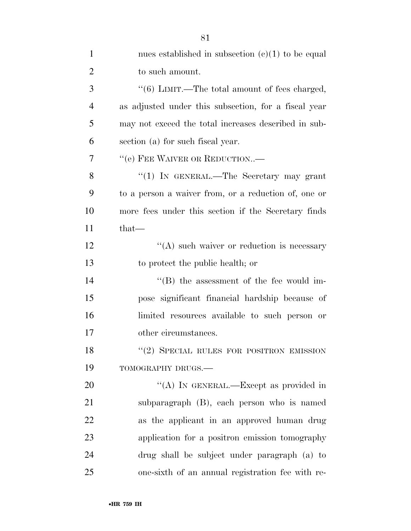| $\mathbf{1}$   | nues established in subsection $(c)(1)$ to be equal  |
|----------------|------------------------------------------------------|
| $\overline{2}$ | to such amount.                                      |
| 3              | " $(6)$ LIMIT.—The total amount of fees charged,     |
| $\overline{4}$ | as adjusted under this subsection, for a fiscal year |
| 5              | may not exceed the total increases described in sub- |
| 6              | section (a) for such fiscal year.                    |
| 7              | "(e) FEE WAIVER OR REDUCTION-                        |
| 8              | "(1) IN GENERAL.—The Secretary may grant             |
| 9              | to a person a waiver from, or a reduction of, one or |
| 10             | more fees under this section if the Secretary finds  |
| 11             | that—                                                |
| 12             | "(A) such waiver or reduction is necessary           |
| 13             | to protect the public health; or                     |
| 14             | $\lq\lq$ the assessment of the fee would im-         |
| 15             | pose significant financial hardship because of       |
| 16             | limited resources available to such person or        |
| 17             | other circumstances.                                 |
| 18             | $"$ (2) SPECIAL RULES FOR POSITRON EMISSION          |
| 19             | TOMOGRAPHY DRUGS.-                                   |
| 20             | "(A) IN GENERAL.—Except as provided in               |
| 21             | subparagraph (B), each person who is named           |
| 22             | as the applicant in an approved human drug           |
| 23             | application for a positron emission tomography       |
| 24             | drug shall be subject under paragraph (a) to         |
| 25             | one-sixth of an annual registration fee with re-     |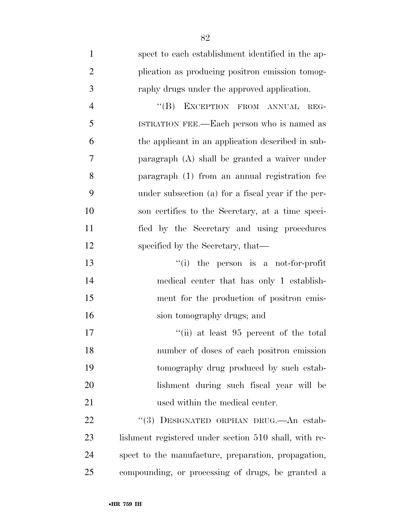| $\mathbf{1}$   | spect to each establishment identified in the ap-     |
|----------------|-------------------------------------------------------|
| $\overline{2}$ | plication as producing positron emission tomog-       |
| 3              | raphy drugs under the approved application.           |
| $\overline{4}$ | "(B) EXCEPTION FROM ANNUAL<br>REG-                    |
| 5              | ISTRATION FEE.—Each person who is named as            |
| 6              | the applicant in an application described in sub-     |
| 7              | paragraph (A) shall be granted a waiver under         |
| 8              | paragraph (1) from an annual registration fee         |
| 9              | under subsection (a) for a fiscal year if the per-    |
| 10             | son certifies to the Secretary, at a time speci-      |
| 11             | fied by the Secretary and using procedures            |
| 12             | specified by the Secretary, that—                     |
| 13             | "(i) the person is a not-for-profit                   |
| 14             | medical center that has only 1 establish-             |
| 15             | ment for the production of positron emis-             |
| 16             | sion tomography drugs; and                            |
| 17             | "(ii) at least 95 percent of the total                |
| 18             | number of doses of each positron emission             |
| 19             | tomography drug produced by such estab-               |
| 20             | lishment during such fiscal year will be              |
| 21             | used within the medical center.                       |
| 22             | "(3) DESIGNATED ORPHAN DRUG.—An estab-                |
| 23             | lishment registered under section 510 shall, with re- |
| 24             | spect to the manufacture, preparation, propagation,   |
| 25             | compounding, or processing of drugs, be granted a     |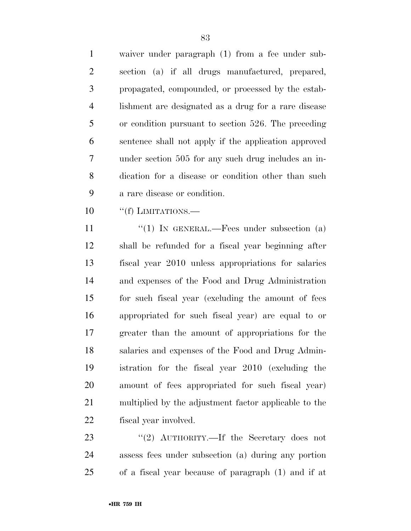waiver under paragraph (1) from a fee under sub- section (a) if all drugs manufactured, prepared, propagated, compounded, or processed by the estab- lishment are designated as a drug for a rare disease or condition pursuant to section 526. The preceding sentence shall not apply if the application approved under section 505 for any such drug includes an in- dication for a disease or condition other than such a rare disease or condition.

10 "(f) LIMITATIONS.—

11 "(1) IN GENERAL.—Fees under subsection (a) shall be refunded for a fiscal year beginning after fiscal year 2010 unless appropriations for salaries and expenses of the Food and Drug Administration for such fiscal year (excluding the amount of fees appropriated for such fiscal year) are equal to or greater than the amount of appropriations for the salaries and expenses of the Food and Drug Admin- istration for the fiscal year 2010 (excluding the amount of fees appropriated for such fiscal year) multiplied by the adjustment factor applicable to the fiscal year involved.

23 "(2) AUTHORITY.—If the Secretary does not assess fees under subsection (a) during any portion of a fiscal year because of paragraph (1) and if at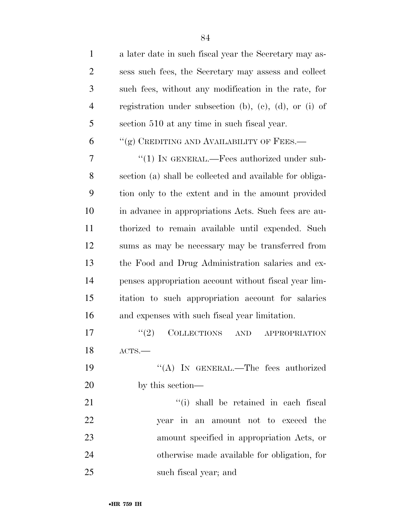| $\mathbf{1}$   | a later date in such fiscal year the Secretary may as-             |
|----------------|--------------------------------------------------------------------|
| $\overline{2}$ | sess such fees, the Secretary may assess and collect               |
| 3              | such fees, without any modification in the rate, for               |
| $\overline{4}$ | registration under subsection (b), (c), (d), or (i) of             |
| 5              | section 510 at any time in such fiscal year.                       |
| 6              | "(g) CREDITING AND AVAILABILITY OF FEES.—                          |
| 7              | " $(1)$ In GENERAL.—Fees authorized under sub-                     |
| 8              | section (a) shall be collected and available for obliga-           |
| 9              | tion only to the extent and in the amount provided                 |
| 10             | in advance in appropriations Acts. Such fees are au-               |
| 11             | thorized to remain available until expended. Such                  |
| 12             | sums as may be necessary may be transferred from                   |
| 13             | the Food and Drug Administration salaries and ex-                  |
| 14             | penses appropriation account without fiscal year lim-              |
| 15             | itation to such appropriation account for salaries                 |
| 16             | and expenses with such fiscal year limitation.                     |
| 17             | (2)<br><b>COLLECTIONS</b><br>$\operatorname{AND}$<br>APPROPRIATION |
| 18             | ACTS.                                                              |
| 19             | "(A) IN GENERAL.—The fees authorized                               |
| 20             | by this section—                                                   |
| 21             | "(i) shall be retained in each fiscal                              |
| 22             | year in an amount not to exceed the                                |
| 23             | amount specified in appropriation Acts, or                         |
| 24             | otherwise made available for obligation, for                       |
| 25             | such fiscal year; and                                              |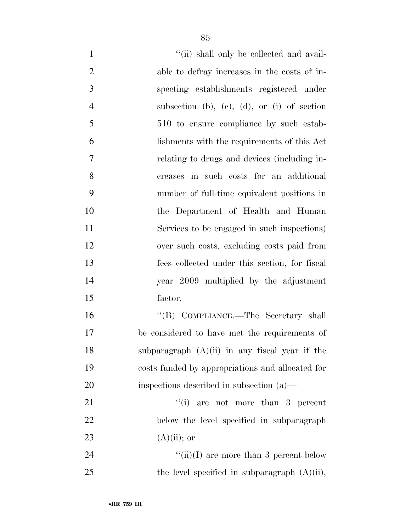| $\mathbf{1}$   | "(ii) shall only be collected and avail-         |
|----------------|--------------------------------------------------|
| $\overline{2}$ | able to defray increases in the costs of in-     |
| 3              | specting establishments registered under         |
| $\overline{4}$ | subsection (b), (c), (d), or (i) of section      |
| 5              | 510 to ensure compliance by such estab-          |
| 6              | lishments with the requirements of this Act      |
| 7              | relating to drugs and devices (including in-     |
| 8              | creases in such costs for an additional          |
| 9              | number of full-time equivalent positions in      |
| 10             | the Department of Health and Human               |
| 11             | Services to be engaged in such inspections)      |
| 12             | over such costs, excluding costs paid from       |
| 13             | fees collected under this section, for fiscal    |
| 14             | year 2009 multiplied by the adjustment           |
| 15             | factor.                                          |
| 16             | "(B) COMPLIANCE.—The Secretary shall             |
| 17             | be considered to have met the requirements of    |
| 18             | subparagraph $(A)(ii)$ in any fiscal year if the |
| 19             | costs funded by appropriations and allocated for |
| 20             | inspections described in subsection (a)—         |
| 21             | ``(i)<br>are not more than 3 percent             |
| 22             | below the level specified in subparagraph        |
| 23             | $(A)(ii)$ ; or                                   |
| 24             | "(ii)(I) are more than 3 percent below           |
| 25             | the level specified in subparagraph $(A)(ii)$ ,  |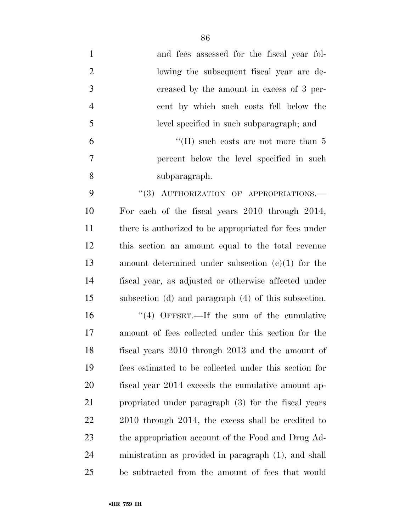| $\mathbf{1}$   | and fees assessed for the fiscal year fol-            |
|----------------|-------------------------------------------------------|
| $\overline{2}$ | lowing the subsequent fiscal year are de-             |
| 3              | creased by the amount in excess of 3 per-             |
| $\overline{4}$ | cent by which such costs fell below the               |
| 5              | level specified in such subparagraph; and             |
| 6              | "(II) such costs are not more than $5$                |
| 7              | percent below the level specified in such             |
| 8              | subparagraph.                                         |
| 9              | "(3) AUTHORIZATION OF APPROPRIATIONS.-                |
| 10             | For each of the fiscal years 2010 through 2014,       |
| 11             | there is authorized to be appropriated for fees under |
| 12             | this section an amount equal to the total revenue     |
| 13             | amount determined under subsection $(e)(1)$ for the   |
| 14             | fiscal year, as adjusted or otherwise affected under  |
| 15             | subsection (d) and paragraph (4) of this subsection.  |
| 16             | $\cdot$ (4) OFFSET.—If the sum of the cumulative      |
| 17             | amount of fees collected under this section for the   |
| 18             | fiscal years 2010 through 2013 and the amount of      |
| 19             | fees estimated to be collected under this section for |
| 20             | fiscal year 2014 exceeds the cumulative amount ap-    |
| 21             | propriated under paragraph (3) for the fiscal years   |
| 22             | 2010 through 2014, the excess shall be credited to    |
| 23             | the appropriation account of the Food and Drug Ad-    |
| 24             | ministration as provided in paragraph (1), and shall  |
| 25             | be subtracted from the amount of fees that would      |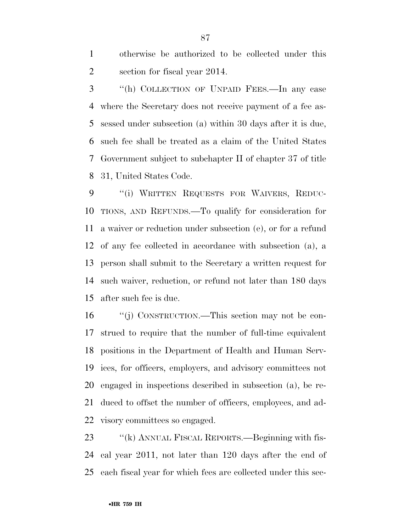otherwise be authorized to be collected under this section for fiscal year 2014.

 ''(h) COLLECTION OF UNPAID FEES.—In any case where the Secretary does not receive payment of a fee as- sessed under subsection (a) within 30 days after it is due, such fee shall be treated as a claim of the United States Government subject to subchapter II of chapter 37 of title 31, United States Code.

 ''(i) WRITTEN REQUESTS FOR WAIVERS, REDUC- TIONS, AND REFUNDS.—To qualify for consideration for a waiver or reduction under subsection (e), or for a refund of any fee collected in accordance with subsection (a), a person shall submit to the Secretary a written request for such waiver, reduction, or refund not later than 180 days after such fee is due.

 ''(j) CONSTRUCTION.—This section may not be con- strued to require that the number of full-time equivalent positions in the Department of Health and Human Serv- ices, for officers, employers, and advisory committees not engaged in inspections described in subsection (a), be re- duced to offset the number of officers, employees, and ad-visory committees so engaged.

23 "(k) ANNUAL FISCAL REPORTS.—Beginning with fis- cal year 2011, not later than 120 days after the end of each fiscal year for which fees are collected under this sec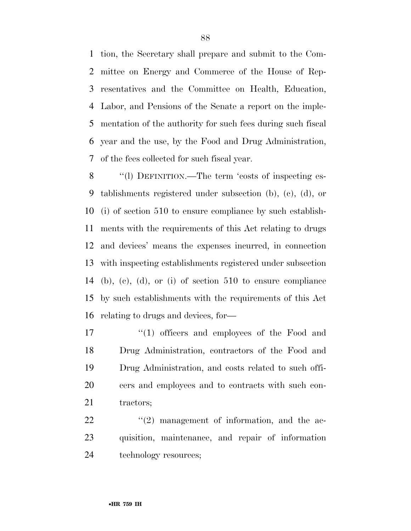tion, the Secretary shall prepare and submit to the Com- mittee on Energy and Commerce of the House of Rep- resentatives and the Committee on Health, Education, Labor, and Pensions of the Senate a report on the imple- mentation of the authority for such fees during such fiscal year and the use, by the Food and Drug Administration, of the fees collected for such fiscal year.

 ''(l) DEFINITION.—The term 'costs of inspecting es- tablishments registered under subsection (b), (c), (d), or (i) of section 510 to ensure compliance by such establish- ments with the requirements of this Act relating to drugs and devices' means the expenses incurred, in connection with inspecting establishments registered under subsection (b), (c), (d), or (i) of section 510 to ensure compliance by such establishments with the requirements of this Act relating to drugs and devices, for—

17 ''(1) officers and employees of the Food and Drug Administration, contractors of the Food and Drug Administration, and costs related to such offi- cers and employees and to contracts with such con-21 tractors;

  $(2)$  management of information, and the ac- quisition, maintenance, and repair of information 24 technology resources;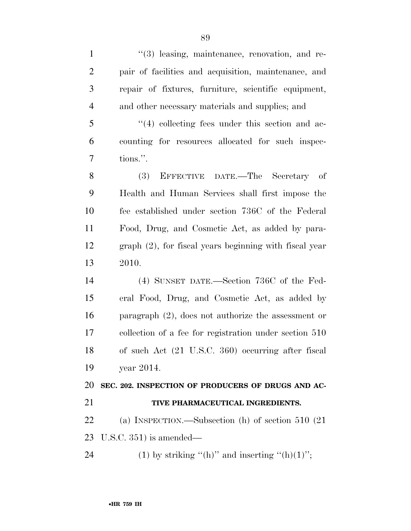| $\mathbf{1}$   | $\lq(3)$ leasing, maintenance, renovation, and re-        |
|----------------|-----------------------------------------------------------|
| $\overline{2}$ | pair of facilities and acquisition, maintenance, and      |
| 3              | repair of fixtures, furniture, scientific equipment,      |
| $\overline{4}$ | and other necessary materials and supplies; and           |
| 5              | $\lq(4)$ collecting fees under this section and ac-       |
| 6              | counting for resources allocated for such inspec-         |
| $\tau$         | tions.".                                                  |
| 8              | EFFECTIVE DATE.—The Secretary of<br>(3)                   |
| 9              | Health and Human Services shall first impose the          |
| 10             | fee established under section 736C of the Federal         |
| 11             | Food, Drug, and Cosmetic Act, as added by para-           |
| 12             | $graph (2)$ , for fiscal years beginning with fiscal year |
| 13             | 2010.                                                     |
| 14             | (4) SUNSET DATE.—Section 736C of the Fed-                 |
| 15             | eral Food, Drug, and Cosmetic Act, as added by            |
| 16             | paragraph $(2)$ , does not authorize the assessment or    |
| 17             | collection of a fee for registration under section 510    |
| 18             | of such Act (21 U.S.C. 360) occurring after fiscal        |
| 19             | year 2014.                                                |
| 20             | SEC. 202. INSPECTION OF PRODUCERS OF DRUGS AND AC-        |
| 21             | TIVE PHARMACEUTICAL INGREDIENTS.                          |
| 22             | (a) INSPECTION.—Subsection (h) of section $510$ (21)      |
| 23             | U.S.C. $351$ ) is amended—                                |
| 24             | (1) by striking "(h)" and inserting "(h)(1)";             |
|                |                                                           |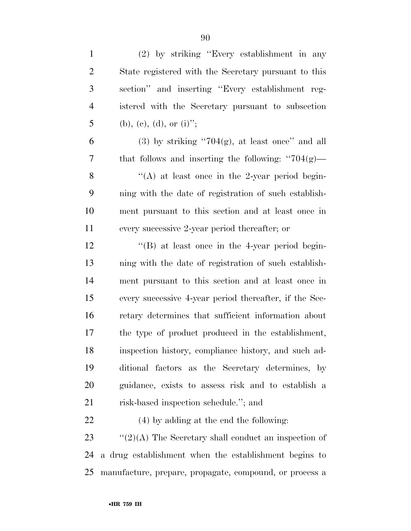| $\mathbf{1}$   | (2) by striking "Every establishment in any             |
|----------------|---------------------------------------------------------|
| $\overline{2}$ | State registered with the Secretary pursuant to this    |
| 3              | section" and inserting "Every establishment reg-        |
| 4              | istered with the Secretary pursuant to subsection       |
| 5              | (b), (e), (d), or (i)";                                 |
| 6              | $(3)$ by striking "704 $(g)$ , at least once" and all   |
| 7              | that follows and inserting the following: " $704(g)$ —  |
| 8              | "(A) at least once in the 2-year period begin-          |
| 9              | ning with the date of registration of such establish-   |
| 10             | ment pursuant to this section and at least once in      |
| 11             | every successive 2-year period thereafter; or           |
| 12             | $\lq$ (B) at least once in the 4-year period begin-     |
| 13             | ning with the date of registration of such establish-   |
| 14             | ment pursuant to this section and at least once in      |
| 15             | every successive 4-year period thereafter, if the Sec-  |
| 16             | retary determines that sufficient information about     |
| 17             | the type of product produced in the establishment,      |
| 18             | inspection history, compliance history, and such ad-    |
| 19             | ditional factors as the Secretary determines, by        |
| 20             | guidance, exists to assess risk and to establish a      |
| 21             | risk-based inspection schedule."; and                   |
| 22             | $(4)$ by adding at the end the following:               |
| 23             | " $(2)(A)$ The Secretary shall conduct an inspection of |
| 24             | a drug establishment when the establishment begins to   |
| 25             | manufacture, prepare, propagate, compound, or process a |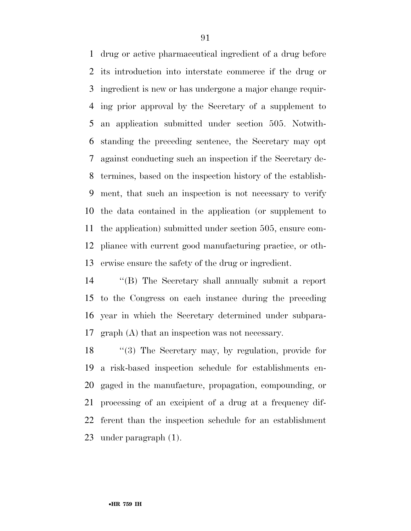drug or active pharmaceutical ingredient of a drug before its introduction into interstate commerce if the drug or ingredient is new or has undergone a major change requir- ing prior approval by the Secretary of a supplement to an application submitted under section 505. Notwith- standing the preceding sentence, the Secretary may opt against conducting such an inspection if the Secretary de- termines, based on the inspection history of the establish- ment, that such an inspection is not necessary to verify the data contained in the application (or supplement to the application) submitted under section 505, ensure com- pliance with current good manufacturing practice, or oth-erwise ensure the safety of the drug or ingredient.

 ''(B) The Secretary shall annually submit a report to the Congress on each instance during the preceding year in which the Secretary determined under subpara-graph (A) that an inspection was not necessary.

 ''(3) The Secretary may, by regulation, provide for a risk-based inspection schedule for establishments en- gaged in the manufacture, propagation, compounding, or processing of an excipient of a drug at a frequency dif- ferent than the inspection schedule for an establishment under paragraph (1).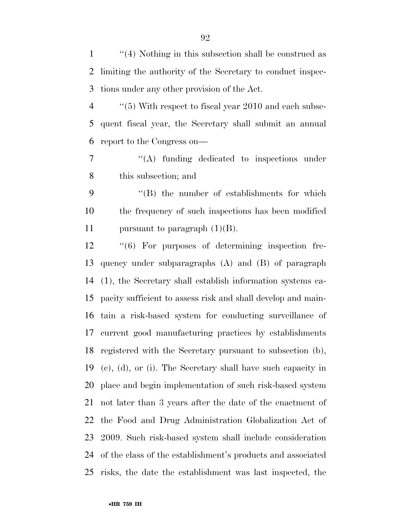''(4) Nothing in this subsection shall be construed as limiting the authority of the Secretary to conduct inspec-tions under any other provision of the Act.

4 ''(5) With respect to fiscal year 2010 and each subse- quent fiscal year, the Secretary shall submit an annual report to the Congress on—

 ''(A) funding dedicated to inspections under this subsection; and

 ''(B) the number of establishments for which the frequency of such inspections has been modified 11 pursuant to paragraph  $(1)(B)$ .

 ''(6) For purposes of determining inspection fre- quency under subparagraphs (A) and (B) of paragraph (1), the Secretary shall establish information systems ca- pacity sufficient to assess risk and shall develop and main- tain a risk-based system for conducting surveillance of current good manufacturing practices by establishments registered with the Secretary pursuant to subsection (b), (c), (d), or (i). The Secretary shall have such capacity in place and begin implementation of such risk-based system not later than 3 years after the date of the enactment of the Food and Drug Administration Globalization Act of 2009. Such risk-based system shall include consideration of the class of the establishment's products and associated risks, the date the establishment was last inspected, the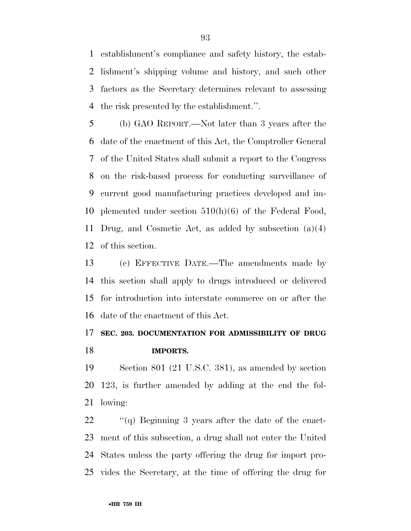establishment's compliance and safety history, the estab- lishment's shipping volume and history, and such other factors as the Secretary determines relevant to assessing the risk presented by the establishment.''.

 (b) GAO REPORT.—Not later than 3 years after the date of the enactment of this Act, the Comptroller General of the United States shall submit a report to the Congress on the risk-based process for conducting surveillance of current good manufacturing practices developed and im- plemented under section 510(h)(6) of the Federal Food, Drug, and Cosmetic Act, as added by subsection (a)(4) of this section.

 (c) EFFECTIVE DATE.—The amendments made by this section shall apply to drugs introduced or delivered for introduction into interstate commerce on or after the date of the enactment of this Act.

# **SEC. 203. DOCUMENTATION FOR ADMISSIBILITY OF DRUG IMPORTS.**

 Section 801 (21 U.S.C. 381), as amended by section 123, is further amended by adding at the end the fol-lowing:

 ''(q) Beginning 3 years after the date of the enact- ment of this subsection, a drug shall not enter the United States unless the party offering the drug for import pro-vides the Secretary, at the time of offering the drug for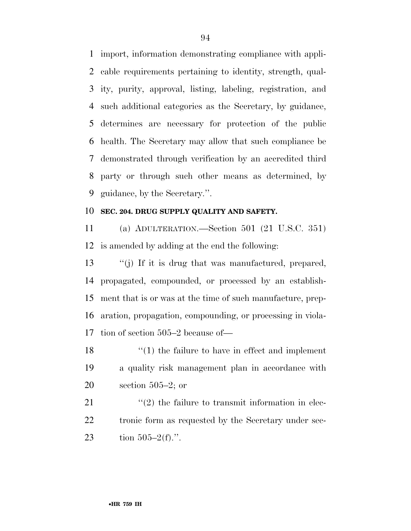import, information demonstrating compliance with appli- cable requirements pertaining to identity, strength, qual- ity, purity, approval, listing, labeling, registration, and such additional categories as the Secretary, by guidance, determines are necessary for protection of the public health. The Secretary may allow that such compliance be demonstrated through verification by an accredited third party or through such other means as determined, by guidance, by the Secretary.''.

### **SEC. 204. DRUG SUPPLY QUALITY AND SAFETY.**

 (a) ADULTERATION.—Section 501 (21 U.S.C. 351) is amended by adding at the end the following:

 ''(j) If it is drug that was manufactured, prepared, propagated, compounded, or processed by an establish- ment that is or was at the time of such manufacture, prep- aration, propagation, compounding, or processing in viola-tion of section 505–2 because of—

18 ''(1) the failure to have in effect and implement a quality risk management plan in accordance with section 505–2; or

21  $\langle \langle 2 \rangle$  the failure to transmit information in elec-22 tronic form as requested by the Secretary under sec-23 tion  $505-2(f)$ .".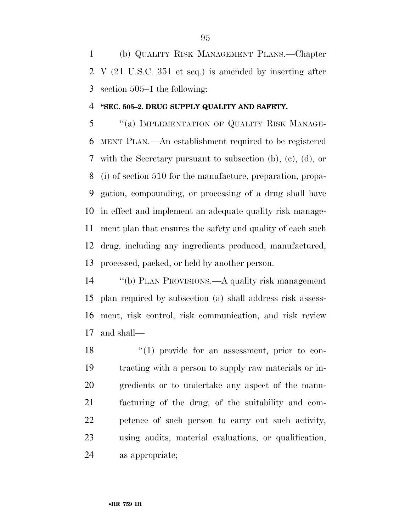(b) QUALITY RISK MANAGEMENT PLANS.—Chapter V (21 U.S.C. 351 et seq.) is amended by inserting after section 505–1 the following:

#### **''SEC. 505–2. DRUG SUPPLY QUALITY AND SAFETY.**

 ''(a) IMPLEMENTATION OF QUALITY RISK MANAGE- MENT PLAN.—An establishment required to be registered with the Secretary pursuant to subsection (b), (c), (d), or (i) of section 510 for the manufacture, preparation, propa- gation, compounding, or processing of a drug shall have in effect and implement an adequate quality risk manage- ment plan that ensures the safety and quality of each such drug, including any ingredients produced, manufactured, processed, packed, or held by another person.

 ''(b) PLAN PROVISIONS.—A quality risk management plan required by subsection (a) shall address risk assess- ment, risk control, risk communication, and risk review and shall—

18 ''(1) provide for an assessment, prior to con- tracting with a person to supply raw materials or in- gredients or to undertake any aspect of the manu- facturing of the drug, of the suitability and com- petence of such person to carry out such activity, using audits, material evaluations, or qualification, as appropriate;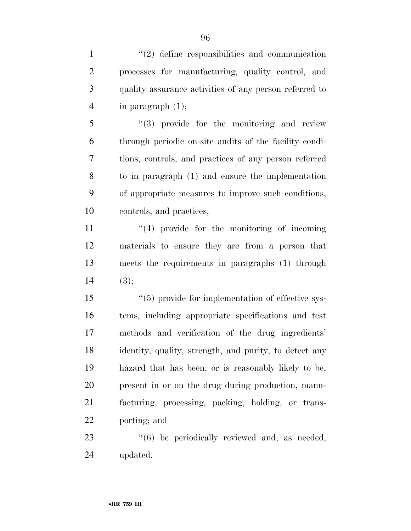1 ''(2) define responsibilities and communication processes for manufacturing, quality control, and quality assurance activities of any person referred to in paragraph (1);

 ''(3) provide for the monitoring and review through periodic on-site audits of the facility condi- tions, controls, and practices of any person referred to in paragraph (1) and ensure the implementation of appropriate measures to improve such conditions, controls, and practices;

 $\frac{1}{2}$  (4) provide for the monitoring of incoming materials to ensure they are from a person that meets the requirements in paragraphs (1) through 14  $(3)$ ;

 $\frac{1}{5}$  (5) provide for implementation of effective sys- tems, including appropriate specifications and test methods and verification of the drug ingredients' identity, quality, strength, and purity, to detect any hazard that has been, or is reasonably likely to be, present in or on the drug during production, manu- facturing, processing, packing, holding, or trans-porting; and

23  $(6)$  be periodically reviewed and, as needed, updated.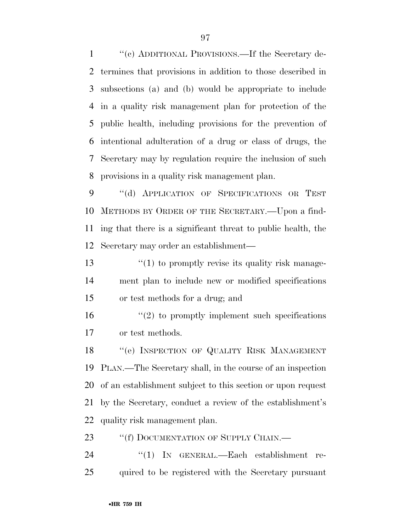''(c) ADDITIONAL PROVISIONS.—If the Secretary de- termines that provisions in addition to those described in subsections (a) and (b) would be appropriate to include in a quality risk management plan for protection of the public health, including provisions for the prevention of intentional adulteration of a drug or class of drugs, the Secretary may by regulation require the inclusion of such provisions in a quality risk management plan.

 ''(d) APPLICATION OF SPECIFICATIONS OR TEST METHODS BY ORDER OF THE SECRETARY.—Upon a find- ing that there is a significant threat to public health, the Secretary may order an establishment—

13  $\frac{1}{2}$  (1) to promptly revise its quality risk manage- ment plan to include new or modified specifications or test methods for a drug; and

 $(2)$  to promptly implement such specifications or test methods.

18 "(e) INSPECTION OF QUALITY RISK MANAGEMENT PLAN.—The Secretary shall, in the course of an inspection of an establishment subject to this section or upon request by the Secretary, conduct a review of the establishment's quality risk management plan.

23 ""(f) DOCUMENTATION OF SUPPLY CHAIN.—

24 "(1) IN GENERAL.—Each establishment re-quired to be registered with the Secretary pursuant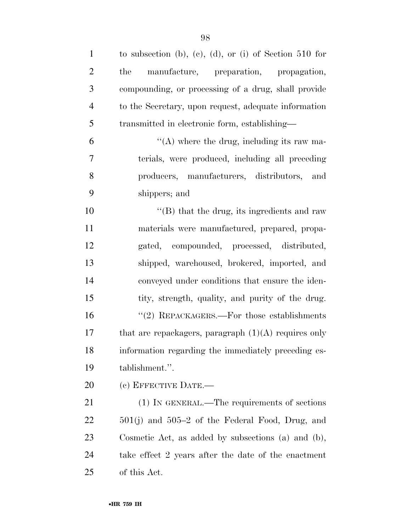| $\mathbf{1}$   | to subsection (b), (c), (d), or (i) of Section 510 for |
|----------------|--------------------------------------------------------|
| $\overline{2}$ | manufacture, preparation, propagation,<br>the          |
| 3              | compounding, or processing of a drug, shall provide    |
| $\overline{4}$ | to the Secretary, upon request, adequate information   |
| 5              | transmitted in electronic form, establishing—          |
| 6              | "(A) where the drug, including its raw ma-             |
| 7              | terials, were produced, including all preceding        |
| 8              | producers, manufacturers, distributors, and            |
| 9              | shippers; and                                          |
| 10             | $\lq\lq$ that the drug, its ingredients and raw        |
| 11             | materials were manufactured, prepared, propa-          |
| 12             | gated, compounded, processed, distributed,             |
| 13             | shipped, warehoused, brokered, imported, and           |
| 14             | conveyed under conditions that ensure the iden-        |
| 15             | tity, strength, quality, and purity of the drug.       |
| 16             | "(2) REPACKAGERS.—For those establishments             |
| 17             | that are repackagers, paragraph $(1)(A)$ requires only |
| 18             | information regarding the immediately preceding es-    |
| 19             | tablishment.".                                         |
| 20             | (c) EFFECTIVE DATE.-                                   |
| 21             | (1) IN GENERAL.—The requirements of sections           |
| 22             | $501(j)$ and $505-2$ of the Federal Food, Drug, and    |
| 23             | Cosmetic Act, as added by subsections (a) and (b),     |
| 24             | take effect 2 years after the date of the enactment    |
| 25             | of this Act.                                           |
|                |                                                        |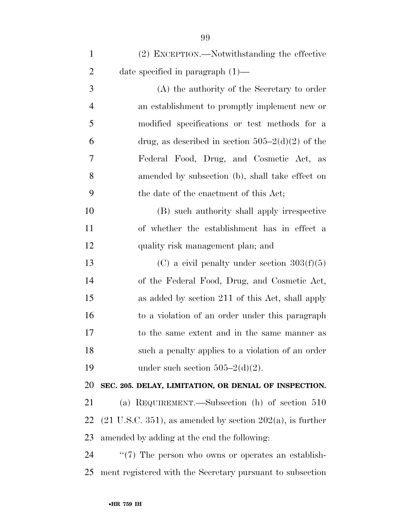| $\mathbf{1}$   | (2) EXCEPTION.—Notwithstanding the effective                             |
|----------------|--------------------------------------------------------------------------|
| $\overline{2}$ | date specified in paragraph $(1)$ —                                      |
| 3              | (A) the authority of the Secretary to order                              |
| 4              | an establishment to promptly implement new or                            |
| 5              | modified specifications or test methods for a                            |
| 6              | drug, as described in section $505-2(d)(2)$ of the                       |
| 7              | Federal Food, Drug, and Cosmetic Act, as                                 |
| 8              | amended by subsection (b), shall take effect on                          |
| 9              | the date of the enactment of this Act;                                   |
| 10             | (B) such authority shall apply irrespective                              |
| 11             | of whether the establishment has in effect a                             |
| 12             | quality risk management plan; and                                        |
| 13             | (C) a civil penalty under section $303(f)(5)$                            |
| 14             | of the Federal Food, Drug, and Cosmetic Act,                             |
| 15             | as added by section 211 of this Act, shall apply                         |
| 16             | to a violation of an order under this paragraph                          |
| 17             | to the same extent and in the same manner as                             |
| 18             | such a penalty applies to a violation of an order                        |
| 19             | under such section $505-2(d)(2)$ .                                       |
| 20             | SEC. 205. DELAY, LIMITATION, OR DENIAL OF INSPECTION.                    |
| 21             | (a) REQUIREMENT.—Subsection (h) of section $510$                         |
| <u>22</u>      | $(21 \text{ U.S.C. } 351)$ , as amended by section $202(a)$ , is further |
| 23             | amended by adding at the end the following:                              |
| $\mathcal{D}$  | $\frac{477}{7}$ The person who every or eperator an establish            |

24  $\cdot$  "(7) The person who owns or operates an establish-ment registered with the Secretary pursuant to subsection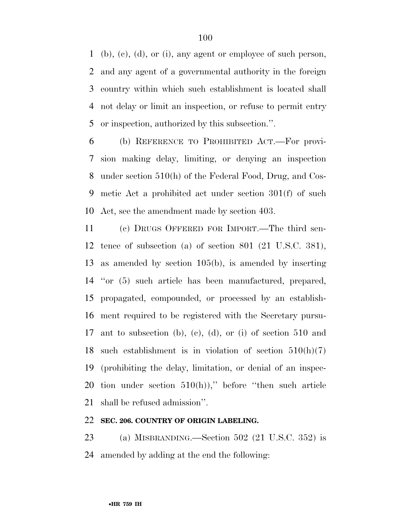(b), (c), (d), or (i), any agent or employee of such person, and any agent of a governmental authority in the foreign country within which such establishment is located shall not delay or limit an inspection, or refuse to permit entry or inspection, authorized by this subsection.''.

 (b) REFERENCE TO PROHIBITED ACT.—For provi- sion making delay, limiting, or denying an inspection under section 510(h) of the Federal Food, Drug, and Cos- metic Act a prohibited act under section 301(f) of such Act, see the amendment made by section 403.

 (c) DRUGS OFFERED FOR IMPORT.—The third sen- tence of subsection (a) of section 801 (21 U.S.C. 381), as amended by section 105(b), is amended by inserting ''or (5) such article has been manufactured, prepared, propagated, compounded, or processed by an establish- ment required to be registered with the Secretary pursu- ant to subsection (b), (c), (d), or (i) of section 510 and such establishment is in violation of section 510(h)(7) (prohibiting the delay, limitation, or denial of an inspec-20 tion under section  $510(h)$ ," before "then such article shall be refused admission''.

### **SEC. 206. COUNTRY OF ORIGIN LABELING.**

 (a) MISBRANDING.—Section 502 (21 U.S.C. 352) is amended by adding at the end the following: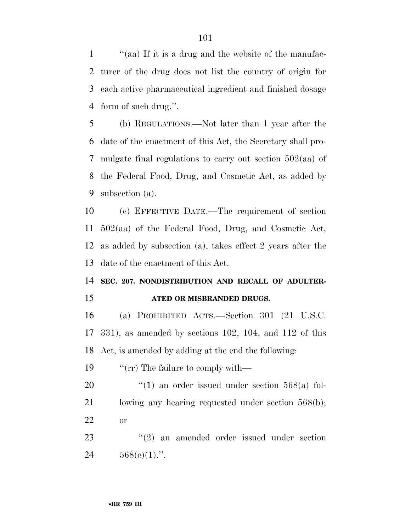''(aa) If it is a drug and the website of the manufac- turer of the drug does not list the country of origin for each active pharmaceutical ingredient and finished dosage form of such drug.''.

 (b) REGULATIONS.—Not later than 1 year after the date of the enactment of this Act, the Secretary shall pro- mulgate final regulations to carry out section 502(aa) of the Federal Food, Drug, and Cosmetic Act, as added by subsection (a).

 (c) EFFECTIVE DATE.—The requirement of section 502(aa) of the Federal Food, Drug, and Cosmetic Act, as added by subsection (a), takes effect 2 years after the date of the enactment of this Act.

# **SEC. 207. NONDISTRIBUTION AND RECALL OF ADULTER-ATED OR MISBRANDED DRUGS.**

 (a) PROHIBITED ACTS.—Section 301 (21 U.S.C. 331), as amended by sections 102, 104, and 112 of this Act, is amended by adding at the end the following:

19  $\frac{1}{2}$   $\frac{1}{2}$   $\frac{1}{2}$  The failure to comply with —

20  $\frac{1}{20}$  (1) an order issued under section 568(a) fol- lowing any hearing requested under section 568(b); or

23 ''(2) an amended order issued under section 24  $568(e)(1)$ .".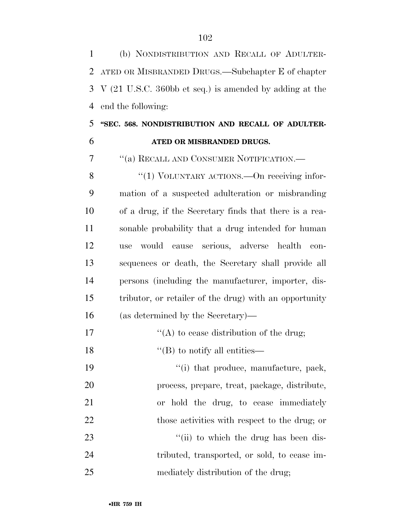(b) NONDISTRIBUTION AND RECALL OF ADULTER- ATED OR MISBRANDED DRUGS.—Subchapter E of chapter V (21 U.S.C. 360bb et seq.) is amended by adding at the end the following:

## **''SEC. 568. NONDISTRIBUTION AND RECALL OF ADULTER-ATED OR MISBRANDED DRUGS.**

''(a) RECALL AND CONSUMER NOTIFICATION.—

8 "(1) VOLUNTARY ACTIONS.—On receiving infor- mation of a suspected adulteration or misbranding of a drug, if the Secretary finds that there is a rea- sonable probability that a drug intended for human use would cause serious, adverse health con- sequences or death, the Secretary shall provide all persons (including the manufacturer, importer, dis- tributor, or retailer of the drug) with an opportunity (as determined by the Secretary)—

17  $"({\rm A})$  to cease distribution of the drug;

''(B) to notify all entities—

 $\frac{1}{2}$  that produce, manufacture, pack, process, prepare, treat, package, distribute, or hold the drug, to cease immediately 22 those activities with respect to the drug; or 23 ''(ii) to which the drug has been dis- tributed, transported, or sold, to cease im-mediately distribution of the drug;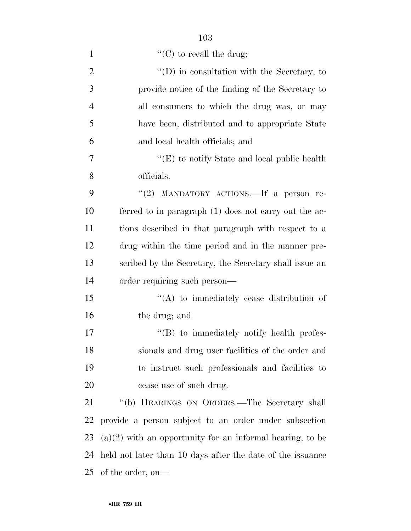| $\mathbf{1}$   | "(C) to recall the drug;                                    |
|----------------|-------------------------------------------------------------|
| $\overline{2}$ | $\lq\lq$ (D) in consultation with the Secretary, to         |
| 3              | provide notice of the finding of the Secretary to           |
| $\overline{4}$ | all consumers to which the drug was, or may                 |
| 5              | have been, distributed and to appropriate State             |
| 6              | and local health officials; and                             |
| 7              | " $(E)$ to notify State and local public health             |
| 8              | officials.                                                  |
| 9              | "(2) MANDATORY ACTIONS. If a person re-                     |
| 10             | ferred to in paragraph (1) does not carry out the ac-       |
| 11             | tions described in that paragraph with respect to a         |
| 12             | drug within the time period and in the manner pre-          |
| 13             | scribed by the Secretary, the Secretary shall issue an      |
| 14             | order requiring such person—                                |
| 15             | $\lq\lq$ to immediately cease distribution of               |
| 16             | the drug; and                                               |
| 17             | $\lq\lq (B)$ to immediately notify health profes-           |
| 18             | sionals and drug user facilities of the order and           |
| 19             | to instruct such professionals and facilities to            |
| 20             | cease use of such drug.                                     |
| 21             | "(b) HEARINGS ON ORDERS.-The Secretary shall                |
| <u>22</u>      | provide a person subject to an order under subsection       |
| 23             | $(a)(2)$ with an opportunity for an informal hearing, to be |
| 24             | held not later than 10 days after the date of the issuance  |
| 25             | of the order, on—                                           |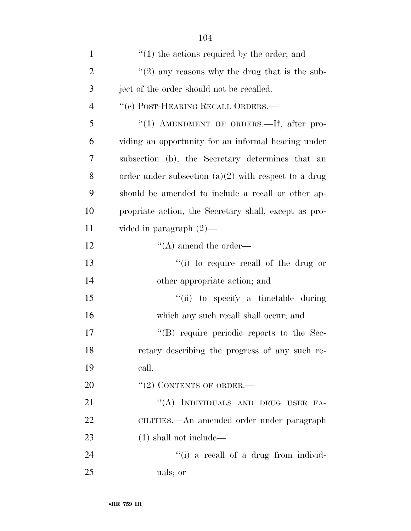| $\mathbf{1}$   | $\cdot$ (1) the actions required by the order; and     |
|----------------|--------------------------------------------------------|
| $\overline{2}$ | "(2) any reasons why the drug that is the sub-         |
| 3              | ject of the order should not be recalled.              |
| $\overline{4}$ | "(c) POST-HEARING RECALL ORDERS.—                      |
| 5              | "(1) AMENDMENT OF ORDERS.—If, after pro-               |
| 6              | viding an opportunity for an informal hearing under    |
| 7              | subsection (b), the Secretary determines that an       |
| 8              | order under subsection $(a)(2)$ with respect to a drug |
| 9              | should be amended to include a recall or other ap-     |
| 10             | propriate action, the Secretary shall, except as pro-  |
| 11             | vided in paragraph $(2)$ —                             |
| 12             | $\lq\lq$ amend the order—                              |
| 13             | $f'(i)$ to require recall of the drug or               |
| 14             | other appropriate action; and                          |
| 15             | "(ii) to specify a timetable during                    |
| 16             | which any such recall shall occur; and                 |
| 17             | $\lq\lq (B)$ require periodic reports to the Sec-      |
| 18             | retary describing the progress of any such re-         |
| 19             | call.                                                  |
| 20             | $``(2)$ CONTENTS OF ORDER.—                            |
| 21             | "(A) INDIVIDUALS AND DRUG USER FA-                     |
| 22             | CILITIES.—An amended order under paragraph             |
| 23             | $(1)$ shall not include—                               |
| 24             | "(i) a recall of a drug from individ-                  |
| 25             | uals; or                                               |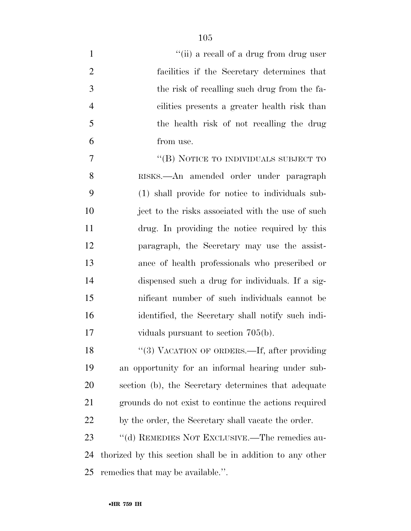| $\mathbf{1}$   | "(ii) a recall of a drug from drug user                    |
|----------------|------------------------------------------------------------|
| $\overline{2}$ | facilities if the Secretary determines that                |
| 3              | the risk of recalling such drug from the fa-               |
| $\overline{4}$ | cilities presents a greater health risk than               |
| 5              | the health risk of not recalling the drug                  |
| 6              | from use.                                                  |
| 7              | "(B) NOTICE TO INDIVIDUALS SUBJECT TO                      |
| 8              | RISKS.-An amended order under paragraph                    |
| 9              | (1) shall provide for notice to individuals sub-           |
| 10             | ject to the risks associated with the use of such          |
| 11             | drug. In providing the notice required by this             |
| 12             | paragraph, the Secretary may use the assist-               |
| 13             | ance of health professionals who prescribed or             |
| 14             | dispensed such a drug for individuals. If a sig-           |
| 15             | nificant number of such individuals cannot be              |
| 16             | identified, the Secretary shall notify such indi-          |
| 17             | viduals pursuant to section $705(b)$ .                     |
| 18             | "(3) VACATION OF ORDERS.—If, after providing               |
| 19             | an opportunity for an informal hearing under sub-          |
| 20             | section (b), the Secretary determines that adequate        |
| 21             | grounds do not exist to continue the actions required      |
| 22             | by the order, the Secretary shall vacate the order.        |
| 23             | "(d) REMEDIES NOT EXCLUSIVE.—The remedies au-              |
| 24             | thorized by this section shall be in addition to any other |
| 25             | remedies that may be available.".                          |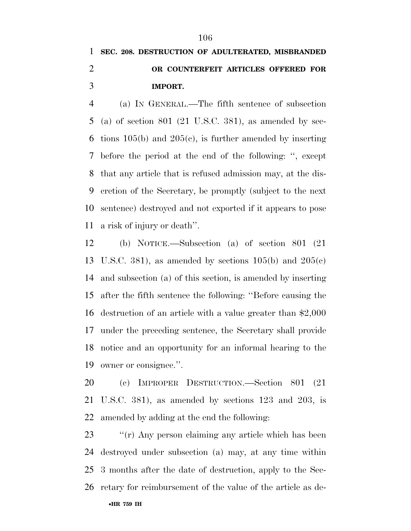# **SEC. 208. DESTRUCTION OF ADULTERATED, MISBRANDED OR COUNTERFEIT ARTICLES OFFERED FOR IMPORT.**

 (a) IN GENERAL.—The fifth sentence of subsection (a) of section 801 (21 U.S.C. 381), as amended by sec-6 tions  $105(b)$  and  $205(c)$ , is further amended by inserting before the period at the end of the following: '', except that any article that is refused admission may, at the dis- cretion of the Secretary, be promptly (subject to the next sentence) destroyed and not exported if it appears to pose a risk of injury or death''.

 (b) NOTICE.—Subsection (a) of section 801 (21 13 U.S.C. 381), as amended by sections  $105(b)$  and  $205(c)$  and subsection (a) of this section, is amended by inserting after the fifth sentence the following: ''Before causing the destruction of an article with a value greater than \$2,000 under the preceding sentence, the Secretary shall provide notice and an opportunity for an informal hearing to the owner or consignee.''.

 (c) IMPROPER DESTRUCTION.—Section 801 (21 U.S.C. 381), as amended by sections 123 and 203, is amended by adding at the end the following:

23 ""(r) Any person claiming any article which has been destroyed under subsection (a) may, at any time within 3 months after the date of destruction, apply to the Sec-retary for reimbursement of the value of the article as de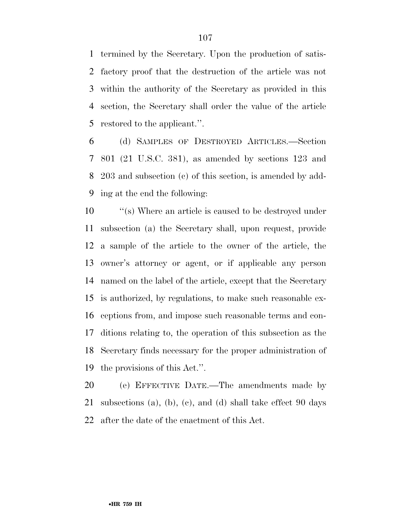termined by the Secretary. Upon the production of satis- factory proof that the destruction of the article was not within the authority of the Secretary as provided in this section, the Secretary shall order the value of the article restored to the applicant.''.

 (d) SAMPLES OF DESTROYED ARTICLES.—Section 801 (21 U.S.C. 381), as amended by sections 123 and 203 and subsection (c) of this section, is amended by add-ing at the end the following:

 $\langle$  ''(s) Where an article is caused to be destroyed under subsection (a) the Secretary shall, upon request, provide a sample of the article to the owner of the article, the owner's attorney or agent, or if applicable any person named on the label of the article, except that the Secretary is authorized, by regulations, to make such reasonable ex- ceptions from, and impose such reasonable terms and con- ditions relating to, the operation of this subsection as the Secretary finds necessary for the proper administration of the provisions of this Act.''.

 (e) EFFECTIVE DATE.—The amendments made by subsections (a), (b), (c), and (d) shall take effect 90 days after the date of the enactment of this Act.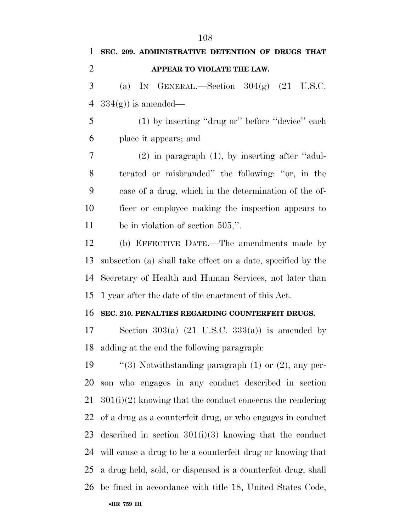**SEC. 209. ADMINISTRATIVE DETENTION OF DRUGS THAT APPEAR TO VIOLATE THE LAW.**  (a) IN GENERAL.—Section  $304(g)$  (21 U.S.C.  $334(g)$  is amended— (1) by inserting ''drug or'' before ''device'' each place it appears; and (2) in paragraph (1), by inserting after ''adul- terated or misbranded'' the following: ''or, in the case of a drug, which in the determination of the of- ficer or employee making the inspection appears to 11 be in violation of section 505,". (b) EFFECTIVE DATE.—The amendments made by subsection (a) shall take effect on a date, specified by the Secretary of Health and Human Services, not later than

1 year after the date of the enactment of this Act.

### **SEC. 210. PENALTIES REGARDING COUNTERFEIT DRUGS.**

17 Section 303(a)  $(21 \text{ U.S.C. } 333(a))$  is amended by adding at the end the following paragraph:

 $\frac{1}{3}$  Notwithstanding paragraph (1) or (2), any per- son who engages in any conduct described in section 301(i)(2) knowing that the conduct concerns the rendering of a drug as a counterfeit drug, or who engages in conduct described in section 301(i)(3) knowing that the conduct will cause a drug to be a counterfeit drug or knowing that a drug held, sold, or dispensed is a counterfeit drug, shall be fined in accordance with title 18, United States Code,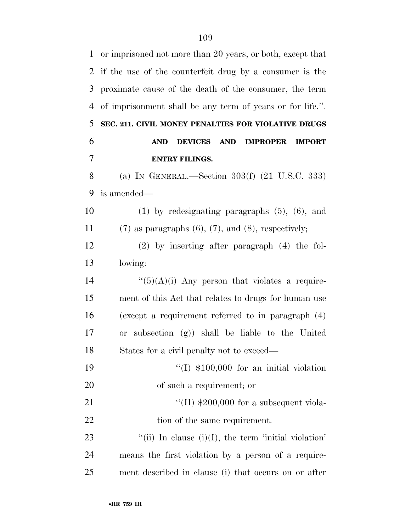| $\mathbf{1}$   | or imprisoned not more than 20 years, or both, except that                     |
|----------------|--------------------------------------------------------------------------------|
| 2              | if the use of the counterfeit drug by a consumer is the                        |
| 3              | proximate cause of the death of the consumer, the term                         |
| $\overline{4}$ | of imprisonment shall be any term of years or for life.".                      |
| 5              | SEC. 211. CIVIL MONEY PENALTIES FOR VIOLATIVE DRUGS                            |
| 6              | <b>DEVICES</b><br><b>AND</b><br><b>AND</b><br><b>IMPROPER</b><br><b>IMPORT</b> |
| 7              | <b>ENTRY FILINGS.</b>                                                          |
| 8              | (a) IN GENERAL.—Section $303(f)$ (21 U.S.C. 333)                               |
| 9              | is amended—                                                                    |
| 10             | $(1)$ by redesignating paragraphs $(5)$ , $(6)$ , and                          |
| 11             | $(7)$ as paragraphs $(6)$ , $(7)$ , and $(8)$ , respectively;                  |
| 12             | $(2)$ by inserting after paragraph $(4)$ the fol-                              |
| 13             | lowing:                                                                        |
| 14             | " $(5)(A)(i)$ Any person that violates a require-                              |
| 15             | ment of this Act that relates to drugs for human use                           |
| 16             | (except a requirement referred to in paragraph $(4)$ )                         |
| 17             | subsection (g)) shall be liable to the United<br><b>or</b>                     |
| 18             | States for a civil penalty not to exceed—                                      |
| 19             | $\lq(1)$ \$100,000 for an initial violation                                    |
| 20             | of such a requirement; or                                                      |
| 21             | "(II) $$200,000$ for a subsequent viola-                                       |
| 22             | tion of the same requirement.                                                  |
| 23             | "(ii) In clause $(i)(I)$ , the term 'initial violation'                        |
| 24             | means the first violation by a person of a require-                            |
| 25             | ment described in clause (i) that occurs on or after                           |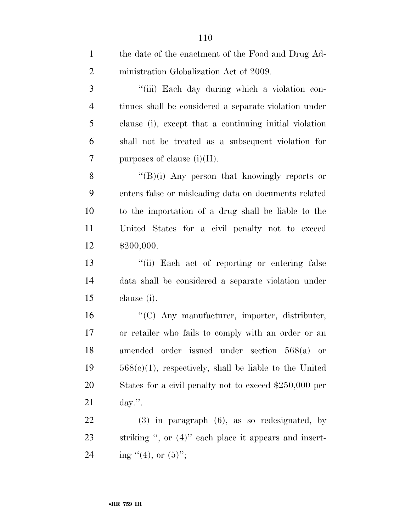| $\mathbf{1}$   | the date of the enactment of the Food and Drug Ad-        |
|----------------|-----------------------------------------------------------|
| $\overline{2}$ | ministration Globalization Act of 2009.                   |
| 3              | "(iii) Each day during which a violation con-             |
| $\overline{4}$ | tinues shall be considered a separate violation under     |
| 5              | clause (i), except that a continuing initial violation    |
| 6              | shall not be treated as a subsequent violation for        |
| $\overline{7}$ | purposes of clause $(i)(II)$ .                            |
| 8              | " $(B)(i)$ Any person that knowingly reports or           |
| 9              | enters false or misleading data on documents related      |
| 10             | to the importation of a drug shall be liable to the       |
| 11             | United States for a civil penalty not to exceed           |
| 12             | \$200,000.                                                |
| 13             | "(ii) Each act of reporting or entering false             |
| 14             | data shall be considered a separate violation under       |
| 15             | clause (i).                                               |
| 16             | "(C) Any manufacturer, importer, distributer,             |
| 17             | or retailer who fails to comply with an order or an       |
| 18             | amended order issued under section 568(a) or              |
| 19             | $568(c)(1)$ , respectively, shall be liable to the United |
| 20             | States for a civil penalty not to exceed \$250,000 per    |
| 21             | day.".                                                    |
| 22             | $(3)$ in paragraph $(6)$ , as so redesignated, by         |
| 23             | striking ", or $(4)$ " each place it appears and insert-  |
| 24             | ing $"(4)$ , or $(5)"$ ;                                  |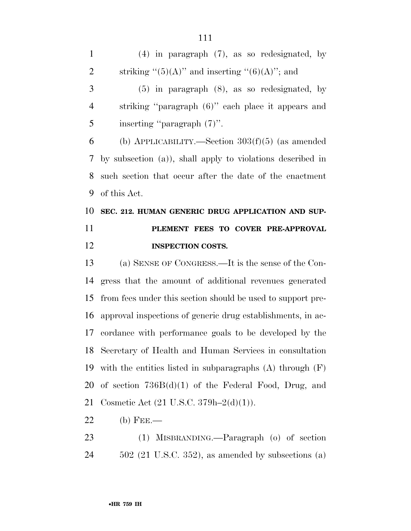(4) in paragraph (7), as so redesignated, by 2 striking " $(5)(A)$ " and inserting " $(6)(A)$ "; and

 (5) in paragraph (8), as so redesignated, by striking ''paragraph (6)'' each place it appears and inserting ''paragraph (7)''.

 (b) APPLICABILITY.—Section 303(f)(5) (as amended by subsection (a)), shall apply to violations described in such section that occur after the date of the enactment of this Act.

# **SEC. 212. HUMAN GENERIC DRUG APPLICATION AND SUP- PLEMENT FEES TO COVER PRE-APPROVAL INSPECTION COSTS.**

 (a) SENSE OF CONGRESS.—It is the sense of the Con- gress that the amount of additional revenues generated from fees under this section should be used to support pre- approval inspections of generic drug establishments, in ac- cordance with performance goals to be developed by the Secretary of Health and Human Services in consultation with the entities listed in subparagraphs (A) through (F) of section 736B(d)(1) of the Federal Food, Drug, and Cosmetic Act (21 U.S.C. 379h–2(d)(1)).

- (b) FEE.—
- (1) MISBRANDING.—Paragraph (o) of section 502 (21 U.S.C. 352), as amended by subsections (a)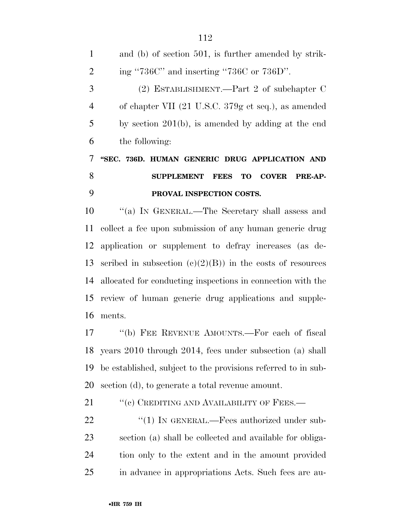| $\mathbf{1}$   | and (b) of section 501, is further amended by strik-           |
|----------------|----------------------------------------------------------------|
| $\overline{2}$ | ing "736C" and inserting "736C or $736D$ ".                    |
| 3              | (2) ESTABLISHMENT.—Part 2 of subchapter $C$                    |
| $\overline{4}$ | of chapter VII (21 U.S.C. 379g et seq.), as amended            |
| 5              | by section $201(b)$ , is amended by adding at the end          |
| 6              | the following:                                                 |
| 7              | "SEC. 736D. HUMAN GENERIC DRUG APPLICATION AND                 |
|                |                                                                |
| 8              | SUPPLEMENT FEES TO COVER<br><b>PRE-AP-</b>                     |
| 9              | PROVAL INSPECTION COSTS.                                       |
| 10             | "(a) IN GENERAL.—The Secretary shall assess and                |
| 11             | collect a fee upon submission of any human generic drug        |
|                | 12 application or supplement to defray increases (as de-       |
| 13             | scribed in subsection $(c)(2)(B)$ in the costs of resources    |
|                | 14 allocated for conducting inspections in connection with the |

ments.

 ''(b) FEE REVENUE AMOUNTS.—For each of fiscal years 2010 through 2014, fees under subsection (a) shall be established, subject to the provisions referred to in sub-section (d), to generate a total revenue amount.

21 "(c) CREDITING AND AVAILABILITY OF FEES.—

22 "(1) IN GENERAL.—Fees authorized under sub- section (a) shall be collected and available for obliga- tion only to the extent and in the amount provided in advance in appropriations Acts. Such fees are au-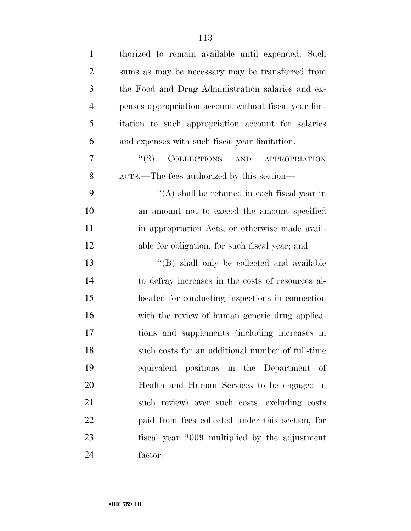| $\mathbf{1}$   | thorized to remain available until expended. Such                  |
|----------------|--------------------------------------------------------------------|
| $\overline{2}$ | sums as may be necessary may be transferred from                   |
| 3              | the Food and Drug Administration salaries and ex-                  |
| $\overline{4}$ | penses appropriation account without fiscal year lim-              |
| 5              | itation to such appropriation account for salaries                 |
| 6              | and expenses with such fiscal year limitation.                     |
| 7              | <b>COLLECTIONS</b><br>(2)<br>$\operatorname{AND}$<br>APPROPRIATION |
| 8              | ACTS.—The fees authorized by this section—                         |
| 9              | $\lq\lq$ shall be retained in each fiscal year in                  |
| 10             | an amount not to exceed the amount specified                       |
| 11             | in appropriation Acts, or otherwise made avail-                    |
| 12             | able for obligation, for such fiscal year; and                     |
| 13             | "(B) shall only be collected and available                         |
| 14             | to defray increases in the costs of resources al-                  |
| 15             | located for conducting inspections in connection                   |
| 16             | with the review of human generic drug applica-                     |
| 17             | tions and supplements (including increases in                      |
| 18             | such costs for an additional number of full-time                   |
| 19             | equivalent positions in the Department of                          |
| 20             | Health and Human Services to be engaged in                         |
| 21             | such review) over such costs, excluding costs                      |
| 22             | paid from fees collected under this section, for                   |
| 23             | fiscal year 2009 multiplied by the adjustment                      |
| 24             | factor.                                                            |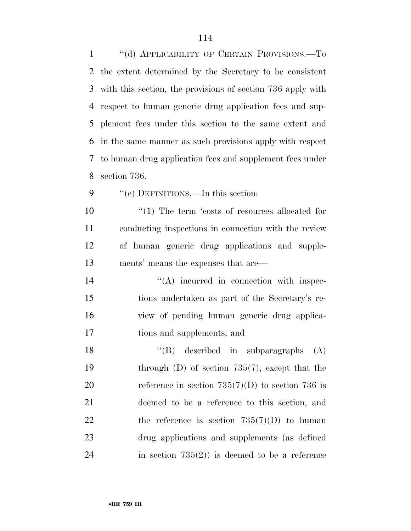1 "(d) APPLICABILITY OF CERTAIN PROVISIONS.—To the extent determined by the Secretary to be consistent with this section, the provisions of section 736 apply with respect to human generic drug application fees and sup- plement fees under this section to the same extent and in the same manner as such provisions apply with respect to human drug application fees and supplement fees under section 736.

9 "(e) DEFINITIONS.—In this section:

 $\frac{1}{2}$  (1) The term 'costs of resources allocated for conducting inspections in connection with the review of human generic drug applications and supple-ments' means the expenses that are—

 $((A)$  incurred in connection with inspec- tions undertaken as part of the Secretary's re- view of pending human generic drug applica-tions and supplements; and

18 ''(B) described in subparagraphs (A) 19 through (D) of section 735(7), except that the 20 reference in section  $735(7)(D)$  to section 736 is deemed to be a reference to this section, and 22 the reference is section  $735(7)(D)$  to human drug applications and supplements (as defined in section 735(2)) is deemed to be a reference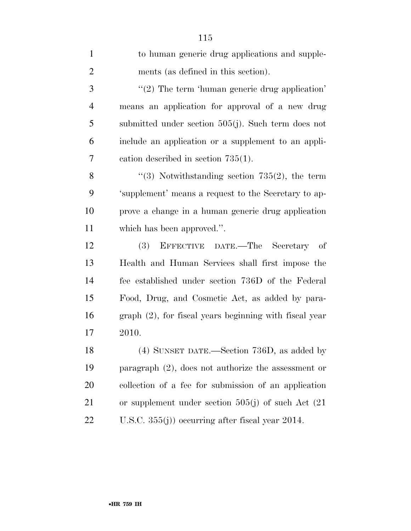| $\mathbf{1}$   | to human generic drug applications and supple-            |
|----------------|-----------------------------------------------------------|
| $\overline{2}$ | ments (as defined in this section).                       |
| 3              | $\lq(2)$ The term 'human generic drug application'        |
| $\overline{4}$ | means an application for approval of a new drug           |
| 5              | submitted under section $505(j)$ . Such term does not     |
| 6              | include an application or a supplement to an appli-       |
| 7              | cation described in section $735(1)$ .                    |
| 8              | $\lq(3)$ Notwithstanding section 735(2), the term         |
| 9              | 'supplement' means a request to the Secretary to ap-      |
| 10             | prove a change in a human generic drug application        |
| 11             | which has been approved.".                                |
| 12             | EFFECTIVE DATE.—The Secretary of<br>(3)                   |
| 13             | Health and Human Services shall first impose the          |
| 14             | fee established under section 736D of the Federal         |
| 15             | Food, Drug, and Cosmetic Act, as added by para-           |
| 16             | $graph (2)$ , for fiscal years beginning with fiscal year |
| 17             | 2010.                                                     |
| 18             | (4) SUNSET DATE.—Section 736D, as added by                |
| 19             | paragraph $(2)$ , does not authorize the assessment or    |
| 20             | collection of a fee for submission of an application      |
| 21             | or supplement under section $505(j)$ of such Act $(21)$   |
| 22             | U.S.C. $355(j)$ ) occurring after fiscal year 2014.       |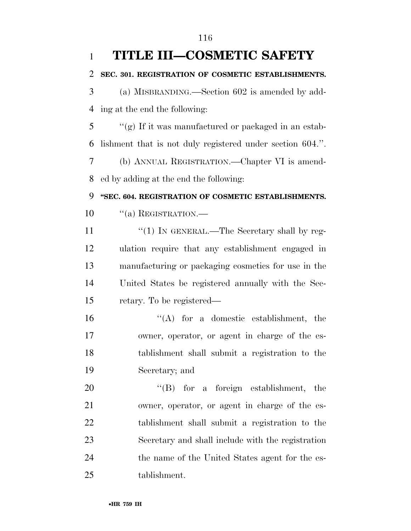| $\mathbf{1}$   | <b>TITLE III-COSMETIC SAFETY</b>                          |
|----------------|-----------------------------------------------------------|
| $\overline{2}$ | SEC. 301. REGISTRATION OF COSMETIC ESTABLISHMENTS.        |
| 3              | (a) MISBRANDING.—Section 602 is amended by add-           |
| $\overline{4}$ | ing at the end the following:                             |
| 5              | "(g) If it was manufactured or packaged in an estab-      |
| 6              | lishment that is not duly registered under section 604.". |
| 7              | (b) ANNUAL REGISTRATION.—Chapter VI is amend-             |
| 8              | ed by adding at the end the following:                    |
| 9              | "SEC. 604. REGISTRATION OF COSMETIC ESTABLISHMENTS.       |
| 10             | $\lq($ a) REGISTRATION.—                                  |
| 11             | " $(1)$ IN GENERAL.—The Secretary shall by reg-           |
| 12             | ulation require that any establishment engaged in         |
| 13             | manufacturing or packaging cosmetics for use in the       |
| 14             | United States be registered annually with the Sec-        |
| 15             | retary. To be registered—                                 |
| 16             | $\lq\lq$ for a domestic establishment, the                |
| 17             | owner, operator, or agent in charge of the es-            |
| 18             | tablishment shall submit a registration to the            |
| 19             | Secretary; and                                            |
| 20             | $\lq\lq(B)$ for a foreign establishment, the              |
| 21             | owner, operator, or agent in charge of the es-            |
| 22             | tablishment shall submit a registration to the            |
| 23             | Secretary and shall include with the registration         |
| 24             | the name of the United States agent for the es-           |
| 25             | tablishment.                                              |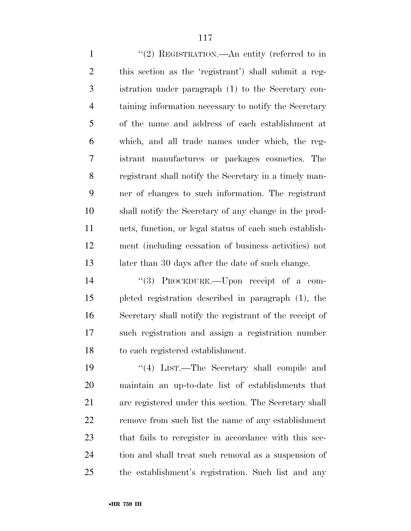1 "(2) REGISTRATION.—An entity (referred to in this section as the 'registrant') shall submit a reg- istration under paragraph (1) to the Secretary con- taining information necessary to notify the Secretary of the name and address of each establishment at which, and all trade names under which, the reg- istrant manufactures or packages cosmetics. The registrant shall notify the Secretary in a timely man- ner of changes to such information. The registrant shall notify the Secretary of any change in the prod- ucts, function, or legal status of each such establish- ment (including cessation of business activities) not 13 later than 30 days after the date of such change.

 ''(3) PROCEDURE.—Upon receipt of a com- pleted registration described in paragraph (1), the Secretary shall notify the registrant of the receipt of such registration and assign a registration number to each registered establishment.

19 ''(4) LIST.—The Secretary shall compile and maintain an up-to-date list of establishments that are registered under this section. The Secretary shall remove from such list the name of any establishment that fails to reregister in accordance with this sec- tion and shall treat such removal as a suspension of the establishment's registration. Such list and any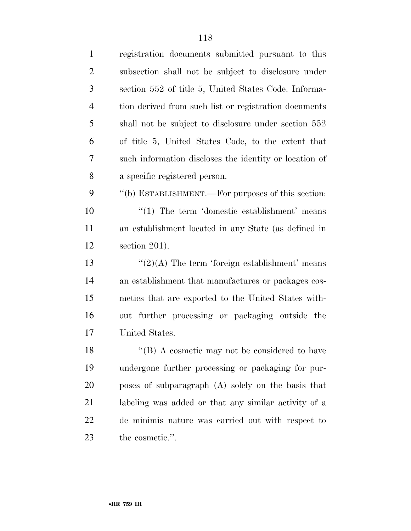| $\mathbf{1}$   | registration documents submitted pursuant to this      |
|----------------|--------------------------------------------------------|
| $\overline{2}$ | subsection shall not be subject to disclosure under    |
| 3              | section 552 of title 5, United States Code. Informa-   |
| $\overline{4}$ | tion derived from such list or registration documents  |
| 5              | shall not be subject to disclosure under section 552   |
| 6              | of title 5, United States Code, to the extent that     |
| 7              | such information discloses the identity or location of |
| 8              | a specific registered person.                          |
| 9              | "(b) ESTABLISHMENT.—For purposes of this section:      |
| 10             | $\lq(1)$ The term 'domestic establishment' means       |
| 11             | an establishment located in any State (as defined in   |
| 12             | section $201$ ).                                       |
| 13             | $\lq(2)(A)$ The term 'foreign establishment' means     |
| 14             | an establishment that manufactures or packages cos-    |
| 15             | metics that are exported to the United States with-    |
| 16             | out further processing or packaging outside the        |
| 17             | United States.                                         |
| 18             | "(B) A cosmetic may not be considered to have          |
| 19             | undergone further processing or packaging for pur-     |
| 20             | poses of subparagraph (A) solely on the basis that     |
| 21             | labeling was added or that any similar activity of a   |
| 22             | de minimis nature was carried out with respect to      |
| 23             | the cosmetic.".                                        |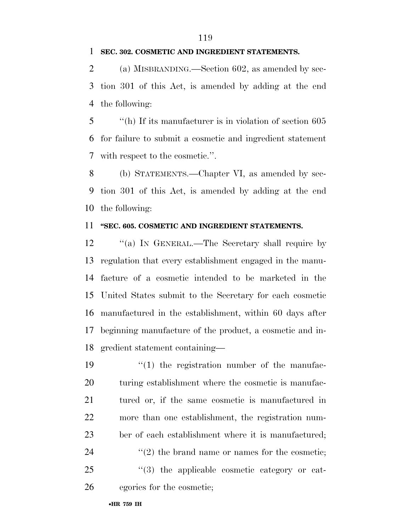#### **SEC. 302. COSMETIC AND INGREDIENT STATEMENTS.**

 (a) MISBRANDING.—Section 602, as amended by sec- tion 301 of this Act, is amended by adding at the end the following:

 ''(h) If its manufacturer is in violation of section 605 for failure to submit a cosmetic and ingredient statement with respect to the cosmetic.''.

 (b) STATEMENTS.—Chapter VI, as amended by sec- tion 301 of this Act, is amended by adding at the end the following:

## **''SEC. 605. COSMETIC AND INGREDIENT STATEMENTS.**

12 "(a) In GENERAL.—The Secretary shall require by regulation that every establishment engaged in the manu- facture of a cosmetic intended to be marketed in the United States submit to the Secretary for each cosmetic manufactured in the establishment, within 60 days after beginning manufacture of the product, a cosmetic and in-gredient statement containing—

 $\frac{1}{2}$  (1) the registration number of the manufac- turing establishment where the cosmetic is manufac- tured or, if the same cosmetic is manufactured in more than one establishment, the registration num- ber of each establishment where it is manufactured;  $(2)$  the brand name or names for the cosmetic;  $\frac{1}{25}$  (3) the applicable cosmetic category or cat-egories for the cosmetic;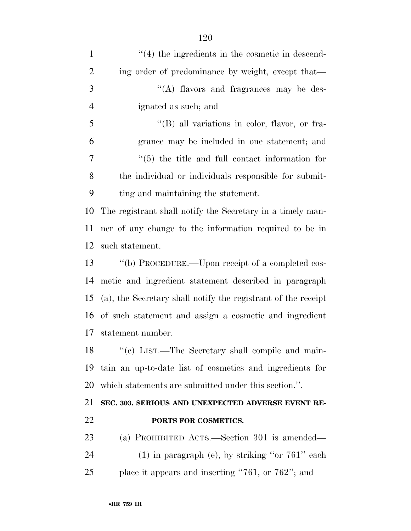| $\cdot$ (4) the ingredients in the cosmetic in descend-       |
|---------------------------------------------------------------|
| ing order of predominance by weight, except that—             |
| $\lq\lq$ flavors and fragrances may be des-                   |
| ignated as such; and                                          |
| $\lq$ (B) all variations in color, flavor, or fra-            |
| grance may be included in one statement; and                  |
| $\cdot\cdot$ (5) the title and full contact information for   |
| the individual or individuals responsible for submit-         |
| ting and maintaining the statement.                           |
| The registrant shall notify the Secretary in a timely man-    |
| ner of any change to the information required to be in        |
| such statement.                                               |
|                                                               |
| "(b) PROCEDURE.—Upon receipt of a completed cos-              |
| metic and ingredient statement described in paragraph         |
| (a), the Secretary shall notify the registrant of the receipt |
| of such statement and assign a cosmetic and ingredient        |
| statement number.                                             |
| 18 " (c) LIST.—The Secretary shall compile and main-          |
| tain an up-to-date list of cosmetics and ingredients for      |
| which statements are submitted under this section.".          |
| SEC. 303. SERIOUS AND UNEXPECTED ADVERSE EVENT RE-            |
| PORTS FOR COSMETICS.                                          |
| (a) PROHIBITED ACTS.—Section 301 is amended—                  |
| $(1)$ in paragraph (e), by striking "or 761" each             |
|                                                               |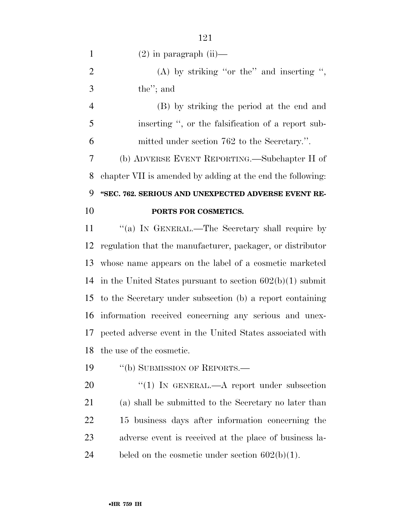1  $(2)$  in paragraph  $(ii)$ —

2 (A) by striking "or the" and inserting ", the''; and

 (B) by striking the period at the end and inserting '', or the falsification of a report sub-mitted under section 762 to the Secretary.''.

 (b) ADVERSE EVENT REPORTING.—Subchapter H of chapter VII is amended by adding at the end the following: **''SEC. 762. SERIOUS AND UNEXPECTED ADVERSE EVENT RE-**

## **PORTS FOR COSMETICS.**

11 "(a) In GENERAL.—The Secretary shall require by regulation that the manufacturer, packager, or distributor whose name appears on the label of a cosmetic marketed in the United States pursuant to section 602(b)(1) submit to the Secretary under subsection (b) a report containing information received concerning any serious and unex- pected adverse event in the United States associated with the use of the cosmetic.

19 "(b) SUBMISSION OF REPORTS.—

20 "(1) IN GENERAL.—A report under subsection (a) shall be submitted to the Secretary no later than 15 business days after information concerning the adverse event is received at the place of business la-24 beled on the cosmetic under section  $602(b)(1)$ .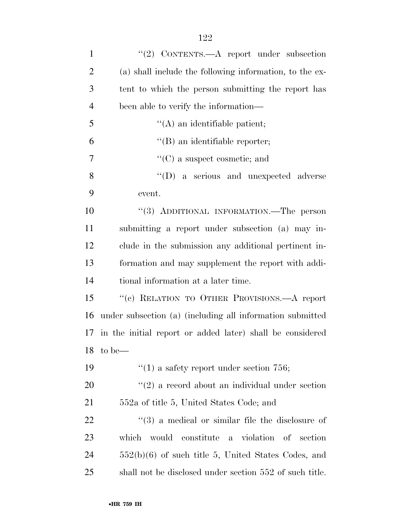| $\mathbf{1}$   | "(2) CONTENTS.— $A$ report under subsection                      |
|----------------|------------------------------------------------------------------|
| $\overline{2}$ | (a) shall include the following information, to the ex-          |
| 3              | tent to which the person submitting the report has               |
| $\overline{4}$ | been able to verify the information—                             |
| 5              | $\lq\lq$ an identifiable patient;                                |
| 6              | $\lq\lq$ an identifiable reporter;                               |
| 7              | $\lq\lq$ (C) a suspect cosmetic; and                             |
| 8              | $\lq\lq$ (D) a serious and unexpected adverse                    |
| 9              | event.                                                           |
| 10             | "(3) ADDITIONAL INFORMATION.—The person                          |
| 11             | submitting a report under subsection (a) may in-                 |
| 12             | clude in the submission any additional pertinent in-             |
| 13             | formation and may supplement the report with addi-               |
| 14             | tional information at a later time.                              |
| 15             | "(c) RELATION TO OTHER PROVISIONS.—A report                      |
| 16             | under subsection (a) (including all information submitted        |
|                | 17 in the initial report or added later) shall be considered     |
|                | 18 to be—                                                        |
| 19             | $\cdot$ (1) a safety report under section 756;                   |
| 20             | $\lq(2)$ a record about an individual under section              |
| 21             | 552a of title 5, United States Code; and                         |
| 22             | $\cdot\cdot\cdot(3)$ a medical or similar file the disclosure of |
| 23             | which would constitute a violation of section                    |
| 24             | $552(b)(6)$ of such title 5, United States Codes, and            |
| 25             | shall not be disclosed under section 552 of such title.          |
|                |                                                                  |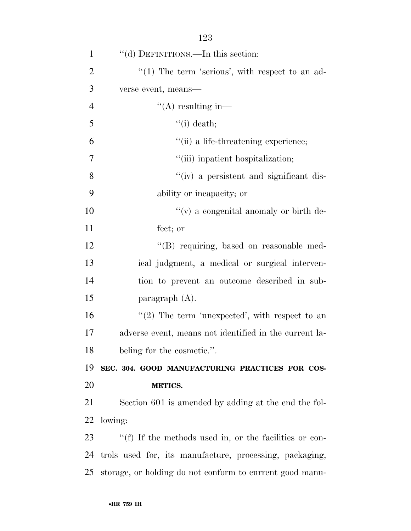| $\mathbf{1}$   | "(d) DEFINITIONS.—In this section:                       |
|----------------|----------------------------------------------------------|
| $\overline{2}$ | $\lq(1)$ The term 'serious', with respect to an ad-      |
| 3              | verse event, means—                                      |
| $\overline{4}$ | $\lq\lq$ resulting in-                                   |
| 5              | $\lq\lq$ (i) death;                                      |
| 6              | "(ii) a life-threatening experience;                     |
| 7              | "(iii) inpatient hospitalization;                        |
| 8              | "(iv) a persistent and significant dis-                  |
| 9              | ability or incapacity; or                                |
| 10             | "(v) a congenital anomaly or birth de-                   |
| 11             | fect; or                                                 |
| 12             | "(B) requiring, based on reasonable med-                 |
| 13             | ical judgment, a medical or surgical interven-           |
| 14             | tion to prevent an outcome described in sub-             |
| 15             | paragraph $(A)$ .                                        |
| 16             | $\lq(2)$ The term 'unexpected', with respect to an       |
| 17             | adverse event, means not identified in the current la-   |
| 18             | beling for the cosmetic.".                               |
| 19             | SEC. 304. GOOD MANUFACTURING PRACTICES FOR COS-          |
| 20             | <b>METICS.</b>                                           |
| 21             | Section 601 is amended by adding at the end the fol-     |
| 22             | lowing:                                                  |
| 23             | "(f) If the methods used in, or the facilities or con-   |
| 24             | trols used for, its manufacture, processing, packaging,  |
| 25             | storage, or holding do not conform to current good manu- |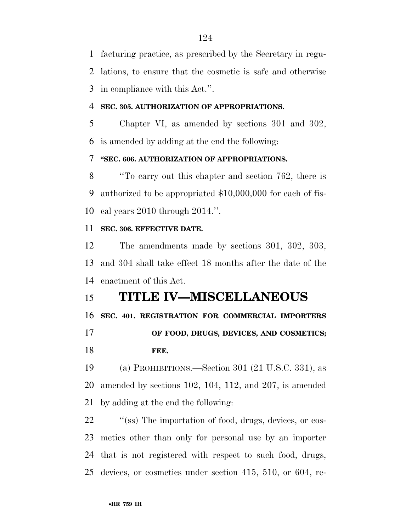facturing practice, as prescribed by the Secretary in regu- lations, to ensure that the cosmetic is safe and otherwise in compliance with this Act.''.

## **SEC. 305. AUTHORIZATION OF APPROPRIATIONS.**

 Chapter VI, as amended by sections 301 and 302, is amended by adding at the end the following:

## **''SEC. 606. AUTHORIZATION OF APPROPRIATIONS.**

 ''To carry out this chapter and section 762, there is authorized to be appropriated \$10,000,000 for each of fis-cal years 2010 through 2014.''.

## **SEC. 306. EFFECTIVE DATE.**

 The amendments made by sections 301, 302, 303, and 304 shall take effect 18 months after the date of the enactment of this Act.

## **TITLE IV—MISCELLANEOUS**

**SEC. 401. REGISTRATION FOR COMMERCIAL IMPORTERS** 

## **OF FOOD, DRUGS, DEVICES, AND COSMETICS; FEE.**

 (a) PROHIBITIONS.—Section 301 (21 U.S.C. 331), as amended by sections 102, 104, 112, and 207, is amended by adding at the end the following:

22 "(ss) The importation of food, drugs, devices, or cos- metics other than only for personal use by an importer that is not registered with respect to such food, drugs, devices, or cosmetics under section 415, 510, or 604, re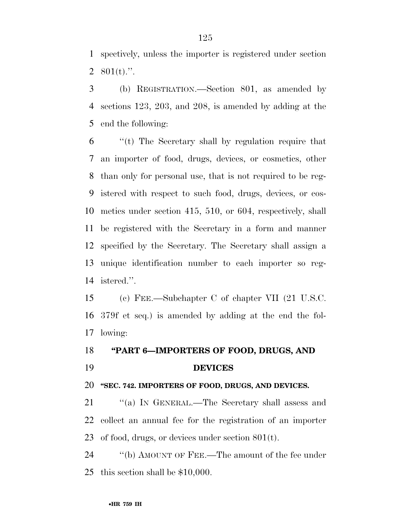spectively, unless the importer is registered under section 2  $801(t)$ .".

 (b) REGISTRATION.—Section 801, as amended by sections 123, 203, and 208, is amended by adding at the end the following:

 ''(t) The Secretary shall by regulation require that an importer of food, drugs, devices, or cosmetics, other than only for personal use, that is not required to be reg- istered with respect to such food, drugs, devices, or cos- metics under section 415, 510, or 604, respectively, shall be registered with the Secretary in a form and manner specified by the Secretary. The Secretary shall assign a unique identification number to each importer so reg-istered.''.

 (c) FEE.—Subchapter C of chapter VII (21 U.S.C. 379f et seq.) is amended by adding at the end the fol-lowing:

## **''PART 6—IMPORTERS OF FOOD, DRUGS, AND DEVICES**

#### **''SEC. 742. IMPORTERS OF FOOD, DRUGS, AND DEVICES.**

21 ""(a) IN GENERAL.—The Secretary shall assess and collect an annual fee for the registration of an importer of food, drugs, or devices under section 801(t).

24 ''(b) AMOUNT OF FEE.—The amount of the fee under this section shall be \$10,000.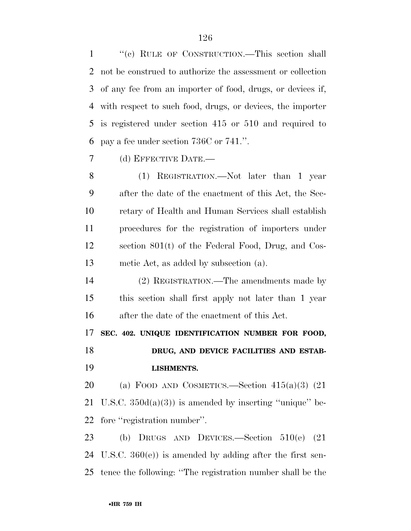''(c) RULE OF CONSTRUCTION.—This section shall not be construed to authorize the assessment or collection of any fee from an importer of food, drugs, or devices if, with respect to such food, drugs, or devices, the importer is registered under section 415 or 510 and required to pay a fee under section 736C or 741.''.

(d) EFFECTIVE DATE.—

 (1) REGISTRATION.—Not later than 1 year after the date of the enactment of this Act, the Sec- retary of Health and Human Services shall establish procedures for the registration of importers under section 801(t) of the Federal Food, Drug, and Cos-metic Act, as added by subsection (a).

 (2) REGISTRATION.—The amendments made by this section shall first apply not later than 1 year after the date of the enactment of this Act.

**SEC. 402. UNIQUE IDENTIFICATION NUMBER FOR FOOD,** 

**DRUG, AND DEVICE FACILITIES AND ESTAB-LISHMENTS.** 

20 (a) FOOD AND COSMETICS.—Section  $415(a)(3)$  (21) 21 U.S.C.  $350d(a)(3)$  is amended by inserting "unique" be-fore ''registration number''.

 (b) DRUGS AND DEVICES.—Section 510(e) (21 U.S.C. 360(e)) is amended by adding after the first sen-tence the following: ''The registration number shall be the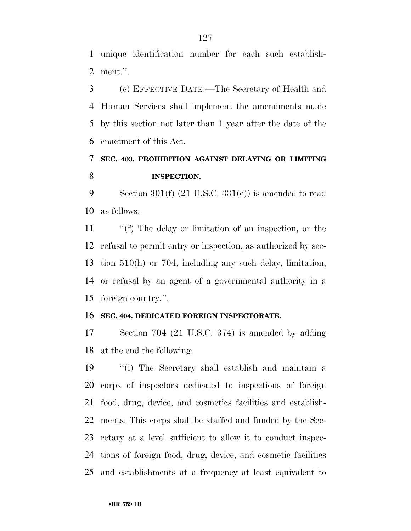unique identification number for each such establish-ment.''.

 (c) EFFECTIVE DATE.—The Secretary of Health and Human Services shall implement the amendments made by this section not later than 1 year after the date of the enactment of this Act.

## **SEC. 403. PROHIBITION AGAINST DELAYING OR LIMITING INSPECTION.**

 Section 301(f) (21 U.S.C. 331(e)) is amended to read as follows:

 ''(f) The delay or limitation of an inspection, or the refusal to permit entry or inspection, as authorized by sec- tion 510(h) or 704, including any such delay, limitation, or refusal by an agent of a governmental authority in a foreign country.''.

#### **SEC. 404. DEDICATED FOREIGN INSPECTORATE.**

 Section 704 (21 U.S.C. 374) is amended by adding at the end the following:

 ''(i) The Secretary shall establish and maintain a corps of inspectors dedicated to inspections of foreign food, drug, device, and cosmetics facilities and establish- ments. This corps shall be staffed and funded by the Sec- retary at a level sufficient to allow it to conduct inspec- tions of foreign food, drug, device, and cosmetic facilities and establishments at a frequency at least equivalent to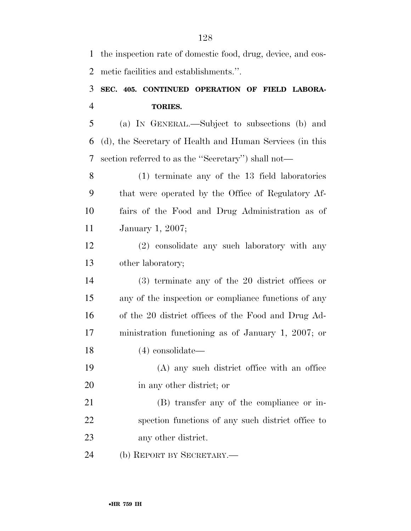the inspection rate of domestic food, drug, device, and cos-metic facilities and establishments.''.

## **SEC. 405. CONTINUED OPERATION OF FIELD LABORA-TORIES.**

 (a) IN GENERAL.—Subject to subsections (b) and (d), the Secretary of Health and Human Services (in this section referred to as the ''Secretary'') shall not—

 (1) terminate any of the 13 field laboratories that were operated by the Office of Regulatory Af- fairs of the Food and Drug Administration as of January 1, 2007;

 (2) consolidate any such laboratory with any other laboratory;

 (3) terminate any of the 20 district offices or any of the inspection or compliance functions of any of the 20 district offices of the Food and Drug Ad- ministration functioning as of January 1, 2007; or (4) consolidate—

 (A) any such district office with an office in any other district; or

 (B) transfer any of the compliance or in- spection functions of any such district office to any other district.

(b) REPORT BY SECRETARY.—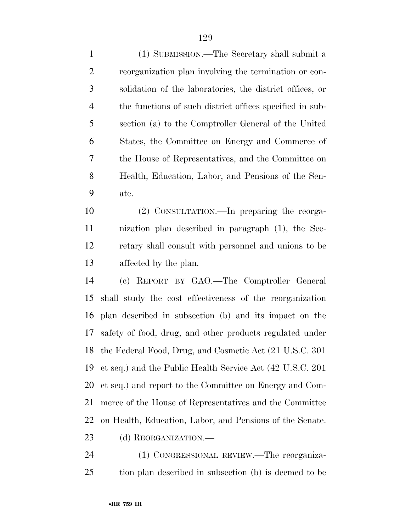(1) SUBMISSION.—The Secretary shall submit a reorganization plan involving the termination or con- solidation of the laboratories, the district offices, or the functions of such district offices specified in sub- section (a) to the Comptroller General of the United States, the Committee on Energy and Commerce of the House of Representatives, and the Committee on Health, Education, Labor, and Pensions of the Sen-ate.

 (2) CONSULTATION.—In preparing the reorga- nization plan described in paragraph (1), the Sec- retary shall consult with personnel and unions to be affected by the plan.

 (c) REPORT BY GAO.—The Comptroller General shall study the cost effectiveness of the reorganization plan described in subsection (b) and its impact on the safety of food, drug, and other products regulated under the Federal Food, Drug, and Cosmetic Act (21 U.S.C. 301 et seq.) and the Public Health Service Act (42 U.S.C. 201 et seq.) and report to the Committee on Energy and Com- merce of the House of Representatives and the Committee on Health, Education, Labor, and Pensions of the Senate.

23 (d) REORGANIZATION.—

 (1) CONGRESSIONAL REVIEW.—The reorganiza-tion plan described in subsection (b) is deemed to be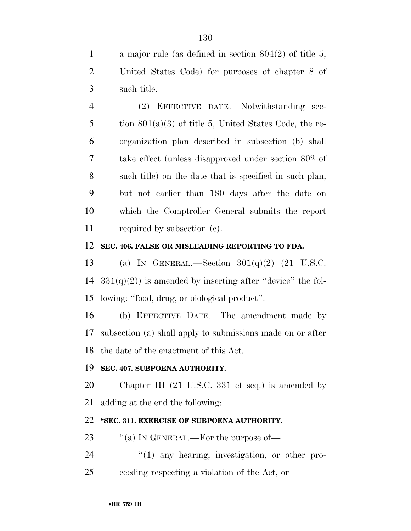a major rule (as defined in section 804(2) of title 5, United States Code) for purposes of chapter 8 of such title.

 (2) EFFECTIVE DATE.—Notwithstanding sec-5 tion  $801(a)(3)$  of title 5, United States Code, the re- organization plan described in subsection (b) shall take effect (unless disapproved under section 802 of such title) on the date that is specified in such plan, but not earlier than 180 days after the date on which the Comptroller General submits the report required by subsection (c).

### **SEC. 406. FALSE OR MISLEADING REPORTING TO FDA.**

13 (a) IN GENERAL.—Section  $301(q)(2)$  (21 U.S.C. 14  $331(q)(2)$  is amended by inserting after "device" the fol-lowing: ''food, drug, or biological product''.

 (b) EFFECTIVE DATE.—The amendment made by subsection (a) shall apply to submissions made on or after the date of the enactment of this Act.

## **SEC. 407. SUBPOENA AUTHORITY.**

 Chapter III (21 U.S.C. 331 et seq.) is amended by adding at the end the following:

## **''SEC. 311. EXERCISE OF SUBPOENA AUTHORITY.**

23 "(a) IN GENERAL.—For the purpose of—

24  $\frac{1}{2}$  (1) any hearing, investigation, or other pro-ceeding respecting a violation of the Act, or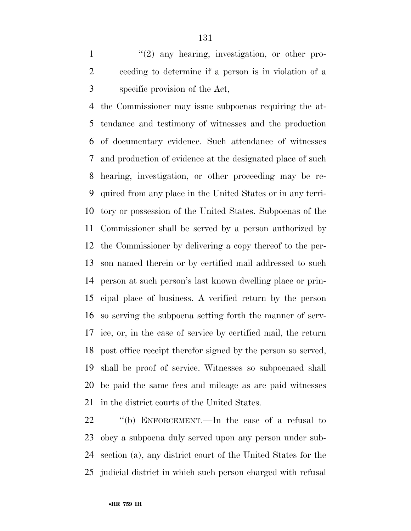1 ''(2) any hearing, investigation, or other pro- ceeding to determine if a person is in violation of a specific provision of the Act,

 the Commissioner may issue subpoenas requiring the at- tendance and testimony of witnesses and the production of documentary evidence. Such attendance of witnesses and production of evidence at the designated place of such hearing, investigation, or other proceeding may be re- quired from any place in the United States or in any terri- tory or possession of the United States. Subpoenas of the Commissioner shall be served by a person authorized by the Commissioner by delivering a copy thereof to the per- son named therein or by certified mail addressed to such person at such person's last known dwelling place or prin- cipal place of business. A verified return by the person so serving the subpoena setting forth the manner of serv- ice, or, in the case of service by certified mail, the return post office receipt therefor signed by the person so served, shall be proof of service. Witnesses so subpoenaed shall be paid the same fees and mileage as are paid witnesses in the district courts of the United States.

 ''(b) ENFORCEMENT.—In the case of a refusal to obey a subpoena duly served upon any person under sub- section (a), any district court of the United States for the judicial district in which such person charged with refusal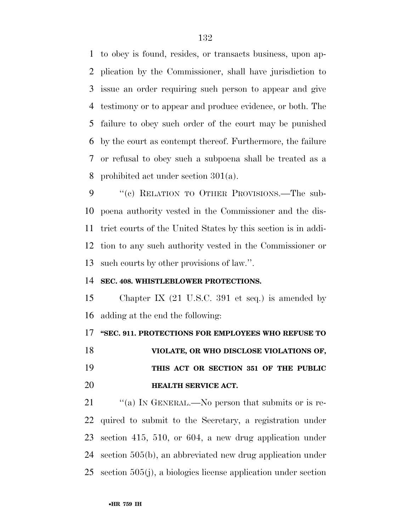to obey is found, resides, or transacts business, upon ap- plication by the Commissioner, shall have jurisdiction to issue an order requiring such person to appear and give testimony or to appear and produce evidence, or both. The failure to obey such order of the court may be punished by the court as contempt thereof. Furthermore, the failure or refusal to obey such a subpoena shall be treated as a prohibited act under section 301(a).

9 "(c) RELATION TO OTHER PROVISIONS.—The sub- poena authority vested in the Commissioner and the dis- trict courts of the United States by this section is in addi- tion to any such authority vested in the Commissioner or such courts by other provisions of law.''.

### **SEC. 408. WHISTLEBLOWER PROTECTIONS.**

 Chapter IX (21 U.S.C. 391 et seq.) is amended by adding at the end the following:

### **''SEC. 911. PROTECTIONS FOR EMPLOYEES WHO REFUSE TO**

 **VIOLATE, OR WHO DISCLOSE VIOLATIONS OF, THIS ACT OR SECTION 351 OF THE PUBLIC HEALTH SERVICE ACT.** 

21 "(a) IN GENERAL.—No person that submits or is re- quired to submit to the Secretary, a registration under section 415, 510, or 604, a new drug application under section 505(b), an abbreviated new drug application under section 505(j), a biologics license application under section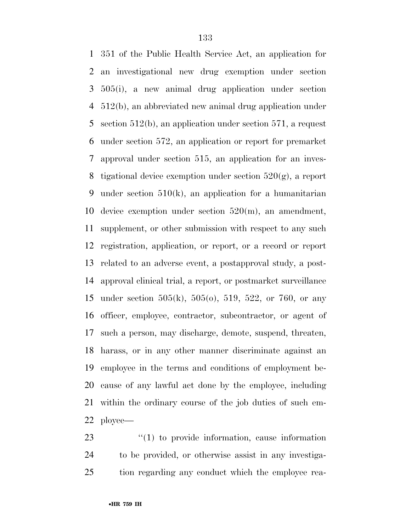351 of the Public Health Service Act, an application for an investigational new drug exemption under section 505(i), a new animal drug application under section 512(b), an abbreviated new animal drug application under section 512(b), an application under section 571, a request under section 572, an application or report for premarket approval under section 515, an application for an inves-8 tigational device exemption under section  $520(g)$ , a report under section 510(k), an application for a humanitarian device exemption under section 520(m), an amendment, supplement, or other submission with respect to any such registration, application, or report, or a record or report related to an adverse event, a postapproval study, a post- approval clinical trial, a report, or postmarket surveillance under section 505(k), 505(o), 519, 522, or 760, or any officer, employee, contractor, subcontractor, or agent of such a person, may discharge, demote, suspend, threaten, harass, or in any other manner discriminate against an employee in the terms and conditions of employment be- cause of any lawful act done by the employee, including within the ordinary course of the job duties of such em-ployee—

23  $\frac{1}{2}$  (1) to provide information, cause information to be provided, or otherwise assist in any investiga-tion regarding any conduct which the employee rea-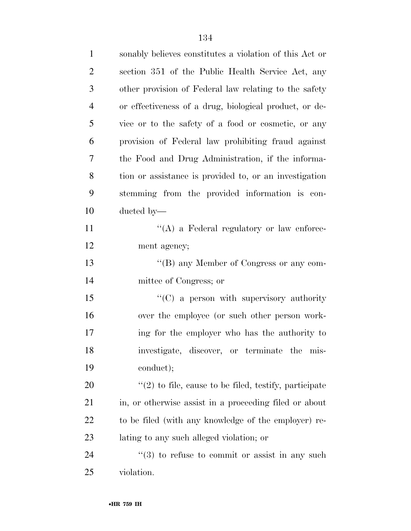| $\mathbf{1}$   | sonably believes constitutes a violation of this Act or    |
|----------------|------------------------------------------------------------|
| $\overline{2}$ | section 351 of the Public Health Service Act, any          |
| 3              | other provision of Federal law relating to the safety      |
| $\overline{4}$ | or effectiveness of a drug, biological product, or de-     |
| 5              | vice or to the safety of a food or cosmetic, or any        |
| 6              | provision of Federal law prohibiting fraud against         |
| 7              | the Food and Drug Administration, if the informa-          |
| $8\phantom{1}$ | tion or assistance is provided to, or an investigation     |
| 9              | stemming from the provided information is con-             |
| 10             | ducted by—                                                 |
| 11             | $\lq\lq$ a Federal regulatory or law enforce-              |
| 12             | ment agency;                                               |
| 13             | "(B) any Member of Congress or any com-                    |
| 14             | mittee of Congress; or                                     |
| 15             | $\lq\lq$ (C) a person with supervisory authority           |
| 16             | over the employee (or such other person work-              |
| 17             | ing for the employer who has the authority to              |
| 18             | investigate, discover, or terminate the mis-               |
| 19             | conduct);                                                  |
| 20             | $f'(2)$ to file, cause to be filed, testify, participate   |
| 21             | in, or otherwise assist in a proceeding filed or about     |
| 22             | to be filed (with any knowledge of the employer) re-       |
| 23             | lating to any such alleged violation; or                   |
| 24             | $\cdot\cdot$ (3) to refuse to commit or assist in any such |
| 25             | violation.                                                 |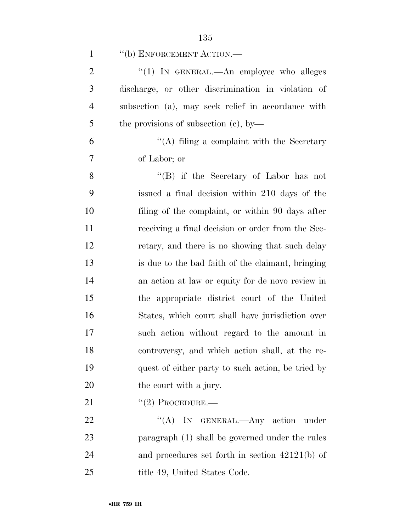| $\mathbf{1}$   | "(b) ENFORCEMENT ACTION.-                          |
|----------------|----------------------------------------------------|
| $\overline{2}$ | "(1) IN GENERAL.—An employee who alleges           |
| 3              | discharge, or other discrimination in violation of |
| $\overline{4}$ | subsection (a), may seek relief in accordance with |
| 5              | the provisions of subsection $(c)$ , by-           |
| 6              | "(A) filing a complaint with the Secretary         |
| 7              | of Labor; or                                       |
| 8              | "(B) if the Secretary of Labor has not             |
| 9              | issued a final decision within 210 days of the     |
| 10             | filing of the complaint, or within 90 days after   |
| 11             | receiving a final decision or order from the Sec-  |
| 12             | retary, and there is no showing that such delay    |
| 13             | is due to the bad faith of the claimant, bringing  |
| 14             | an action at law or equity for de novo review in   |
| 15             | the appropriate district court of the United       |
| 16             | States, which court shall have jurisdiction over   |
| 17             | such action without regard to the amount in        |
| 18             | controversy, and which action shall, at the re-    |
| 19             | quest of either party to such action, be tried by  |
| 20             | the court with a jury.                             |
| 21             | $``(2)$ PROCEDURE.—                                |
| 22             | "(A) IN GENERAL.—Any action<br>under               |
| 23             | paragraph (1) shall be governed under the rules    |
| 24             | and procedures set forth in section $42121(b)$ of  |
| 25             | title 49, United States Code.                      |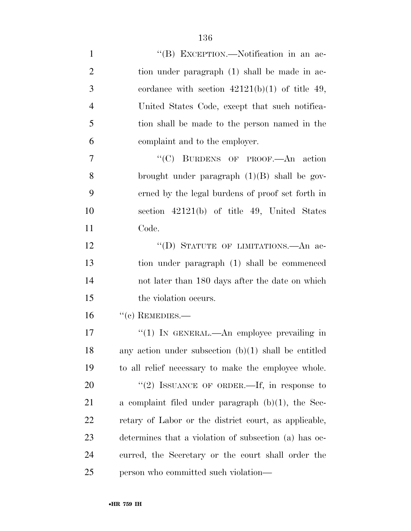| $\mathbf{1}$   | "(B) EXCEPTION.—Notification in an ac-                 |
|----------------|--------------------------------------------------------|
| $\overline{2}$ | tion under paragraph (1) shall be made in ac-          |
| 3              | cordance with section $42121(b)(1)$ of title 49,       |
| $\overline{4}$ | United States Code, except that such notifica-         |
| 5              | tion shall be made to the person named in the          |
| 6              | complaint and to the employer.                         |
| $\overline{7}$ | "(C) BURDENS OF PROOF.—An action                       |
| 8              | brought under paragraph $(1)(B)$ shall be gov-         |
| 9              | erned by the legal burdens of proof set forth in       |
| 10             | section $42121(b)$ of title 49, United States          |
| 11             | Code.                                                  |
| 12             | "(D) STATUTE OF LIMITATIONS.—An ac-                    |
| 13             | tion under paragraph (1) shall be commenced            |
| 14             | not later than 180 days after the date on which        |
| 15             | the violation occurs.                                  |
| 16             | $``(c)$ REMEDIES.—                                     |
| 17             | " $(1)$ IN GENERAL.—An employee prevailing in          |
| 18             | any action under subsection $(b)(1)$ shall be entitled |
| 19             | to all relief necessary to make the employee whole.    |
| 20             | "(2) ISSUANCE OF ORDER.—If, in response to             |
| 21             | a complaint filed under paragraph $(b)(1)$ , the Sec-  |
| 22             | retary of Labor or the district court, as applicable,  |
| 23             | determines that a violation of subsection (a) has oc-  |
| 24             | curred, the Secretary or the court shall order the     |
| 25             | person who committed such violation—                   |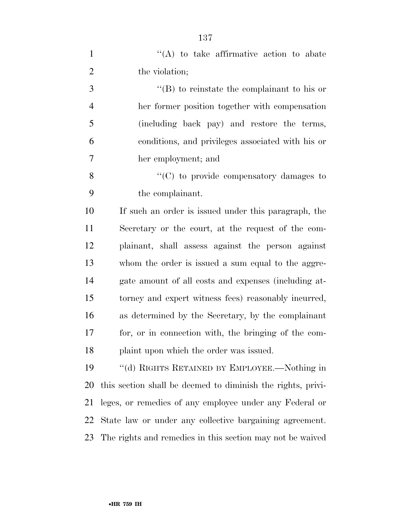| $\mathbf{1}$   | "(A) to take affirmative action to abate                    |
|----------------|-------------------------------------------------------------|
| $\overline{2}$ | the violation;                                              |
| 3              | $\lq\lq$ to reinstate the complainant to his or             |
| $\overline{4}$ | her former position together with compensation              |
| 5              | (including back pay) and restore the terms,                 |
| 6              | conditions, and privileges associated with his or           |
| 7              | her employment; and                                         |
| 8              | "(C) to provide compensatory damages to                     |
| 9              | the complainant.                                            |
| 10             | If such an order is issued under this paragraph, the        |
| 11             | Secretary or the court, at the request of the com-          |
| 12             | plainant, shall assess against the person against           |
| 13             | whom the order is issued a sum equal to the aggre-          |
| 14             | gate amount of all costs and expenses (including at-        |
| 15             | torney and expert witness fees) reasonably incurred,        |
| 16             | as determined by the Secretary, by the complainant          |
| 17             | for, or in connection with, the bringing of the com-        |
| 18             | plaint upon which the order was issued.                     |
| 19             | "(d) RIGHTS RETAINED BY EMPLOYEE.—Nothing in                |
| 20             | this section shall be deemed to diminish the rights, privi- |
| 21             | leges, or remedies of any employee under any Federal or     |
| 22             | State law or under any collective bargaining agreement.     |
| 23             | The rights and remedies in this section may not be waived   |